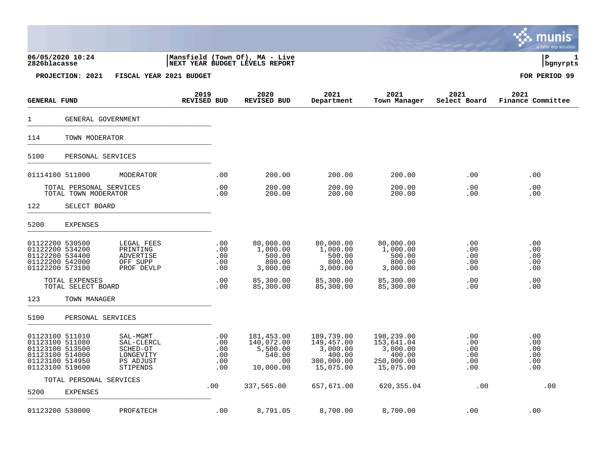|                                                                                                                |                                                                          |                            |                                        |                                                                    |                                                                           |                                                                           |                                                     | munis $\dot{}$<br>a tyler erp solution |
|----------------------------------------------------------------------------------------------------------------|--------------------------------------------------------------------------|----------------------------|----------------------------------------|--------------------------------------------------------------------|---------------------------------------------------------------------------|---------------------------------------------------------------------------|-----------------------------------------------------|----------------------------------------|
| 2826blacasse                                                                                                   | 06/05/2020 10:24                                                         |                            |                                        | Mansfield (Town Of), MA - Live<br>NEXT YEAR BUDGET LEVELS REPORT   |                                                                           |                                                                           |                                                     | ∣P<br>1<br>  bgnyrpts                  |
|                                                                                                                | PROJECTION: 2021                                                         | FISCAL YEAR 2021 BUDGET    |                                        |                                                                    |                                                                           |                                                                           |                                                     | FOR PERIOD 99                          |
| <b>GENERAL FUND</b>                                                                                            |                                                                          | 2019<br><b>REVISED BUD</b> |                                        | 2020<br><b>REVISED BUD</b>                                         | 2021<br>Department                                                        | 2021<br>Town Manager                                                      | 2021<br>Select Board                                | 2021<br>Finance Committee              |
| ı                                                                                                              | GENERAL GOVERNMENT                                                       |                            |                                        |                                                                    |                                                                           |                                                                           |                                                     |                                        |
| 114                                                                                                            | TOWN MODERATOR                                                           |                            |                                        |                                                                    |                                                                           |                                                                           |                                                     |                                        |
| 5100                                                                                                           | PERSONAL SERVICES                                                        |                            |                                        |                                                                    |                                                                           |                                                                           |                                                     |                                        |
| 01114100 511000                                                                                                | MODERATOR                                                                |                            | .00                                    | 200.00                                                             | 200.00                                                                    | 200.00                                                                    | .00                                                 | .00                                    |
|                                                                                                                | TOTAL PERSONAL SERVICES<br>TOTAL TOWN MODERATOR                          |                            | .00<br>.00                             | 200.00<br>200.00                                                   | 200.00<br>200.00                                                          | 200.00<br>200.00                                                          | .00<br>.00                                          | .00<br>.00                             |
| 122                                                                                                            | SELECT BOARD                                                             |                            |                                        |                                                                    |                                                                           |                                                                           |                                                     |                                        |
| 5200                                                                                                           | <b>EXPENSES</b>                                                          |                            |                                        |                                                                    |                                                                           |                                                                           |                                                     |                                        |
| 01122200 530500<br>01122200 534200<br>01122200 534400<br>01122200 542000<br>01122200 573100                    | LEGAL FEES<br>PRINTING<br>ADVERTISE<br>OFF SUPP<br>PROF DEVLP            |                            | .00<br>.00<br>.00<br>.00<br>.00        | 80,000.00<br>1,000.00<br>500.00<br>800.00<br>3,000.00              | 80,000.00<br>1,000.00<br>500.00<br>800.00<br>3,000.00                     | 80,000.00<br>1,000.00<br>500.00<br>800.00<br>3,000.00                     | $.00 \,$<br>.00<br>$.00 \,$<br>.00<br>.00           | .00<br>.00<br>.00<br>.00<br>.00        |
|                                                                                                                | TOTAL EXPENSES<br>TOTAL SELECT BOARD                                     |                            | .00<br>.00                             | 85,300.00<br>85,300.00                                             | 85,300.00<br>85,300.00                                                    | 85,300.00<br>85,300.00                                                    | .00<br>$.00 \,$                                     | .00<br>.00                             |
| 123                                                                                                            | TOWN MANAGER                                                             |                            |                                        |                                                                    |                                                                           |                                                                           |                                                     |                                        |
| 5100                                                                                                           | PERSONAL SERVICES                                                        |                            |                                        |                                                                    |                                                                           |                                                                           |                                                     |                                        |
| 01123100 511010<br>01123100 511080<br>01123100 513500<br>01123100 514000<br>01123100 514950<br>01123100 519600 | SAL-MGMT<br>SAL-CLERCL<br>SCHED-OT<br>LONGEVITY<br>PS ADJUST<br>STIPENDS |                            | .00<br>.00<br>.00<br>.00<br>.00<br>.00 | 181,453.00<br>140,072.00<br>5,500.00<br>540.00<br>.00<br>10,000.00 | 189,739.00<br>149,457.00<br>3,000.00<br>400.00<br>300,000.00<br>15,075.00 | 198,239.00<br>153,641.04<br>3,000.00<br>400.00<br>250,000.00<br>15,075.00 | .00<br>$.00 \ \rm$<br>.00<br>.00<br>.00<br>$.00 \,$ | .00<br>.00<br>.00<br>.00<br>.00<br>.00 |
|                                                                                                                | TOTAL PERSONAL SERVICES                                                  |                            | .00                                    | 337,565.00                                                         | 657,671.00                                                                | 620, 355.04                                                               | .00                                                 | .00                                    |
| 5200                                                                                                           | <b>EXPENSES</b>                                                          |                            |                                        |                                                                    |                                                                           |                                                                           |                                                     |                                        |
| 01123200 530000                                                                                                | <b>PROF&amp;TECH</b>                                                     |                            | .00                                    | 8,791.05                                                           | 8,700.00                                                                  | 8,700.00                                                                  | .00                                                 | .00                                    |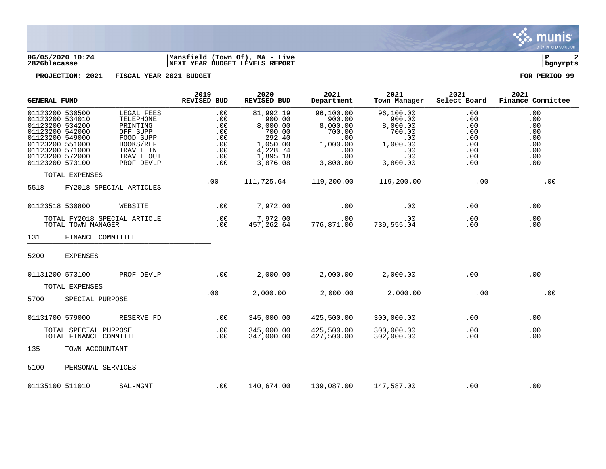

# **06/05/2020 10:24 |Mansfield (Town Of), MA - Live |P 2 2826blacasse |NEXT YEAR BUDGET LEVELS REPORT |bgnyrpts**

| <b>GENERAL FUND</b>                                                                                                                                                     |                                                  | 2019<br>REVISED BUD                                                                                                | 2020<br>REVISED BUD                                         | 2021<br>Department                                                                                  | 2021<br>Town Manager                                                                   | 2021<br>Select Board                                                                   | 2021<br>Finance Committee                                   |                                                             |
|-------------------------------------------------------------------------------------------------------------------------------------------------------------------------|--------------------------------------------------|--------------------------------------------------------------------------------------------------------------------|-------------------------------------------------------------|-----------------------------------------------------------------------------------------------------|----------------------------------------------------------------------------------------|----------------------------------------------------------------------------------------|-------------------------------------------------------------|-------------------------------------------------------------|
| 01123200 530500<br>01123200 534010<br>01123200 534200<br>01123200 542000<br>01123200 549000<br>01123200 551000<br>01123200 571000<br>01123200 572000<br>01123200 573100 |                                                  | LEGAL FEES<br>TELEPHONE<br>PRINTING<br>OFF SUPP<br>FOOD SUPP<br>BOOKS/REF<br>TRAVEL IN<br>TRAVEL OUT<br>PROF DEVLP | .00<br>.00<br>.00<br>.00<br>.00<br>.00<br>.00<br>.00<br>.00 | 81,992.19<br>900.00<br>8,000.00<br>700.00<br>292.40<br>1,050.00<br>4,228.74<br>1,895.18<br>3,876.08 | 96,100.00<br>900.00<br>8,000.00<br>700.00<br>.00<br>1,000.00<br>.00<br>.00<br>3,800.00 | 96,100.00<br>900.00<br>8,000.00<br>700.00<br>.00<br>1,000.00<br>.00<br>.00<br>3,800.00 | .00<br>.00<br>.00<br>.00<br>.00<br>.00<br>.00<br>.00<br>.00 | .00<br>.00<br>.00<br>.00<br>.00<br>.00<br>.00<br>.00<br>.00 |
|                                                                                                                                                                         | TOTAL EXPENSES                                   |                                                                                                                    |                                                             |                                                                                                     |                                                                                        |                                                                                        |                                                             |                                                             |
| 5518                                                                                                                                                                    |                                                  | FY2018 SPECIAL ARTICLES                                                                                            | .00                                                         | 111,725.64                                                                                          | 119,200.00                                                                             | 119,200.00                                                                             | .00                                                         | .00                                                         |
| 01123518 530800                                                                                                                                                         |                                                  | WEBSITE                                                                                                            | .00                                                         | 7,972.00                                                                                            | .00                                                                                    | .00                                                                                    | .00                                                         | .00                                                         |
|                                                                                                                                                                         | TOTAL TOWN MANAGER                               | TOTAL FY2018 SPECIAL ARTICLE                                                                                       | .00<br>.00                                                  | 7,972.00<br>457,262.64                                                                              | .00<br>776,871.00                                                                      | .00<br>739,555.04                                                                      | .00<br>.00                                                  | .00<br>.00                                                  |
| 131                                                                                                                                                                     | FINANCE COMMITTEE                                |                                                                                                                    |                                                             |                                                                                                     |                                                                                        |                                                                                        |                                                             |                                                             |
| 5200                                                                                                                                                                    | <b>EXPENSES</b>                                  |                                                                                                                    |                                                             |                                                                                                     |                                                                                        |                                                                                        |                                                             |                                                             |
| 01131200 573100                                                                                                                                                         |                                                  | PROF DEVLP                                                                                                         | .00                                                         | 2,000.00                                                                                            | 2,000.00                                                                               | 2,000.00                                                                               | .00                                                         | .00                                                         |
|                                                                                                                                                                         | TOTAL EXPENSES                                   |                                                                                                                    | .00                                                         |                                                                                                     |                                                                                        |                                                                                        |                                                             | .00                                                         |
| 5700                                                                                                                                                                    | SPECIAL PURPOSE                                  |                                                                                                                    |                                                             | 2,000.00                                                                                            | 2,000.00                                                                               | 2,000.00                                                                               | .00                                                         |                                                             |
| 01131700 579000                                                                                                                                                         |                                                  | RESERVE FD                                                                                                         | .00                                                         | 345,000.00                                                                                          | 425,500.00                                                                             | 300,000.00                                                                             | .00                                                         | .00                                                         |
|                                                                                                                                                                         | TOTAL SPECIAL PURPOSE<br>TOTAL FINANCE COMMITTEE |                                                                                                                    | .00<br>.00                                                  | 345,000.00<br>347,000.00                                                                            | 425,500.00<br>427,500.00                                                               | 300,000.00<br>302,000.00                                                               | .00<br>.00                                                  | .00<br>.00                                                  |
| 135                                                                                                                                                                     | TOWN ACCOUNTANT                                  |                                                                                                                    |                                                             |                                                                                                     |                                                                                        |                                                                                        |                                                             |                                                             |
| 5100                                                                                                                                                                    | PERSONAL SERVICES                                |                                                                                                                    |                                                             |                                                                                                     |                                                                                        |                                                                                        |                                                             |                                                             |
| 01135100 511010                                                                                                                                                         |                                                  | SAL-MGMT                                                                                                           | .00                                                         | 140,674.00                                                                                          | 139,087.00                                                                             | 147,587.00                                                                             | .00                                                         | .00                                                         |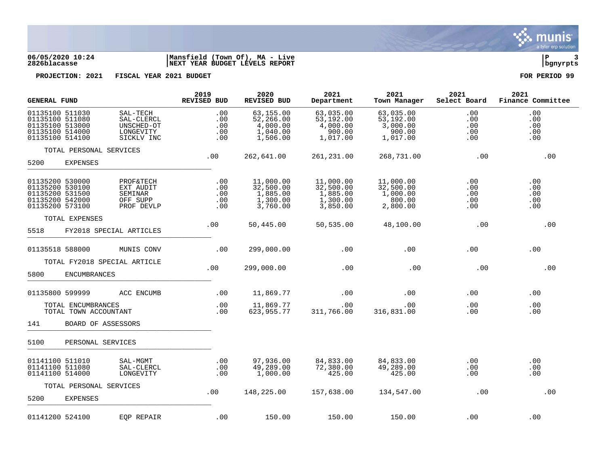

## **06/05/2020 10:24 |Mansfield (Town Of), MA - Live |P 3 2826blacasse |NEXT YEAR BUDGET LEVELS REPORT |bgnyrpts**

| <b>GENERAL FUND</b>                                                                         |                                             |                                                                 | 2019<br><b>REVISED BUD</b>      | 2020<br><b>REVISED BUD</b>                                 | 2021<br>Department                                         | 2021<br>Town Manager                                     | 2021<br>Select Board                      | 2021<br>Finance Committee       |
|---------------------------------------------------------------------------------------------|---------------------------------------------|-----------------------------------------------------------------|---------------------------------|------------------------------------------------------------|------------------------------------------------------------|----------------------------------------------------------|-------------------------------------------|---------------------------------|
| 01135100 511030<br>01135100 511080<br>01135100 513000<br>01135100 514000<br>01135100 514100 |                                             | SAL-TECH<br>SAL-CLERCL<br>UNSCHED-OT<br>LONGEVITY<br>SICKLV INC | .00<br>.00<br>.00<br>.00<br>.00 | 63,155.00<br>52,266.00<br>4,000.00<br>1,040.00<br>1,506.00 | 63,035.00<br>53,192.00<br>4,000.00<br>900.00<br>1,017.00   | 63,035.00<br>53,192.00<br>3,000.00<br>900.00<br>1,017.00 | .00<br>$.00 \,$<br>.00<br>.00<br>$.00 \,$ | .00<br>.00<br>.00<br>.00<br>.00 |
|                                                                                             | TOTAL PERSONAL SERVICES                     |                                                                 |                                 |                                                            |                                                            |                                                          |                                           |                                 |
| 5200                                                                                        | <b>EXPENSES</b>                             |                                                                 | .00                             | 262,641.00                                                 | 261, 231.00                                                | 268,731.00                                               | .00                                       | .00                             |
| 01135200 530000<br>01135200 530100<br>01135200 531500<br>01135200 542000<br>01135200 573100 |                                             | PROF&TECH<br>EXT AUDIT<br>SEMINAR<br>OFF SUPP<br>PROF DEVLP     | .00<br>.00<br>.00<br>.00<br>.00 | 11,000.00<br>32,500.00<br>1,885.00<br>1,300.00<br>3,760.00 | 11,000.00<br>32,500.00<br>1,885.00<br>1,300.00<br>3,850.00 | 11,000.00<br>32,500.00<br>1,000.00<br>800.00<br>2,800.00 | $.00 \,$<br>.00<br>.00<br>$.00 \,$<br>.00 | .00<br>.00<br>.00<br>.00<br>.00 |
|                                                                                             | TOTAL EXPENSES                              |                                                                 |                                 |                                                            |                                                            |                                                          |                                           |                                 |
| 5518                                                                                        |                                             | FY2018 SPECIAL ARTICLES                                         | .00                             | 50,445.00                                                  | 50,535.00                                                  | 48,100.00                                                | .00                                       | .00                             |
| 01135518 588000                                                                             |                                             | MUNIS CONV                                                      | .00                             | 299,000.00                                                 | .00                                                        | .00                                                      | .00                                       | .00                             |
|                                                                                             |                                             | TOTAL FY2018 SPECIAL ARTICLE                                    |                                 |                                                            |                                                            |                                                          |                                           |                                 |
| 5800                                                                                        | <b>ENCUMBRANCES</b>                         |                                                                 | .00                             | 299,000.00                                                 | .00                                                        | .00                                                      | .00                                       | .00                             |
| 01135800 599999                                                                             |                                             | ACC ENCUMB                                                      | .00                             | 11,869.77                                                  | .00                                                        | .00                                                      | .00                                       | .00                             |
|                                                                                             | TOTAL ENCUMBRANCES<br>TOTAL TOWN ACCOUNTANT |                                                                 | .00<br>.00                      | 11,869.77<br>623,955.77                                    | .00<br>311,766.00                                          | .00<br>316,831.00                                        | .00<br>.00                                | .00<br>.00                      |
| 141                                                                                         | BOARD OF ASSESSORS                          |                                                                 |                                 |                                                            |                                                            |                                                          |                                           |                                 |
| 5100                                                                                        | PERSONAL SERVICES                           |                                                                 |                                 |                                                            |                                                            |                                                          |                                           |                                 |
| 01141100 511010<br>01141100 511080<br>01141100 514000                                       |                                             | SAL-MGMT<br>SAL-CLERCL<br>LONGEVITY                             | .00<br>.00<br>.00               | 97,936.00<br>49,289.00<br>1,000.00                         | 84,833.00<br>72,380.00<br>425.00                           | 84,833.00<br>49,289.00<br>425.00                         | $.00 \,$<br>$.00 \,$<br>$.00 \,$          | .00<br>.00<br>.00               |
|                                                                                             | TOTAL PERSONAL SERVICES                     |                                                                 |                                 |                                                            |                                                            |                                                          |                                           |                                 |
| 5200                                                                                        | <b>EXPENSES</b>                             |                                                                 | .00                             | 148,225.00                                                 | 157,638.00                                                 | 134,547.00                                               | .00                                       | .00                             |
| 01141200 524100                                                                             |                                             | EQP REPAIR                                                      | .00                             | 150.00                                                     | 150.00                                                     | 150.00                                                   | .00                                       | .00                             |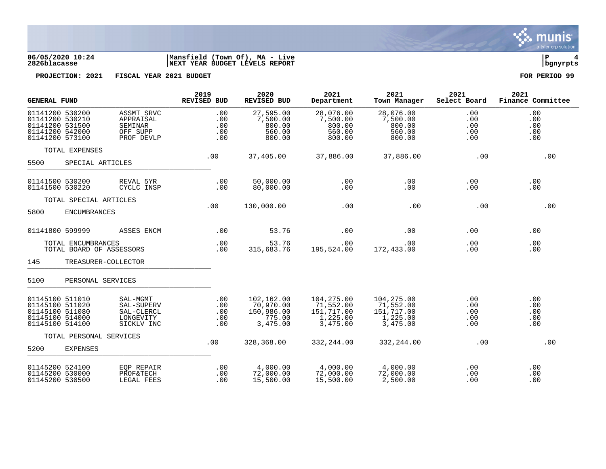

## **06/05/2020 10:24 |Mansfield (Town Of), MA - Live |P 4 2826blacasse |NEXT YEAR BUDGET LEVELS REPORT |bgnyrpts**

|                                                                                             | <b>GENERAL FUND</b>     |                                                                 | 2019<br><b>REVISED BUD</b>      | 2020<br>REVISED BUD                                         | 2021<br>Department                                            | 2021<br>Town Manager                                          | 2021<br>Select Board            | 2021<br>Finance Committee       |
|---------------------------------------------------------------------------------------------|-------------------------|-----------------------------------------------------------------|---------------------------------|-------------------------------------------------------------|---------------------------------------------------------------|---------------------------------------------------------------|---------------------------------|---------------------------------|
| 01141200 530200<br>01141200 530210<br>01141200 531500<br>01141200 542000<br>01141200 573100 |                         | ASSMT SRVC<br>APPRAISAL<br>SEMINAR<br>OFF SUPP<br>PROF DEVLP    | .00<br>.00<br>.00<br>.00<br>.00 | 27,595.00<br>7,500.00<br>800.00<br>560.00<br>800.00         | 28,076.00<br>7,500.00<br>800.00<br>560.00<br>800.00           | 28,076.00<br>7,500.00<br>800.00<br>560.00<br>800.00           | .00<br>.00<br>.00<br>.00<br>.00 | .00<br>.00<br>.00<br>.00<br>.00 |
|                                                                                             | TOTAL EXPENSES          |                                                                 |                                 |                                                             |                                                               |                                                               |                                 |                                 |
| 5500                                                                                        | SPECIAL ARTICLES        |                                                                 | .00                             | 37,405.00                                                   | 37,886.00                                                     | 37,886.00                                                     | .00                             | .00                             |
| 01141500 530200<br>01141500 530220                                                          |                         | REVAL 5YR<br>CYCLC INSP                                         | .00<br>.00                      | 50,000.00<br>80,000.00                                      | .00<br>.00                                                    | .00<br>.00                                                    | .00<br>.00                      | .00<br>.00                      |
|                                                                                             | TOTAL SPECIAL ARTICLES  |                                                                 | .00                             | 130,000.00                                                  | .00                                                           | .00                                                           | .00                             | .00                             |
| 5800                                                                                        | <b>ENCUMBRANCES</b>     |                                                                 |                                 |                                                             |                                                               |                                                               |                                 |                                 |
| 01141800 599999                                                                             |                         | ASSES ENCM                                                      | .00                             | 53.76                                                       | .00                                                           | .00                                                           | .00                             | .00                             |
|                                                                                             | TOTAL ENCUMBRANCES      | TOTAL BOARD OF ASSESSORS                                        | .00<br>.00                      | 53.76<br>315,683.76                                         | .00<br>195,524.00                                             | .00<br>172,433.00                                             | .00<br>.00                      | .00<br>.00                      |
| 145                                                                                         |                         | TREASURER-COLLECTOR                                             |                                 |                                                             |                                                               |                                                               |                                 |                                 |
| 5100                                                                                        | PERSONAL SERVICES       |                                                                 |                                 |                                                             |                                                               |                                                               |                                 |                                 |
| 01145100 511010<br>01145100 511020<br>01145100 511080<br>01145100 514000<br>01145100 514100 |                         | SAL-MGMT<br>SAL-SUPERV<br>SAL-CLERCL<br>LONGEVITY<br>SICKLV INC | .00<br>.00<br>.00<br>.00<br>.00 | 102,162.00<br>70,970.00<br>150,986.00<br>775.00<br>3,475.00 | 104,275.00<br>71,552.00<br>151,717.00<br>1,225.00<br>3,475.00 | 104,275.00<br>71,552.00<br>151,717.00<br>1,225.00<br>3,475.00 | .00<br>.00<br>.00<br>.00<br>.00 | .00<br>.00<br>.00<br>.00<br>.00 |
|                                                                                             | TOTAL PERSONAL SERVICES |                                                                 |                                 |                                                             |                                                               |                                                               |                                 |                                 |
| 5200                                                                                        | <b>EXPENSES</b>         |                                                                 | .00                             | 328,368.00                                                  | 332, 244.00                                                   | 332, 244.00                                                   | .00                             | .00                             |
| 01145200 524100<br>01145200 530000<br>01145200 530500                                       |                         | EOP REPAIR<br>PROF&TECH<br>LEGAL FEES                           | .00<br>.00<br>.00               | 4,000.00<br>72,000.00<br>15,500.00                          | 4,000.00<br>72,000.00<br>15,500.00                            | 4,000.00<br>72,000.00<br>2,500.00                             | .00<br>.00<br>.00               | .00<br>.00<br>.00               |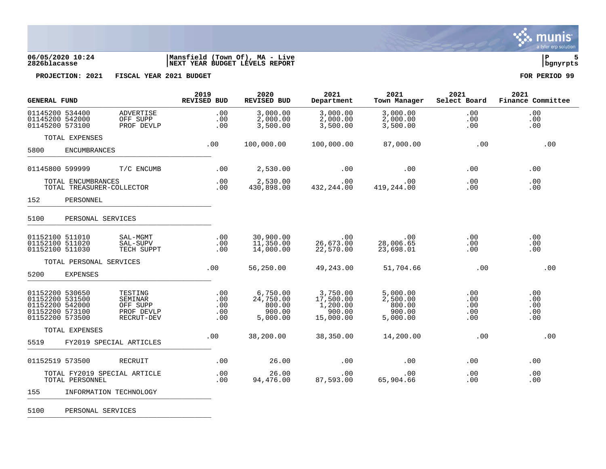|  | muni              |  |  |
|--|-------------------|--|--|
|  | a tyler erp solut |  |  |

 $\mathcal{L}$ 

## **06/05/2020 10:24 |Mansfield (Town Of), MA - Live |P 5 2826blacasse |NEXT YEAR BUDGET LEVELS REPORT |bgnyrpts**



**PROJECTION: 2021 FISCAL YEAR 2021 BUDGET FOR PERIOD 99**

| <b>GENERAL FUND</b>                                                                         |                                                 |                                                            | 2019<br><b>REVISED BUD</b>      | 2020<br><b>REVISED BUD</b>                            | 2021<br>Department                                       | 2021<br>Town Manager                                 | 2021<br>Select Board            | 2021<br>Finance Committee       |
|---------------------------------------------------------------------------------------------|-------------------------------------------------|------------------------------------------------------------|---------------------------------|-------------------------------------------------------|----------------------------------------------------------|------------------------------------------------------|---------------------------------|---------------------------------|
| 01145200 534400<br>01145200 542000<br>01145200 573100                                       |                                                 | <b>ADVERTISE</b><br>OFF SUPP<br>PROF DEVLP                 | .00<br>.00<br>.00               | 3,000.00<br>2,000.00<br>3,500.00                      | 3,000.00<br>2,000.00<br>3,500.00                         | 3,000.00<br>2,000.00<br>3,500.00                     | .00<br>.00<br>.00               | .00<br>.00<br>.00               |
| 5800                                                                                        | TOTAL EXPENSES<br><b>ENCUMBRANCES</b>           |                                                            | $.00 \,$                        | 100,000.00                                            | 100,000.00                                               | 87,000.00                                            | .00                             | .00                             |
| 01145800 599999                                                                             |                                                 | T/C ENCUMB                                                 | .00                             | 2,530.00                                              | .00                                                      | .00                                                  | $.00 \,$                        | .00                             |
|                                                                                             | TOTAL ENCUMBRANCES<br>TOTAL TREASURER-COLLECTOR |                                                            | .00<br>.00                      | 2,530.00<br>430,898.00                                | .00<br>432, 244.00                                       | .00<br>419,244.00                                    | .00<br>$.00 \,$                 | .00<br>.00                      |
| 152                                                                                         | PERSONNEL                                       |                                                            |                                 |                                                       |                                                          |                                                      |                                 |                                 |
| 5100                                                                                        | PERSONAL SERVICES                               |                                                            |                                 |                                                       |                                                          |                                                      |                                 |                                 |
| 01152100 511010<br>01152100 511020<br>01152100 511030                                       |                                                 | SAL-MGMT<br>SAL-SUPV<br>TECH SUPPT                         | .00<br>.00<br>.00               | 30,900.00<br>11,350.00<br>14,000.00                   | .00<br>26,673.00<br>22,570.00                            | .00<br>28,006.65<br>23,698.01                        | .00<br>.00<br>.00               | .00<br>.00<br>.00               |
| 5200                                                                                        | TOTAL PERSONAL SERVICES<br><b>EXPENSES</b>      |                                                            | .00                             | 56,250.00                                             | 49,243.00                                                | 51,704.66                                            | .00                             | .00                             |
| 01152200 530650<br>01152200 531500<br>01152200 542000<br>01152200 573100<br>01152200 573500 |                                                 | TESTING<br>SEMINAR<br>OFF SUPP<br>PROF DEVLP<br>RECRUT-DEV | .00<br>.00<br>.00<br>.00<br>.00 | 6,750.00<br>24,750.00<br>800.00<br>900.00<br>5,000.00 | 3,750.00<br>17,500.00<br>1,200.00<br>900.00<br>15,000.00 | 5,000.00<br>2,500.00<br>800.00<br>900.00<br>5,000.00 | .00<br>.00<br>.00<br>.00<br>.00 | .00<br>.00<br>.00<br>.00<br>.00 |
|                                                                                             | TOTAL EXPENSES                                  |                                                            | .00                             | 38,200.00                                             | 38,350.00                                                | 14,200.00                                            | .00                             | .00                             |
| 5519                                                                                        |                                                 | FY2019 SPECIAL ARTICLES                                    |                                 |                                                       |                                                          |                                                      |                                 |                                 |
| 01152519 573500                                                                             |                                                 | RECRUIT                                                    | .00                             | 26.00                                                 | .00                                                      | .00                                                  | .00                             | .00                             |
|                                                                                             | TOTAL FY2019 SPECIAL ARTICLE<br>TOTAL PERSONNEL |                                                            | .00<br>.00                      | 26.00<br>94,476.00                                    | .00<br>87,593.00                                         | .00<br>65,904.66                                     | .00<br>.00                      | .00<br>.00                      |
| 155                                                                                         | INFORMATION TECHNOLOGY                          |                                                            |                                 |                                                       |                                                          |                                                      |                                 |                                 |

5100 PERSONAL SERVICES \_\_\_\_\_\_\_\_\_\_\_\_\_\_\_\_\_\_\_\_\_\_\_\_\_\_\_\_\_\_\_\_\_\_\_\_\_\_\_\_\_\_\_\_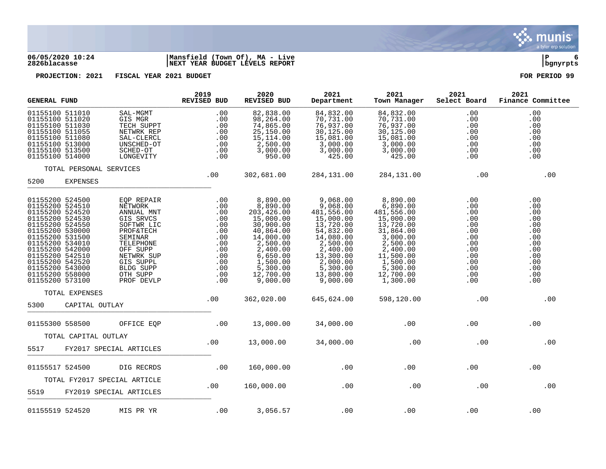

## **06/05/2020 10:24 |Mansfield (Town Of), MA - Live |P 6 2826blacasse |NEXT YEAR BUDGET LEVELS REPORT |bgnyrpts**

| <b>GENERAL FUND</b>                                                                                                                                                                                                                                                    |                         |                                                                                                                                                                                              | 2019<br><b>REVISED BUD</b>                                                                     | 2020<br>REVISED BUD                                                                                                                                                                         | 2021<br>Department                                                                                                                                                           | 2021<br>Town Manager                                                                                                                                                          | 2021<br>Select Board                                                                                     | 2021<br>Finance Committee                                                                      |
|------------------------------------------------------------------------------------------------------------------------------------------------------------------------------------------------------------------------------------------------------------------------|-------------------------|----------------------------------------------------------------------------------------------------------------------------------------------------------------------------------------------|------------------------------------------------------------------------------------------------|---------------------------------------------------------------------------------------------------------------------------------------------------------------------------------------------|------------------------------------------------------------------------------------------------------------------------------------------------------------------------------|-------------------------------------------------------------------------------------------------------------------------------------------------------------------------------|----------------------------------------------------------------------------------------------------------|------------------------------------------------------------------------------------------------|
| 01155100 511010<br>01155100 511020<br>01155100 511030<br>01155100 511055<br>01155100 511080<br>01155100 513000<br>01155100 513500<br>01155100 514000                                                                                                                   |                         | SAL-MGMT<br>GIS MGR<br>TECH SUPPT<br>NETWRK REP<br>SAL-CLERCL<br>UNSCHED-OT<br>SCHED-OT<br>LONGEVITY                                                                                         | .00<br>.00<br>.00<br>.00<br>.00<br>.00<br>.00<br>.00                                           | 82,838.00<br>98,264.00<br>74,865.00<br>25,150.00<br>15,114.00<br>2,500.00<br>$\frac{1}{3}$ ,000.00<br>950.00                                                                                | 84,832.00<br>70,731.00<br>76,937.00<br>30, 125.00<br>15,081.00<br>3,000.00<br>3,000.00<br>425.00                                                                             | 84,832.00<br>70,731.00<br>76,937.00<br>30, 125.00<br>15,081.00<br>3,000.00<br>3,000.00<br>425.00                                                                              | .00<br>.00<br>.00<br>.00<br>.00<br>.00<br>$.00 \,$<br>.00                                                | .00<br>.00<br>.00<br>.00<br>.00<br>.00<br>.00<br>.00                                           |
|                                                                                                                                                                                                                                                                        | TOTAL PERSONAL SERVICES |                                                                                                                                                                                              |                                                                                                |                                                                                                                                                                                             |                                                                                                                                                                              |                                                                                                                                                                               |                                                                                                          |                                                                                                |
| 5200                                                                                                                                                                                                                                                                   | <b>EXPENSES</b>         |                                                                                                                                                                                              | .00                                                                                            | 302,681.00                                                                                                                                                                                  | 284,131.00                                                                                                                                                                   | 284, 131.00                                                                                                                                                                   | .00                                                                                                      | .00                                                                                            |
| 01155200 524500<br>01155200 524510<br>01155200 524520<br>01155200 524530<br>01155200 524550<br>01155200 530000<br>01155200 531500<br>01155200 534010<br>01155200 542000<br>01155200 542510<br>01155200 542520<br>01155200 543000<br>01155200 558000<br>01155200 573100 |                         | EOP REPAIR<br>NETWORK<br>ANNUAL MNT<br>GIS SRVCS<br>SOFTWR LIC<br><b>PROF&amp;TECH</b><br>SEMINAR<br>TELEPHONE<br>OFF SUPP<br>NETWRK SUP<br>GIS SUPPL<br>BLDG SUPP<br>OTH SUPP<br>PROF DEVLP | .00<br>.00<br>.00<br>.00<br>.00<br>.00<br>.00<br>.00<br>.00<br>.00<br>.00<br>.00<br>.00<br>.00 | 8,890.00<br>8,890.00<br>203,426.00<br>15,000.00<br>30,900.00<br>40,864.00<br>14,000.00<br>2,500.00<br>2,400.00<br>6,650.00<br>1,500.00<br>$\frac{5}{12}$ , 300.00<br>12, 700.00<br>9,000.00 | 9,068.00<br>9,068.00<br>481,556.00<br>15,000.00<br>13,720.00<br>54,832.00<br>14,080.00<br>2,500.00<br>2,400.00<br>13,300.00<br>2,000.00<br>5,300.00<br>13,800.00<br>9,000.00 | 8,890.00<br>6,890.00<br>481,556.00<br>15,000.00<br>13,720.00<br>31,864.00<br>3,000.00<br>2,500.00<br>2,400.00<br>11,500.00<br>1,500.00<br>$5,300.00$<br>12,700.00<br>1,300.00 | .00<br>.00<br>.00<br>.00<br>.00<br>.00<br>$.00 \,$<br>.00<br>.00<br>.00<br>.00<br>.00<br>.00<br>$.00 \,$ | .00<br>.00<br>.00<br>.00<br>.00<br>.00<br>.00<br>.00<br>.00<br>.00<br>.00<br>.00<br>.00<br>.00 |
|                                                                                                                                                                                                                                                                        | TOTAL EXPENSES          |                                                                                                                                                                                              | .00                                                                                            | 362,020.00                                                                                                                                                                                  | 645,624.00                                                                                                                                                                   | 598,120.00                                                                                                                                                                    | .00                                                                                                      | .00                                                                                            |
| 5300                                                                                                                                                                                                                                                                   | CAPITAL OUTLAY          |                                                                                                                                                                                              |                                                                                                |                                                                                                                                                                                             |                                                                                                                                                                              |                                                                                                                                                                               |                                                                                                          |                                                                                                |
| 01155300 558500                                                                                                                                                                                                                                                        |                         | OFFICE EQP                                                                                                                                                                                   | .00                                                                                            | 13,000.00                                                                                                                                                                                   | 34,000.00                                                                                                                                                                    | .00                                                                                                                                                                           | .00                                                                                                      | .00                                                                                            |
|                                                                                                                                                                                                                                                                        | TOTAL CAPITAL OUTLAY    |                                                                                                                                                                                              | .00                                                                                            | 13,000.00                                                                                                                                                                                   | 34,000.00                                                                                                                                                                    | .00                                                                                                                                                                           | .00                                                                                                      | .00                                                                                            |
| 5517                                                                                                                                                                                                                                                                   |                         | FY2017 SPECIAL ARTICLES                                                                                                                                                                      |                                                                                                |                                                                                                                                                                                             |                                                                                                                                                                              |                                                                                                                                                                               |                                                                                                          |                                                                                                |
| 01155517 524500                                                                                                                                                                                                                                                        |                         | DIG RECRDS                                                                                                                                                                                   | .00                                                                                            | 160,000.00                                                                                                                                                                                  | .00                                                                                                                                                                          | .00                                                                                                                                                                           | .00                                                                                                      | .00                                                                                            |
|                                                                                                                                                                                                                                                                        |                         | TOTAL FY2017 SPECIAL ARTICLE                                                                                                                                                                 | .00                                                                                            |                                                                                                                                                                                             | .00                                                                                                                                                                          |                                                                                                                                                                               |                                                                                                          | .00                                                                                            |
| 5519                                                                                                                                                                                                                                                                   |                         | FY2019 SPECIAL ARTICLES                                                                                                                                                                      |                                                                                                | 160,000.00                                                                                                                                                                                  |                                                                                                                                                                              | .00                                                                                                                                                                           | .00                                                                                                      |                                                                                                |
| 01155519 524520                                                                                                                                                                                                                                                        |                         | MIS PR YR                                                                                                                                                                                    | .00                                                                                            | 3,056.57                                                                                                                                                                                    | .00                                                                                                                                                                          | .00                                                                                                                                                                           | .00                                                                                                      | .00                                                                                            |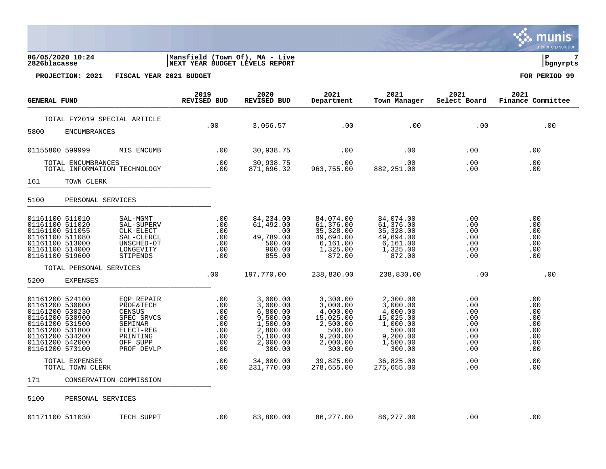|                                                             | <b>GENERAL FUND</b>                                |            | 2019<br>REVISED BUD | 2020<br><b>REVISED BUD</b> | 2021<br>Department | 2021<br>Town Manager | 2021<br>Select Board | 2021<br>Finance Committee |
|-------------------------------------------------------------|----------------------------------------------------|------------|---------------------|----------------------------|--------------------|----------------------|----------------------|---------------------------|
| TOTAL FY2019 SPECIAL ARTICLE<br>5800<br><b>ENCUMBRANCES</b> |                                                    | .00        | 3,056.57            | .00                        | .00                | .00                  | .00                  |                           |
| 01155800 599999                                             |                                                    | MIS ENCUMB | $.00 \,$            | 30,938.75                  | .00                | .00                  | .00                  | .00                       |
|                                                             | TOTAL ENCUMBRANCES<br>TOTAL INFORMATION TECHNOLOGY |            | $.00 \ \rm$<br>.00  | 30,938.75<br>871,696.32    | .00<br>963,755.00  | .00<br>882,251.00    | .00<br>.00           | .00<br>.00                |
| 161                                                         | TOWN CLERK                                         |            |                     |                            |                    |                      |                      |                           |
| 5100                                                        | PERSONAL SERVICES                                  |            |                     |                            |                    |                      |                      |                           |

**06/05/2020 10:24 |Mansfield (Town Of), MA - Live |P 7 2826blacasse |NEXT YEAR BUDGET LEVELS REPORT |bgnyrpts PROJECTION: 2021 FISCAL YEAR 2021 BUDGET FOR PERIOD 99**

 511010 SAL-MGMT .00 84,234.00 84,074.00 84,074.00 .00 .00 511020 SAL-SUPERV .00 61,492.00 61,376.00 61,376.00 .00 .00 511055 CLK-ELECT .00 .00 35,328.00 35,328.00 .00 .00 511080 SAL-CLERCL .00 49,789.00 49,694.00 49,694.00 .00 .00 513000 UNSCHED-OT .00 500.00 6,161.00 6,161.00 .00 .00 514000 LONGEVITY .00 900.00 1,325.00 1,325.00 .00 .00 519600 STIPENDS .00 855.00 872.00 872.00 .00 .00 TOTAL PERSONAL SERVICES  $.00 \qquad \qquad 197,770.00 \qquad \qquad 238,830.00 \qquad \qquad 238,830.00 \qquad \qquad .00$  EXPENSES \_\_\_\_\_\_\_\_\_\_\_\_\_\_\_\_\_\_\_\_\_\_\_\_\_\_\_\_\_\_\_\_\_\_\_\_\_\_\_\_\_\_\_\_ 524100 EQP REPAIR .00 3,000.00 3,300.00 2,300.00 .00 .00 530000 PROF&TECH .00 3,000.00 3,000.00 3,000.00 .00 .00 530230 CENSUS .00 6,800.00 4,000.00 4,000.00 .00 .00 530900 SPEC SRVCS .00 9,500.00 15,025.00 15,025.00 .00 .00 531500 SEMINAR .00 1,500.00 2,500.00 1,000.00 .00 .00 531800 ELECT-REG .00 2,800.00 500.00 500.00 .00 .00 534200 PRINTING .00 5,100.00 9,200.00 9,200.00 .00 .00 542000 OFF SUPP .00 2,000.00 2,000.00 1,500.00 .00 .00 573100 PROF DEVLP .00 300.00 300.00 300.00 .00 .00 TOTAL EXPENSES .00 34,000.00 39,825.00 36,825.00 .00 .00 TOTAL TOWN CLERK .00 231,770.00 278,655.00 275,655.00 .00 .00 171 CONSERVATION COMMISSION PERSONAL SERVICES \_\_\_\_\_\_\_\_\_\_\_\_\_\_\_\_\_\_\_\_\_\_\_\_\_\_\_\_\_\_\_\_\_\_\_\_\_\_\_\_\_\_\_\_ 01171100 511030 TECH SUPPT .00 83,800.00 86,277.00 86,277.00 .00 .00

**munis** a tyler erp solution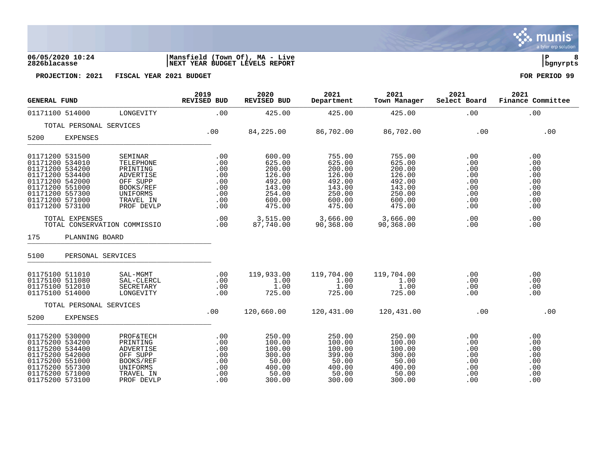## **06/05/2020 10:24 |Mansfield (Town Of), MA - Live |P 8 2826blacasse |NEXT YEAR BUDGET LEVELS REPORT |bgnyrpts**

| <b>GENERAL FUND</b>                                                                                                                                                     |                         |                                                                                                               | 2019<br>REVISED BUD                                         | 2020<br>REVISED BUD                                                                    | 2021<br>Department                                                                     | 2021                                                                                   | 2021<br>Town Manager Select Board                           | 2021<br>Finance Committee                                   |
|-------------------------------------------------------------------------------------------------------------------------------------------------------------------------|-------------------------|---------------------------------------------------------------------------------------------------------------|-------------------------------------------------------------|----------------------------------------------------------------------------------------|----------------------------------------------------------------------------------------|----------------------------------------------------------------------------------------|-------------------------------------------------------------|-------------------------------------------------------------|
| 01171100 514000                                                                                                                                                         |                         | LONGEVITY                                                                                                     | .00                                                         | 425.00                                                                                 | 425.00                                                                                 | 425.00                                                                                 | .00                                                         | .00                                                         |
|                                                                                                                                                                         | TOTAL PERSONAL SERVICES |                                                                                                               |                                                             |                                                                                        |                                                                                        |                                                                                        |                                                             |                                                             |
| 5200                                                                                                                                                                    | <b>EXPENSES</b>         |                                                                                                               | .00                                                         |                                                                                        | 84,225.00 86,702.00                                                                    | 86,702.00                                                                              | .00                                                         | .00                                                         |
| 01171200 531500<br>01171200 534010<br>01171200 534200<br>01171200 534400<br>01171200 542000<br>01171200 551000<br>01171200 557300<br>01171200 571000<br>01171200 573100 |                         | SEMINAR<br>TELEPHONE<br>PRINTING<br>ADVERTISE<br>OFF SUPP<br>BOOKS/REF<br>UNIFORMS<br>TRAVEL IN<br>PROF DEVLP | .00<br>.00<br>.00<br>.00<br>.00<br>.00<br>.00<br>.00<br>.00 | 600.00<br>625.00<br>200.00<br>126.00<br>492.00<br>143.00<br>254.00<br>600.00<br>475.00 | 755.00<br>625.00<br>200.00<br>126.00<br>492.00<br>143.00<br>250.00<br>600.00<br>475.00 | 755.00<br>625.00<br>200.00<br>126.00<br>492.00<br>143.00<br>250.00<br>600.00<br>475.00 | .00<br>.00<br>.00<br>.00<br>.00<br>.00<br>.00<br>.00<br>.00 | .00<br>.00<br>.00<br>.00<br>.00<br>.00<br>.00<br>.00<br>.00 |
|                                                                                                                                                                         | TOTAL EXPENSES          | TOTAL CONSERVATION COMMISSIO                                                                                  | .00<br>.00                                                  |                                                                                        |                                                                                        | 3,515.00    3,666.00    3,666.00<br>87,740.00    90,368.00    90,368.00                | .00<br>.00                                                  | .00<br>.00                                                  |
| 175                                                                                                                                                                     | PLANNING BOARD          |                                                                                                               |                                                             |                                                                                        |                                                                                        |                                                                                        |                                                             |                                                             |
| 5100                                                                                                                                                                    | PERSONAL SERVICES       |                                                                                                               |                                                             |                                                                                        |                                                                                        |                                                                                        |                                                             |                                                             |
| 01175100 511010<br>01175100 511080<br>01175100 512010<br>01175100 514000                                                                                                |                         | SAL-MGMT<br>SAL-CLERCL<br>SECRETARY<br>LONGEVITY                                                              | .00<br>.00<br>.00<br>.00                                    | 119,933.00<br>1.00<br>$\frac{1.00}{725.00}$                                            | 119,704.00<br>1.00<br>1.00<br>725.00                                                   | 119,704.00<br>1.00<br>1.00<br>725.00                                                   | .00<br>.00<br>.00<br>.00                                    | .00<br>.00<br>.00<br>.00                                    |
|                                                                                                                                                                         | TOTAL PERSONAL SERVICES |                                                                                                               | .00                                                         |                                                                                        | 120,660.00    120,431.00    120,431.00                                                 |                                                                                        | 00                                                          | .00                                                         |
| 5200                                                                                                                                                                    | <b>EXPENSES</b>         |                                                                                                               |                                                             |                                                                                        |                                                                                        |                                                                                        |                                                             |                                                             |
| 01175200 530000<br>01175200 534200<br>01175200 534400<br>01175200 542000<br>01175200 551000<br>01175200 557300<br>01175200 571000<br>01175200 573100                    |                         | <b>PROF&amp;TECH</b><br>PRINTING<br>ADVERTISE<br>OFF SUPP<br>BOOKS/REF<br>UNIFORMS<br>TRAVEL IN<br>PROF DEVLP | .00<br>.00<br>.00<br>.00<br>.00<br>.00<br>.00<br>.00        | 250.00<br>100.00<br>100.00<br>300.00<br>50.00<br>400.00<br>50.00<br>300.00             | 250.00<br>100.00<br>100.00<br>399.00<br>50.00<br>400.00<br>50.00<br>300.00             | 250.00<br>100.00<br>100.00<br>300.00<br>50.00<br>400.00<br>50.00<br>300.00             | .00<br>.00<br>.00<br>.00<br>.00<br>.00<br>.00<br>.00.       | .00<br>.00<br>.00<br>.00<br>.00<br>.00<br>.00<br>.00        |

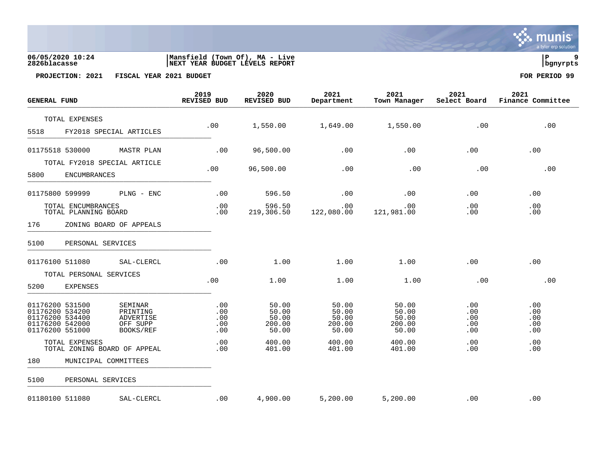|  | 06/05/2020 10:24 |  |  |
|--|------------------|--|--|
|  | 2826blacasse     |  |  |

# **06/05/2020 10:24 |Mansfield (Town Of), MA - Live |P 9 2826blacasse |NEXT YEAR BUDGET LEVELS REPORT |bgnyrpts**

| <b>GENERAL FUND</b>                                                                         |                                            |                                                           | 2019<br><b>REVISED BUD</b>      | 2020<br>REVISED BUD                        | 2021<br>Department                         | 2021<br>Town Manager                       | 2021<br>Select Board                 | 2021<br>Finance Committee            |
|---------------------------------------------------------------------------------------------|--------------------------------------------|-----------------------------------------------------------|---------------------------------|--------------------------------------------|--------------------------------------------|--------------------------------------------|--------------------------------------|--------------------------------------|
|                                                                                             | TOTAL EXPENSES                             |                                                           | .00                             |                                            |                                            |                                            | .00                                  | .00                                  |
| 5518                                                                                        |                                            | FY2018 SPECIAL ARTICLES                                   |                                 | 1,550.00                                   | 1,649.00                                   | 1,550.00                                   |                                      |                                      |
| 01175518 530000                                                                             |                                            | MASTR PLAN                                                | .00                             | 96,500.00                                  | .00                                        | .00                                        | .00                                  | .00                                  |
|                                                                                             |                                            | TOTAL FY2018 SPECIAL ARTICLE                              |                                 |                                            |                                            |                                            |                                      |                                      |
| 5800                                                                                        | <b>ENCUMBRANCES</b>                        |                                                           | .00                             | 96,500.00                                  | .00                                        | .00                                        | .00                                  | .00                                  |
| 01175800 599999                                                                             |                                            | $PLNG - ENC$                                              | .00                             | 596.50                                     | .00                                        | .00                                        | .00                                  | .00                                  |
|                                                                                             | TOTAL ENCUMBRANCES<br>TOTAL PLANNING BOARD |                                                           | .00<br>.00                      | 596.50<br>219,306.50                       | $.00 \,$<br>122,080.00                     | .00<br>121,981.00                          | .00<br>.00                           | .00<br>.00                           |
| 176                                                                                         |                                            | ZONING BOARD OF APPEALS                                   |                                 |                                            |                                            |                                            |                                      |                                      |
| 5100                                                                                        | PERSONAL SERVICES                          |                                                           |                                 |                                            |                                            |                                            |                                      |                                      |
| 01176100 511080                                                                             |                                            | SAL-CLERCL                                                | .00                             | 1.00                                       | 1.00                                       | 1.00                                       | .00                                  | .00                                  |
|                                                                                             | TOTAL PERSONAL SERVICES                    |                                                           |                                 |                                            |                                            |                                            |                                      |                                      |
| 5200                                                                                        | <b>EXPENSES</b>                            |                                                           | .00                             | 1.00                                       | 1.00                                       | 1.00                                       | .00                                  | .00                                  |
| 01176200 531500<br>01176200 534200<br>01176200 534400<br>01176200 542000<br>01176200 551000 |                                            | SEMINAR<br>PRINTING<br>ADVERTISE<br>OFF SUPP<br>BOOKS/REF | .00<br>.00<br>.00<br>.00<br>.00 | 50.00<br>50.00<br>50.00<br>200.00<br>50.00 | 50.00<br>50.00<br>50.00<br>200.00<br>50.00 | 50.00<br>50.00<br>50.00<br>200.00<br>50.00 | .00<br>.00<br>.00<br>$.00 \,$<br>.00 | .00<br>$.00 \,$<br>.00<br>.00<br>.00 |
|                                                                                             | TOTAL EXPENSES                             | TOTAL ZONING BOARD OF APPEAL                              | .00<br>.00                      | 400.00<br>401.00                           | 400.00<br>401.00                           | 400.00<br>401.00                           | .00<br>.00                           | .00<br>.00                           |
| 180                                                                                         | MUNICIPAL COMMITTEES                       |                                                           |                                 |                                            |                                            |                                            |                                      |                                      |
| 5100                                                                                        | PERSONAL SERVICES                          |                                                           |                                 |                                            |                                            |                                            |                                      |                                      |
| 01180100 511080                                                                             |                                            | SAL-CLERCL                                                | .00                             | 4,900.00                                   | 5,200.00                                   | 5,200.00                                   | .00                                  | .00                                  |

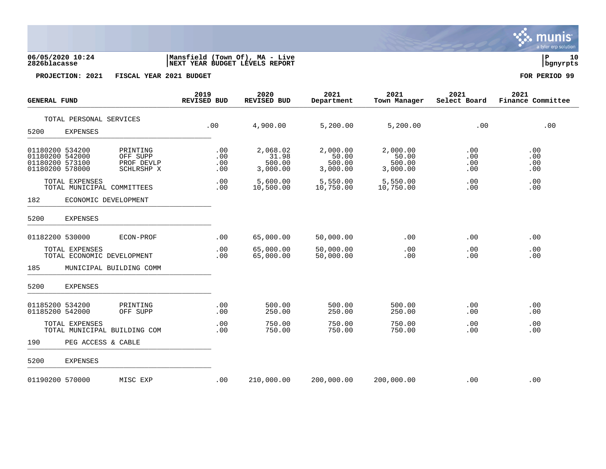## **06/05/2020 10:24 |Mansfield (Town Of), MA - Live |P 10 2826blacasse |NEXT YEAR BUDGET LEVELS REPORT |bgnyrpts**

| <b>GENERAL FUND</b>                                                                                                          | 2019<br>REVISED BUD      | 2020<br>REVISED BUD                     | 2021<br>Department                      | 2021<br>Town Manager                    | 2021<br>Select Board          | 2021<br>Finance Committee |
|------------------------------------------------------------------------------------------------------------------------------|--------------------------|-----------------------------------------|-----------------------------------------|-----------------------------------------|-------------------------------|---------------------------|
| TOTAL PERSONAL SERVICES<br>5200<br><b>EXPENSES</b>                                                                           | .00                      | 4,900.00                                | 5,200.00                                | 5,200.00                                | .00                           | .00                       |
| 01180200 534200<br>PRINTING<br>01180200 542000<br>OFF SUPP<br>01180200 573100<br>PROF DEVLP<br>01180200 578000<br>SCHLRSHP X | .00<br>.00<br>.00<br>.00 | 2,068.02<br>31.98<br>500.00<br>3,000.00 | 2,000.00<br>50.00<br>500.00<br>3,000.00 | 2,000.00<br>50.00<br>500.00<br>3,000.00 | .00<br>.00<br>.00<br>$.00 \,$ | .00<br>.00<br>.00<br>.00  |
| TOTAL EXPENSES<br>TOTAL MUNICIPAL COMMITTEES                                                                                 | .00<br>.00               | 5,600.00<br>10,500.00                   | 5,550.00<br>10,750.00                   | 5,550.00<br>10,750.00                   | .00<br>.00                    | .00<br>.00                |
| 182<br>ECONOMIC DEVELOPMENT                                                                                                  |                          |                                         |                                         |                                         |                               |                           |
| 5200<br><b>EXPENSES</b>                                                                                                      |                          |                                         |                                         |                                         |                               |                           |
| 01182200 530000<br>ECON-PROF                                                                                                 | .00                      | 65,000.00                               | 50,000.00                               | .00                                     | .00                           | .00                       |
| TOTAL EXPENSES<br>TOTAL ECONOMIC DEVELOPMENT                                                                                 | .00<br>.00               | 65,000.00<br>65,000.00                  | 50,000.00<br>50,000.00                  | .00<br>.00                              | .00<br>.00                    | .00<br>.00                |
| 185<br>MUNICIPAL BUILDING COMM                                                                                               |                          |                                         |                                         |                                         |                               |                           |
| 5200<br><b>EXPENSES</b>                                                                                                      |                          |                                         |                                         |                                         |                               |                           |
| 01185200 534200<br>PRINTING<br>01185200 542000<br>OFF SUPP                                                                   | .00<br>.00               | 500.00<br>250.00                        | 500.00<br>250.00                        | 500.00<br>250.00                        | .00<br>.00                    | .00<br>.00                |
| TOTAL EXPENSES<br>TOTAL MUNICIPAL BUILDING COM                                                                               | .00<br>.00               | 750.00<br>750.00                        | 750.00<br>750.00                        | 750.00<br>750.00                        | .00<br>.00                    | .00<br>.00                |
| 190<br>PEG ACCESS & CABLE                                                                                                    |                          |                                         |                                         |                                         |                               |                           |
| 5200<br><b>EXPENSES</b>                                                                                                      |                          |                                         |                                         |                                         |                               |                           |
| 01190200 570000<br>MISC EXP                                                                                                  | .00                      | 210,000.00                              | 200,000.00                              | 200,000.00                              | .00                           | .00                       |

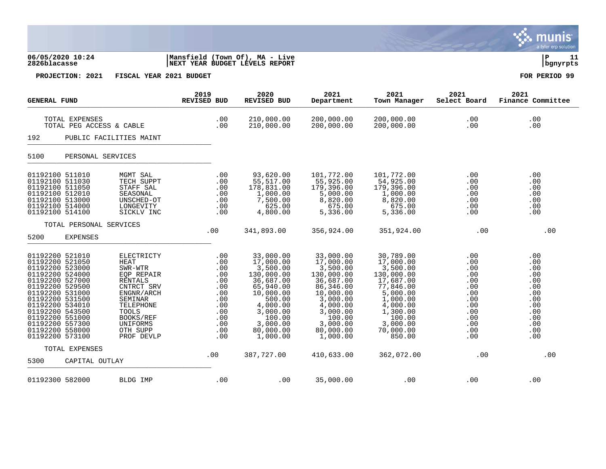|                                                                                                                                                                                                                                                                        | PROJECTION: 2021                           | FISCAL YEAR 2021 BUDGET                                                                                                                                                              |                                                                                                |                                                                                                                                                                          |                                                                                                                                                                             |                                                                                                                                                                         |                                                                                                | FOR PERIOD 99                                                                                  |
|------------------------------------------------------------------------------------------------------------------------------------------------------------------------------------------------------------------------------------------------------------------------|--------------------------------------------|--------------------------------------------------------------------------------------------------------------------------------------------------------------------------------------|------------------------------------------------------------------------------------------------|--------------------------------------------------------------------------------------------------------------------------------------------------------------------------|-----------------------------------------------------------------------------------------------------------------------------------------------------------------------------|-------------------------------------------------------------------------------------------------------------------------------------------------------------------------|------------------------------------------------------------------------------------------------|------------------------------------------------------------------------------------------------|
| <b>GENERAL FUND</b>                                                                                                                                                                                                                                                    |                                            |                                                                                                                                                                                      | 2019<br><b>REVISED BUD</b>                                                                     | 2020<br><b>REVISED BUD</b>                                                                                                                                               | 2021<br>Department                                                                                                                                                          | 2021<br>Town Manager                                                                                                                                                    | 2021<br>Select Board                                                                           | 2021<br>Finance Committee                                                                      |
|                                                                                                                                                                                                                                                                        | TOTAL EXPENSES<br>TOTAL PEG ACCESS & CABLE |                                                                                                                                                                                      | .00<br>.00                                                                                     | 210,000.00<br>210,000.00                                                                                                                                                 | 200,000.00<br>200,000.00                                                                                                                                                    | 200,000.00<br>200,000.00                                                                                                                                                | .00<br>.00                                                                                     | .00<br>.00                                                                                     |
| 192                                                                                                                                                                                                                                                                    |                                            | PUBLIC FACILITIES MAINT                                                                                                                                                              |                                                                                                |                                                                                                                                                                          |                                                                                                                                                                             |                                                                                                                                                                         |                                                                                                |                                                                                                |
| 5100                                                                                                                                                                                                                                                                   | PERSONAL SERVICES                          |                                                                                                                                                                                      |                                                                                                |                                                                                                                                                                          |                                                                                                                                                                             |                                                                                                                                                                         |                                                                                                |                                                                                                |
| 01192100 511010<br>01192100 511030<br>01192100 511050<br>01192100 512010<br>01192100 513000<br>01192100 514000<br>01192100 514100                                                                                                                                      |                                            | MGMT SAL<br>TECH SUPPT<br>STAFF SAL<br>SEASONAL<br>UNSCHED-OT<br>LONGEVITY<br>SICKLV INC                                                                                             | .00<br>.00<br>.00<br>.00<br>.00<br>.00<br>.00                                                  | 93,620.00<br>55,517.00<br>178,831.00<br>1,000.00<br>7,500.00<br>625.00<br>4,800.00                                                                                       | 101,772.00<br>55,925.00<br>179,396.00<br>5,000.00<br>8,820.00<br>675.00<br>5,336.00                                                                                         | 101,772.00<br>54,925.00<br>179,396.00<br>1,000.00<br>8,820.00<br>675.00<br>5,336.00                                                                                     | .00<br>.00<br>.00<br>.00<br>.00.<br>.00<br>.00                                                 | .00<br>.00<br>.00<br>.00<br>.00<br>.00<br>.00                                                  |
|                                                                                                                                                                                                                                                                        | TOTAL PERSONAL SERVICES                    |                                                                                                                                                                                      | .00                                                                                            | 341,893.00                                                                                                                                                               | 356,924.00                                                                                                                                                                  | 351,924.00                                                                                                                                                              | .00                                                                                            | .00                                                                                            |
| 5200                                                                                                                                                                                                                                                                   | <b>EXPENSES</b>                            |                                                                                                                                                                                      |                                                                                                |                                                                                                                                                                          |                                                                                                                                                                             |                                                                                                                                                                         |                                                                                                |                                                                                                |
| 01192200 521010<br>01192200 521050<br>01192200 523000<br>01192200 524000<br>01192200 527000<br>01192200 529500<br>01192200 531000<br>01192200 531500<br>01192200 534010<br>01192200 543500<br>01192200 551000<br>01192200 557300<br>01192200 558000<br>01192200 573100 |                                            | ELECTRICTY<br>HEAT<br>SWR-WTR<br>EQP REPAIR<br><b>RENTALS</b><br>CNTRCT SRV<br>ENGNR/ARCH<br>SEMINAR<br>TELEPHONE<br><b>TOOLS</b><br>BOOKS/REF<br>UNIFORMS<br>OTH SUPP<br>PROF DEVLP | .00<br>.00<br>.00<br>.00<br>.00<br>.00<br>.00<br>.00<br>.00<br>.00<br>.00<br>.00<br>.00<br>.00 | 33,000.00<br>17,000.00<br>3,500.00<br>130,000.00<br>36,687.00<br>65,940.00<br>10,000.00<br>500.00<br>4,000.00<br>3,000.00<br>100.00<br>3,000.00<br>80,000.00<br>1,000.00 | 33,000.00<br>17,000.00<br>3,500.00<br>130,000.00<br>36,687.00<br>86, 346.00<br>10,000.00<br>3,000.00<br>4,000.00<br>3,000.00<br>100.00<br>3,000.00<br>80,000.00<br>1,000.00 | 30,789.00<br>17,000.00<br>3,500.00<br>130,000.00<br>17,687.00<br>77,846.00<br>5,000.00<br>1,000.00<br>4,000.00<br>1,300.00<br>100.00<br>3,000.00<br>70,000.00<br>850.00 | .00<br>.00<br>.00<br>.00<br>.00<br>.00<br>.00<br>.00<br>.00<br>.00<br>.00<br>.00<br>.00<br>.00 | .00<br>.00<br>.00<br>.00<br>.00<br>.00<br>.00<br>.00<br>.00<br>.00<br>.00<br>.00<br>.00<br>.00 |
|                                                                                                                                                                                                                                                                        | TOTAL EXPENSES                             |                                                                                                                                                                                      | .00                                                                                            | 387,727.00                                                                                                                                                               | 410,633.00                                                                                                                                                                  | 362,072.00                                                                                                                                                              | .00                                                                                            | .00                                                                                            |
| 5300                                                                                                                                                                                                                                                                   | CAPITAL OUTLAY                             |                                                                                                                                                                                      |                                                                                                |                                                                                                                                                                          |                                                                                                                                                                             |                                                                                                                                                                         |                                                                                                |                                                                                                |
| 01192300 582000                                                                                                                                                                                                                                                        |                                            | BLDG IMP                                                                                                                                                                             | .00                                                                                            | .00                                                                                                                                                                      | 35,000.00                                                                                                                                                                   | .00                                                                                                                                                                     | .00                                                                                            | .00                                                                                            |

# **06/05/2020 10:24 |Mansfield (Town Of), MA - Live |P 11 2826blacasse |NEXT YEAR BUDGET LEVELS REPORT |bgnyrpts**

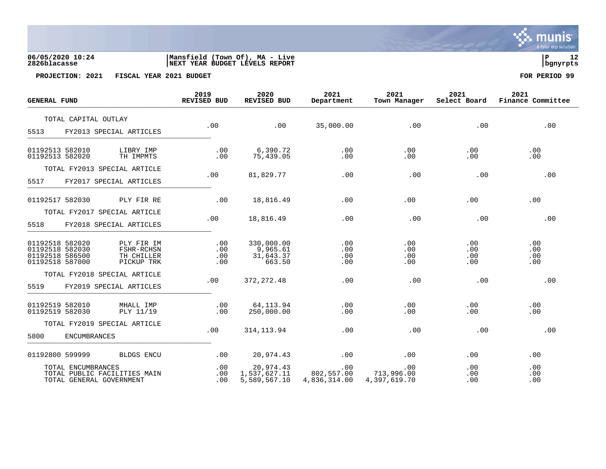| 06/05/2020 10:24 |  |
|------------------|--|
| 2826blacasse     |  |

## **06/05/2020 10:24 |Mansfield (Town Of), MA - Live |P 12 2826blacasse |NEXT YEAR BUDGET LEVELS REPORT |bgnyrpts**

munis<sup>.</sup> a tyler erp solution

| <b>GENERAL FUND</b>                                                                                                              | 2019<br>REVISED BUD      | 2020<br>REVISED BUD                           | 2021<br>Department                             | 2021<br>Town Manager              | 2021<br>Select Board     | 2021<br>Finance Committee |
|----------------------------------------------------------------------------------------------------------------------------------|--------------------------|-----------------------------------------------|------------------------------------------------|-----------------------------------|--------------------------|---------------------------|
| TOTAL CAPITAL OUTLAY                                                                                                             | .00                      | .00                                           | 35,000.00                                      | .00                               | .00                      | .00                       |
| FY2013 SPECIAL ARTICLES<br>5513                                                                                                  |                          |                                               |                                                |                                   |                          |                           |
| 01192513 582010<br>LIBRY IMP<br>01192513 582020<br>TH IMPMTS                                                                     | .00<br>.00               | 6,390.72<br>75,439.05                         | .00<br>.00                                     | .00<br>.00                        | .00<br>.00               | .00<br>.00                |
| TOTAL FY2013 SPECIAL ARTICLE                                                                                                     |                          |                                               |                                                |                                   |                          |                           |
| 5517<br>FY2017 SPECIAL ARTICLES                                                                                                  | .00                      | 81,829.77                                     | .00                                            | .00                               | .00                      | .00                       |
| 01192517 582030<br>PLY FIR RE                                                                                                    | .00                      | 18,816.49                                     | .00                                            | .00                               | .00                      | .00                       |
| TOTAL FY2017 SPECIAL ARTICLE                                                                                                     |                          |                                               |                                                |                                   |                          |                           |
| FY2018 SPECIAL ARTICLES<br>5518                                                                                                  | .00                      | 18,816.49                                     | .00                                            | .00                               | .00                      | .00                       |
| 01192518 582020<br>PLY FIR IM<br>01192518 582030<br>FSHR-RCHSN<br>01192518 586500<br>TH CHILLER<br>01192518 587000<br>PICKUP TRK | .00<br>.00<br>.00<br>.00 | 330,000.00<br>9,965.61<br>31,643.37<br>663.50 | .00<br>.00<br>.00<br>.00                       | .00<br>.00<br>.00<br>.00          | .00<br>.00<br>.00<br>.00 | .00<br>.00<br>.00<br>.00  |
| TOTAL FY2018 SPECIAL ARTICLE                                                                                                     |                          |                                               |                                                |                                   |                          |                           |
| 5519<br>FY2019 SPECIAL ARTICLES                                                                                                  | .00                      | 372, 272.48                                   | .00                                            | .00                               | .00                      | .00                       |
| 01192519 582010<br>MHALL IMP<br>01192519 582030<br>PLY 11/19                                                                     | .00<br>.00               | 64,113.94<br>250,000.00                       | .00<br>.00                                     | .00<br>.00                        | .00<br>.00               | .00<br>.00                |
| TOTAL FY2019 SPECIAL ARTICLE                                                                                                     |                          |                                               |                                                |                                   |                          |                           |
| 5800<br><b>ENCUMBRANCES</b>                                                                                                      | .00                      | 314, 113.94                                   | .00                                            | .00                               | .00                      | .00                       |
| 01192800 599999<br><b>BLDGS ENCU</b>                                                                                             | .00                      | 20,974.43                                     | .00                                            | .00                               | .00                      | .00                       |
| TOTAL ENCUMBRANCES<br>TOTAL PUBLIC FACILITIES MAIN<br>TOTAL GENERAL GOVERNMENT                                                   | .00<br>.00<br>.00        | 20,974.43<br>5,589,567.10                     | .00<br>1,537,627.11 802,557.00<br>4,836,314.00 | .00<br>713,996.00<br>4,397,619.70 | .00<br>.00<br>.00        | .00<br>.00<br>.00         |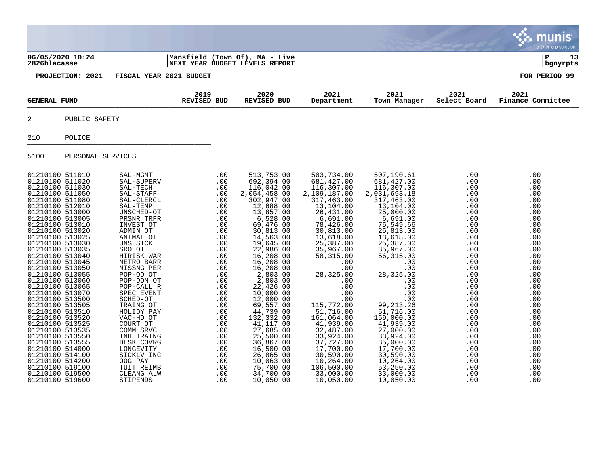|                                                                                                                                                                                                                                                                                                                                                                                                                                                                                                                                                                                                                                                                    |                   |                                                                                                                                                                                                                                                                                                                                                                                                                                                           |                            |                                                                                                                                                                                                                                            |                                                                                                                                                                                                                                                                                                                                                                                                                                                             |                                                                                                                                                                                                                                                                                                                                                                                                                              |                                                                                                                                                                                                                                                                                                                                                                                                                             |                                                                                                                                                                                                                                            | nis<br>mu<br>a tyler erp solution                                                                                                                                                                                                          |
|--------------------------------------------------------------------------------------------------------------------------------------------------------------------------------------------------------------------------------------------------------------------------------------------------------------------------------------------------------------------------------------------------------------------------------------------------------------------------------------------------------------------------------------------------------------------------------------------------------------------------------------------------------------------|-------------------|-----------------------------------------------------------------------------------------------------------------------------------------------------------------------------------------------------------------------------------------------------------------------------------------------------------------------------------------------------------------------------------------------------------------------------------------------------------|----------------------------|--------------------------------------------------------------------------------------------------------------------------------------------------------------------------------------------------------------------------------------------|-------------------------------------------------------------------------------------------------------------------------------------------------------------------------------------------------------------------------------------------------------------------------------------------------------------------------------------------------------------------------------------------------------------------------------------------------------------|------------------------------------------------------------------------------------------------------------------------------------------------------------------------------------------------------------------------------------------------------------------------------------------------------------------------------------------------------------------------------------------------------------------------------|-----------------------------------------------------------------------------------------------------------------------------------------------------------------------------------------------------------------------------------------------------------------------------------------------------------------------------------------------------------------------------------------------------------------------------|--------------------------------------------------------------------------------------------------------------------------------------------------------------------------------------------------------------------------------------------|--------------------------------------------------------------------------------------------------------------------------------------------------------------------------------------------------------------------------------------------|
| 06/05/2020 10:24<br>2826blacasse                                                                                                                                                                                                                                                                                                                                                                                                                                                                                                                                                                                                                                   |                   |                                                                                                                                                                                                                                                                                                                                                                                                                                                           |                            |                                                                                                                                                                                                                                            | Mansfield (Town Of), MA - Live<br>NEXT YEAR BUDGET LEVELS REPORT                                                                                                                                                                                                                                                                                                                                                                                            |                                                                                                                                                                                                                                                                                                                                                                                                                              |                                                                                                                                                                                                                                                                                                                                                                                                                             |                                                                                                                                                                                                                                            | ΙP<br>13<br>bgnyrpts                                                                                                                                                                                                                       |
|                                                                                                                                                                                                                                                                                                                                                                                                                                                                                                                                                                                                                                                                    | PROJECTION: 2021  | FISCAL YEAR 2021 BUDGET                                                                                                                                                                                                                                                                                                                                                                                                                                   |                            |                                                                                                                                                                                                                                            |                                                                                                                                                                                                                                                                                                                                                                                                                                                             |                                                                                                                                                                                                                                                                                                                                                                                                                              |                                                                                                                                                                                                                                                                                                                                                                                                                             |                                                                                                                                                                                                                                            | FOR PERIOD 99                                                                                                                                                                                                                              |
| <b>GENERAL FUND</b>                                                                                                                                                                                                                                                                                                                                                                                                                                                                                                                                                                                                                                                |                   |                                                                                                                                                                                                                                                                                                                                                                                                                                                           | 2019<br><b>REVISED BUD</b> |                                                                                                                                                                                                                                            | 2020<br><b>REVISED BUD</b>                                                                                                                                                                                                                                                                                                                                                                                                                                  | 2021<br>Department                                                                                                                                                                                                                                                                                                                                                                                                           | 2021<br>Town Manager                                                                                                                                                                                                                                                                                                                                                                                                        | 2021<br>Select Board                                                                                                                                                                                                                       | 2021<br>Finance Committee                                                                                                                                                                                                                  |
| 2                                                                                                                                                                                                                                                                                                                                                                                                                                                                                                                                                                                                                                                                  | PUBLIC SAFETY     |                                                                                                                                                                                                                                                                                                                                                                                                                                                           |                            |                                                                                                                                                                                                                                            |                                                                                                                                                                                                                                                                                                                                                                                                                                                             |                                                                                                                                                                                                                                                                                                                                                                                                                              |                                                                                                                                                                                                                                                                                                                                                                                                                             |                                                                                                                                                                                                                                            |                                                                                                                                                                                                                                            |
| 210                                                                                                                                                                                                                                                                                                                                                                                                                                                                                                                                                                                                                                                                | POLICE            |                                                                                                                                                                                                                                                                                                                                                                                                                                                           |                            |                                                                                                                                                                                                                                            |                                                                                                                                                                                                                                                                                                                                                                                                                                                             |                                                                                                                                                                                                                                                                                                                                                                                                                              |                                                                                                                                                                                                                                                                                                                                                                                                                             |                                                                                                                                                                                                                                            |                                                                                                                                                                                                                                            |
| 5100                                                                                                                                                                                                                                                                                                                                                                                                                                                                                                                                                                                                                                                               | PERSONAL SERVICES |                                                                                                                                                                                                                                                                                                                                                                                                                                                           |                            |                                                                                                                                                                                                                                            |                                                                                                                                                                                                                                                                                                                                                                                                                                                             |                                                                                                                                                                                                                                                                                                                                                                                                                              |                                                                                                                                                                                                                                                                                                                                                                                                                             |                                                                                                                                                                                                                                            |                                                                                                                                                                                                                                            |
| 01210100 511010<br>01210100 511020<br>01210100 511030<br>01210100 511050<br>01210100 511080<br>01210100 512010<br>01210100 513000<br>01210100 513005<br>01210100 513010<br>01210100 513020<br>01210100 513025<br>01210100 513030<br>01210100 513035<br>01210100 513040<br>01210100 513045<br>01210100 513050<br>01210100 513055<br>01210100 513060<br>01210100 513065<br>01210100 513070<br>01210100 513500<br>01210100 513505<br>01210100 513510<br>01210100 513520<br>01210100 513525<br>01210100 513535<br>01210100 513550<br>01210100 513555<br>01210100 514000<br>01210100 514100<br>01210100 514200<br>01210100 519100<br>01210100 519500<br>01210100 519600 |                   | SAL-MGMT<br>SAL-SUPERV<br>SAL-TECH<br>SAL-STAFF<br>SAL-CLERCL<br>SAL-TEMP<br>UNSCHED-OT<br>PRSNR TRFR<br>INVEST OT<br>ADMIN OT<br>ANIMAL OT<br>UNS SICK<br>SRO OT<br>HIRISK WAR<br>METRO BARR<br>MISSNG PER<br>POP-OD OT<br>POP-DOM OT<br>POP-CALL R<br>SPEC EVENT<br>SCHED-OT<br>TRAING OT<br>HOLIDY PAY<br>VAC-HD OT<br>COURT OT<br>COMM SRVC<br>INH TRAING<br>DESK COVRG<br>LONGEVITY<br>SICKLV INC<br>OOG PAY<br>TUIT REIMB<br>CLEANG ALW<br>STIPENDS |                            | .00<br>.00<br>.00<br>.00<br>.00<br>.00<br>.00<br>.00<br>.00<br>.00<br>.00<br>.00<br>.00<br>.00<br>.00<br>.00<br>.00<br>.00<br>.00<br>.00<br>.00<br>.00<br>.00<br>.00<br>.00<br>.00<br>.00<br>.00<br>.00<br>.00<br>.00<br>.00<br>.00<br>.00 | 513,753.00<br>692,394.00<br>116,042.00<br>2,054,458.00<br>302,947.00<br>12,688.00<br>13,857.00<br>6,528.00<br>69,476.00<br>30,813.00<br>14,563.00<br>19,645.00<br>22,986.00<br>16,208.00<br>16,208.00<br>16,208.00<br>2,803.00<br>2,803.00<br>22,426.00<br>10,000.00<br>12,000.00<br>69,557.00<br>44,739.00<br>132,332.00<br>41,117.00<br>27,685.00<br>25,500.00<br>36,867.00<br>16,500.00<br>26,865.00<br>10,063.00<br>75,700.00<br>34,700.00<br>10,050.00 | 503,734.00<br>681, 427.00<br>116,307.00<br>2,109,187.00<br>317,463.00<br>13,104.00<br>26,431.00<br>6,691.00<br>78,426.00<br>30,813.00<br>13,618.00<br>25,387.00<br>35,967.00<br>58,315.00<br>.00<br>.00<br>28,325.00<br>.00<br>.00<br>.00<br>.00<br>115,772.00<br>51,716.00<br>161,064.00<br>41,939.00<br>32,487.00<br>33,924.00<br>37,727.00<br>17,700.00<br>30,590.00<br>10,264.00<br>106,500.00<br>33,000.00<br>10,050.00 | 507,190.61<br>681,427.00<br>116,307.00<br>2,031,693.18<br>317,463.00<br>13,104.00<br>25,000.00<br>6,691.00<br>75,549.66<br>25,813.00<br>13,618.00<br>25,387.00<br>35,967.00<br>56,315.00<br>.00<br>.00<br>28,325.00<br>.00<br>.00<br>.00<br>.00<br>99, 213. 26<br>51,716.00<br>159,000.00<br>41,939.00<br>27,000.00<br>33,924.00<br>35,000.00<br>17,700.00<br>30,590.00<br>10,264.00<br>53,250.00<br>33,000.00<br>10,050.00 | .00<br>.00<br>.00<br>.00<br>.00<br>.00<br>.00<br>.00<br>.00<br>.00<br>.00<br>.00<br>.00<br>.00<br>.00<br>.00<br>.00<br>.00<br>.00<br>.00<br>.00<br>.00<br>.00<br>.00<br>.00<br>.00<br>.00<br>.00<br>.00<br>.00<br>.00<br>.00<br>.00<br>.00 | .00<br>.00<br>.00<br>.00<br>.00<br>.00<br>.00<br>.00<br>.00<br>.00<br>.00<br>.00<br>.00<br>.00<br>.00<br>.00<br>.00<br>.00<br>.00<br>.00<br>.00<br>.00<br>.00<br>.00<br>.00<br>.00<br>.00<br>.00<br>.00<br>.00<br>.00<br>.00<br>.00<br>.00 |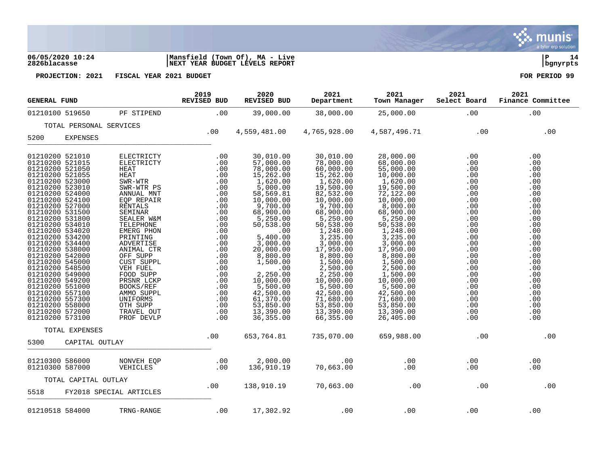## **06/05/2020 10:24 |Mansfield (Town Of), MA - Live |P 14 2826blacasse |NEXT YEAR BUDGET LEVELS REPORT |bgnyrpts**

| <b>GENERAL FUND</b>                                                                                                                                                                                                                                                                                                                                                                                                                                                                                                           |                         |                                                                                                                                                                                                                                                                                                                                                                          | 2019<br>REVISED BUD                                                                                                                                                                       | 2020<br>REVISED BUD                                                                                                                                                                                                                                                                                                                     | 2021<br>Department                                                                                                                                                                                                                                                                                                                                              | 2021<br>Town Manager                                                                                                                                                                                                                                                                                                                             | 2021<br>Select Board                                                                                                                                                                           | 2021<br>Finance Committee                                                                                                                                                                 |
|-------------------------------------------------------------------------------------------------------------------------------------------------------------------------------------------------------------------------------------------------------------------------------------------------------------------------------------------------------------------------------------------------------------------------------------------------------------------------------------------------------------------------------|-------------------------|--------------------------------------------------------------------------------------------------------------------------------------------------------------------------------------------------------------------------------------------------------------------------------------------------------------------------------------------------------------------------|-------------------------------------------------------------------------------------------------------------------------------------------------------------------------------------------|-----------------------------------------------------------------------------------------------------------------------------------------------------------------------------------------------------------------------------------------------------------------------------------------------------------------------------------------|-----------------------------------------------------------------------------------------------------------------------------------------------------------------------------------------------------------------------------------------------------------------------------------------------------------------------------------------------------------------|--------------------------------------------------------------------------------------------------------------------------------------------------------------------------------------------------------------------------------------------------------------------------------------------------------------------------------------------------|------------------------------------------------------------------------------------------------------------------------------------------------------------------------------------------------|-------------------------------------------------------------------------------------------------------------------------------------------------------------------------------------------|
| 01210100 519650                                                                                                                                                                                                                                                                                                                                                                                                                                                                                                               |                         | PF STIPEND                                                                                                                                                                                                                                                                                                                                                               | .00                                                                                                                                                                                       | 39,000.00                                                                                                                                                                                                                                                                                                                               | 38,000.00                                                                                                                                                                                                                                                                                                                                                       | 25,000.00                                                                                                                                                                                                                                                                                                                                        | .00                                                                                                                                                                                            | .00                                                                                                                                                                                       |
|                                                                                                                                                                                                                                                                                                                                                                                                                                                                                                                               | TOTAL PERSONAL SERVICES |                                                                                                                                                                                                                                                                                                                                                                          |                                                                                                                                                                                           |                                                                                                                                                                                                                                                                                                                                         |                                                                                                                                                                                                                                                                                                                                                                 |                                                                                                                                                                                                                                                                                                                                                  |                                                                                                                                                                                                |                                                                                                                                                                                           |
| 5200                                                                                                                                                                                                                                                                                                                                                                                                                                                                                                                          | <b>EXPENSES</b>         |                                                                                                                                                                                                                                                                                                                                                                          | .00                                                                                                                                                                                       | 4,559,481.00                                                                                                                                                                                                                                                                                                                            | 4,765,928.00                                                                                                                                                                                                                                                                                                                                                    | 4,587,496.71                                                                                                                                                                                                                                                                                                                                     | .00                                                                                                                                                                                            | .00                                                                                                                                                                                       |
| 01210200 521010<br>01210200 521015<br>01210200 521050<br>01210200 521055<br>01210200 523000<br>01210200 523010<br>01210200 524000<br>01210200 524100<br>01210200 527000<br>01210200 531500<br>01210200 531800<br>01210200 534010<br>01210200 534020<br>01210200 534200<br>01210200 534400<br>01210200 538000<br>01210200 542000<br>01210200 545000<br>01210200 548500<br>01210200 549000<br>01210200 549200<br>01210200 551000<br>01210200 557100<br>01210200 557300<br>01210200 558000<br>01210200 572000<br>01210200 573100 |                         | ELECTRICTY<br>ELECTRICTY<br><b>HEAT</b><br><b>HEAT</b><br>SWR-WTR<br>SWR-WTR PS<br>ANNUAL MNT<br>EQP REPAIR<br><b>RENTALS</b><br>SEMINAR<br>SEALER W&M<br>TELEPHONE<br>EMERG PHON<br>PRINTING<br>ADVERTISE<br>ANIMAL CTR<br>OFF SUPP<br>CUST SUPPL<br>VEH FUEL<br>FOOD SUPP<br>PRSNR LCKP<br>BOOKS/REF<br>AMMO SUPPL<br>UNIFORMS<br>OTH SUPP<br>TRAVEL OUT<br>PROF DEVLP | .00<br>.00<br>.00<br>.00<br>.00<br>.00<br>.00<br>.00<br>.00<br>.00<br>.00<br>.00<br>.00<br>.00<br>.00<br>.00<br>.00<br>.00<br>.00<br>.00<br>.00<br>.00<br>.00<br>.00<br>.00<br>.00<br>.00 | 30,010.00<br>57,000.00<br>78,000.00<br>15,262.00<br>1,620.00<br>5,000.00<br>58,569.81<br>10,000.00<br>9,700.00<br>68,900.00<br>5,250.00<br>50,538.00<br>.00<br>5,400.00<br>3,000.00<br>20,000.00<br>8,800.00<br>1,500.00<br>$00$<br>2,250.00<br>10,000.00<br>5,500.00<br>42,500.00<br>61,370.00<br>53,850.00<br>13,390.00<br>36, 355.00 | 30,010.00<br>78,000.00<br>60,000.00<br>15,262.00<br>1,620.00<br>19,500.00<br>82,532.00<br>10,000.00<br>9,700.00<br>68,900.00<br>5,250.00<br>50,538.00<br>1,248.00<br>3,235.00<br>3,000.00<br>17,950.00<br>8,800.00<br>1,500.00<br>$\frac{2}{1}$ , 500.00<br>2, 250.00<br>10,000.00<br>5,500.00<br>42,500.00<br>71,680.00<br>53,850.00<br>13,390.00<br>66,355.00 | 28,000.00<br>68,000.00<br>55,000.00<br>10,000.00<br>1,620.00<br>19,500.00<br>72,122.00<br>10,000.00<br>8,000.00<br>68,900.00<br>5,250.00<br>50,538.00<br>1,248.00<br>3,235.00<br>3,000.00<br>17,950.00<br>8,800.00<br>1,500.00<br>2,500.00<br>1,500.00<br>10,000.00<br>5,500.00<br>42,500.00<br>71,680.00<br>53,850.00<br>13,390.00<br>26,405.00 | .00<br>.00<br>.00<br>.00<br>.00<br>.00<br>.00<br>.00<br>.00<br>.00<br>.00<br>.00<br>.00<br>.00<br>.00<br>.00<br>.00<br>.00<br>.00<br>.00<br>.00<br>.00<br>$.00 \,$<br>.00<br>.00<br>.00<br>.00 | .00<br>.00<br>.00<br>.00<br>.00<br>.00<br>.00<br>.00<br>.00<br>.00<br>.00<br>.00<br>.00<br>.00<br>.00<br>.00<br>.00<br>.00<br>.00<br>.00<br>.00<br>.00<br>.00<br>.00<br>.00<br>.00<br>.00 |
|                                                                                                                                                                                                                                                                                                                                                                                                                                                                                                                               | TOTAL EXPENSES          |                                                                                                                                                                                                                                                                                                                                                                          |                                                                                                                                                                                           |                                                                                                                                                                                                                                                                                                                                         |                                                                                                                                                                                                                                                                                                                                                                 |                                                                                                                                                                                                                                                                                                                                                  |                                                                                                                                                                                                |                                                                                                                                                                                           |
| 5300                                                                                                                                                                                                                                                                                                                                                                                                                                                                                                                          | CAPITAL OUTLAY          |                                                                                                                                                                                                                                                                                                                                                                          | .00                                                                                                                                                                                       | 653,764.81                                                                                                                                                                                                                                                                                                                              | 735,070.00                                                                                                                                                                                                                                                                                                                                                      | 659,988.00                                                                                                                                                                                                                                                                                                                                       | .00                                                                                                                                                                                            | .00                                                                                                                                                                                       |
| 01210300 586000<br>01210300 587000                                                                                                                                                                                                                                                                                                                                                                                                                                                                                            |                         | NONVEH EQP<br>VEHICLES                                                                                                                                                                                                                                                                                                                                                   | .00<br>.00                                                                                                                                                                                | 2,000.00<br>136,910.19                                                                                                                                                                                                                                                                                                                  | .00<br>70,663.00                                                                                                                                                                                                                                                                                                                                                | .00<br>.00                                                                                                                                                                                                                                                                                                                                       | .00<br>$.00 \,$                                                                                                                                                                                | .00<br>$.00 \,$                                                                                                                                                                           |
|                                                                                                                                                                                                                                                                                                                                                                                                                                                                                                                               | TOTAL CAPITAL OUTLAY    |                                                                                                                                                                                                                                                                                                                                                                          |                                                                                                                                                                                           |                                                                                                                                                                                                                                                                                                                                         |                                                                                                                                                                                                                                                                                                                                                                 |                                                                                                                                                                                                                                                                                                                                                  |                                                                                                                                                                                                |                                                                                                                                                                                           |
| 5518                                                                                                                                                                                                                                                                                                                                                                                                                                                                                                                          |                         | FY2018 SPECIAL ARTICLES                                                                                                                                                                                                                                                                                                                                                  | .00                                                                                                                                                                                       | 138,910.19                                                                                                                                                                                                                                                                                                                              | 70,663.00                                                                                                                                                                                                                                                                                                                                                       | .00                                                                                                                                                                                                                                                                                                                                              | .00                                                                                                                                                                                            | .00                                                                                                                                                                                       |
| 01210518 584000                                                                                                                                                                                                                                                                                                                                                                                                                                                                                                               |                         | TRNG-RANGE                                                                                                                                                                                                                                                                                                                                                               | .00                                                                                                                                                                                       | 17,302.92                                                                                                                                                                                                                                                                                                                               | .00                                                                                                                                                                                                                                                                                                                                                             | .00                                                                                                                                                                                                                                                                                                                                              | .00                                                                                                                                                                                            | .00                                                                                                                                                                                       |

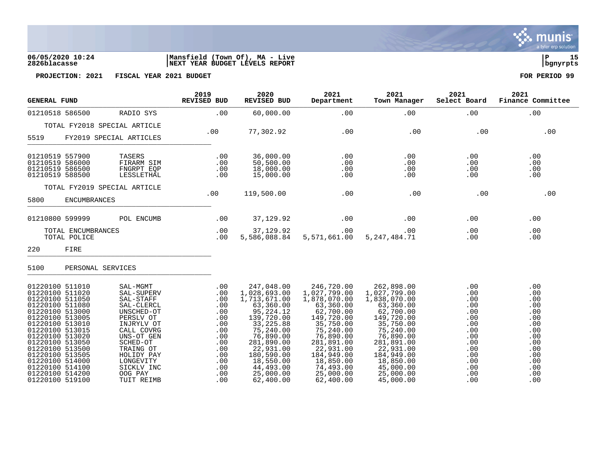## **06/05/2020 10:24 |Mansfield (Town Of), MA - Live |P 15 2826blacasse |NEXT YEAR BUDGET LEVELS REPORT |bgnyrpts**

**PROJECTION: 2021 FISCAL YEAR 2021 BUDGET FOR PERIOD 99**

| <b>GENERAL FUND</b>                                                                                                                                                                                                                                                                       |                                    |                                                                                                                                                                                                     | 2019<br><b>REVISED BUD</b>                                                                            | 2020<br>REVISED BUD                                                                                                                                                                                        | 2021<br>Department                                                                                                                                                                                        | 2021<br>Town Manager                                                                                                                                                                                      | 2021<br>Select Board                                                                                  | 2021<br>Finance Committee                                                                             |
|-------------------------------------------------------------------------------------------------------------------------------------------------------------------------------------------------------------------------------------------------------------------------------------------|------------------------------------|-----------------------------------------------------------------------------------------------------------------------------------------------------------------------------------------------------|-------------------------------------------------------------------------------------------------------|------------------------------------------------------------------------------------------------------------------------------------------------------------------------------------------------------------|-----------------------------------------------------------------------------------------------------------------------------------------------------------------------------------------------------------|-----------------------------------------------------------------------------------------------------------------------------------------------------------------------------------------------------------|-------------------------------------------------------------------------------------------------------|-------------------------------------------------------------------------------------------------------|
| 01210518 586500                                                                                                                                                                                                                                                                           |                                    | RADIO SYS                                                                                                                                                                                           | .00                                                                                                   | 60,000.00                                                                                                                                                                                                  | .00                                                                                                                                                                                                       | .00                                                                                                                                                                                                       | .00                                                                                                   | .00                                                                                                   |
|                                                                                                                                                                                                                                                                                           |                                    | TOTAL FY2018 SPECIAL ARTICLE                                                                                                                                                                        |                                                                                                       |                                                                                                                                                                                                            |                                                                                                                                                                                                           |                                                                                                                                                                                                           |                                                                                                       |                                                                                                       |
| 5519                                                                                                                                                                                                                                                                                      |                                    | FY2019 SPECIAL ARTICLES                                                                                                                                                                             | .00                                                                                                   | 77,302.92                                                                                                                                                                                                  | .00                                                                                                                                                                                                       | .00                                                                                                                                                                                                       | .00                                                                                                   | .00                                                                                                   |
| 01210519 557900<br>01210519 586000<br>01210519 586500<br>01210519 588500                                                                                                                                                                                                                  |                                    | TASERS<br>FIRARM SIM<br>FNGRPT EQP<br>LESSLETHAL                                                                                                                                                    | .00<br>.00<br>.00<br>.00                                                                              | 36,000.00<br>50,500.00<br>18,000.00<br>15,000.00                                                                                                                                                           | .00<br>.00<br>.00<br>.00                                                                                                                                                                                  | .00<br>.00<br>.00<br>.00                                                                                                                                                                                  | $.00 \,$<br>.00<br>.00<br>.00                                                                         | .00<br>.00<br>.00<br>.00                                                                              |
|                                                                                                                                                                                                                                                                                           |                                    | TOTAL FY2019 SPECIAL ARTICLE                                                                                                                                                                        |                                                                                                       |                                                                                                                                                                                                            |                                                                                                                                                                                                           |                                                                                                                                                                                                           |                                                                                                       |                                                                                                       |
| 5800                                                                                                                                                                                                                                                                                      | <b>ENCUMBRANCES</b>                |                                                                                                                                                                                                     | .00                                                                                                   | 119,500.00                                                                                                                                                                                                 | .00                                                                                                                                                                                                       | .00                                                                                                                                                                                                       | .00                                                                                                   | .00                                                                                                   |
| 01210800 599999                                                                                                                                                                                                                                                                           |                                    | POL ENCUMB                                                                                                                                                                                          | .00                                                                                                   | 37,129.92                                                                                                                                                                                                  | .00                                                                                                                                                                                                       | .00                                                                                                                                                                                                       | .00                                                                                                   | .00                                                                                                   |
|                                                                                                                                                                                                                                                                                           | TOTAL ENCUMBRANCES<br>TOTAL POLICE |                                                                                                                                                                                                     | .00<br>.00                                                                                            | 37,129.92<br>5,586,088.84                                                                                                                                                                                  | .00<br>5,571,661.00                                                                                                                                                                                       | .00<br>5, 247, 484. 71                                                                                                                                                                                    | $.00 \,$<br>.00                                                                                       | .00<br>.00                                                                                            |
| 220                                                                                                                                                                                                                                                                                       | FIRE                               |                                                                                                                                                                                                     |                                                                                                       |                                                                                                                                                                                                            |                                                                                                                                                                                                           |                                                                                                                                                                                                           |                                                                                                       |                                                                                                       |
| 5100                                                                                                                                                                                                                                                                                      | PERSONAL SERVICES                  |                                                                                                                                                                                                     |                                                                                                       |                                                                                                                                                                                                            |                                                                                                                                                                                                           |                                                                                                                                                                                                           |                                                                                                       |                                                                                                       |
| 01220100 511010<br>01220100 511020<br>01220100 511050<br>01220100 511080<br>01220100 513000<br>01220100 513005<br>01220100 513010<br>01220100 513015<br>01220100 513020<br>01220100 513050<br>01220100 513500<br>01220100 513505<br>01220100 514000<br>01220100 514100<br>01220100 514200 |                                    | SAL-MGMT<br>SAL-SUPERV<br>SAL-STAFF<br>SAL-CLERCL<br>UNSCHED-OT<br>PERSLV OT<br>INJRYLV OT<br>CALL COVRG<br>UNS-OT GEN<br>SCHED-OT<br>TRAING OT<br>HOLIDY PAY<br>LONGEVITY<br>SICKLV INC<br>OOG PAY | .00<br>.00<br>.00<br>.00<br>.00<br>.00<br>.00<br>.00<br>.00<br>.00<br>.00<br>.00<br>.00<br>.00<br>.00 | 247,048.00<br>1,028,693.00<br>1,713,671.00<br>63,360.00<br>95,224.12<br>139,720.00<br>33, 225.88<br>75,240.00<br>76,890.00<br>281,890.00<br>22,931.00<br>180,590.00<br>18,550.00<br>44,493.00<br>25,000.00 | 246,720.00<br>1,027,799.00<br>1,878,070.00<br>63,360.00<br>62,700.00<br>149,720.00<br>35,750.00<br>75,240.00<br>76,890.00<br>281,891.00<br>22,931.00<br>184,949.00<br>18,850.00<br>74,493.00<br>25,000.00 | 262,898.00<br>1,027,799.00<br>1,838,070.00<br>63,360.00<br>62,700.00<br>149,720.00<br>35,750.00<br>75,240.00<br>76,890.00<br>281,891.00<br>22,931.00<br>184,949.00<br>18,850.00<br>45,000.00<br>25,000.00 | .00<br>.00<br>.00<br>.00<br>.00<br>.00<br>.00<br>.00<br>.00<br>.00<br>.00<br>.00<br>.00<br>.00<br>.00 | .00<br>.00<br>.00<br>.00<br>.00<br>.00<br>.00<br>.00<br>.00<br>.00<br>.00<br>.00<br>.00<br>.00<br>.00 |

519100 TUIT REIMB .00 62,400.00 62,400.00 45,000.00 .00 .00

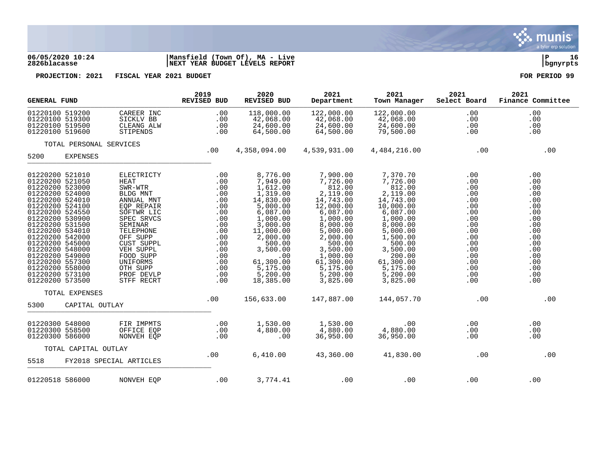

## **06/05/2020 10:24 |Mansfield (Town Of), MA - Live |P 16 2826blacasse |NEXT YEAR BUDGET LEVELS REPORT |bgnyrpts**

| GENERAL FUND                                                                                                                                                                                                                                                                                                                                       |                         |                                                                                                                                                                                                                                                 | 2019<br>REVISED BUD                                                                                                        | 2020<br><b>REVISED BUD</b>                                                                                                                                                                                        | 2021<br>Department                                                                                                                                                                                                  | 2021<br>Town Manager                                                                                                                                                                                              | 2021<br>Select Board                                                                                                       | 2021<br>Finance Committee                                                                                                  |
|----------------------------------------------------------------------------------------------------------------------------------------------------------------------------------------------------------------------------------------------------------------------------------------------------------------------------------------------------|-------------------------|-------------------------------------------------------------------------------------------------------------------------------------------------------------------------------------------------------------------------------------------------|----------------------------------------------------------------------------------------------------------------------------|-------------------------------------------------------------------------------------------------------------------------------------------------------------------------------------------------------------------|---------------------------------------------------------------------------------------------------------------------------------------------------------------------------------------------------------------------|-------------------------------------------------------------------------------------------------------------------------------------------------------------------------------------------------------------------|----------------------------------------------------------------------------------------------------------------------------|----------------------------------------------------------------------------------------------------------------------------|
| 01220100 519200<br>01220100 519300<br>01220100 519500<br>01220100 519600                                                                                                                                                                                                                                                                           |                         | CAREER INC<br>SICKLV BB<br>CLEANG ALW<br>STIPENDS                                                                                                                                                                                               | .00<br>.00<br>.00<br>.00                                                                                                   | 118,000.00<br>42,068.00<br>24,600.00<br>64,500.00                                                                                                                                                                 | 122,000.00<br>42,068.00<br>24,600.00<br>64,500.00                                                                                                                                                                   | 122,000.00<br>42,068.00<br>24,600.00<br>79,500.00                                                                                                                                                                 | .00<br>.00<br>.00<br>.00                                                                                                   | .00<br>.00<br>.00<br>.00                                                                                                   |
|                                                                                                                                                                                                                                                                                                                                                    | TOTAL PERSONAL SERVICES |                                                                                                                                                                                                                                                 |                                                                                                                            |                                                                                                                                                                                                                   |                                                                                                                                                                                                                     |                                                                                                                                                                                                                   |                                                                                                                            |                                                                                                                            |
| 5200                                                                                                                                                                                                                                                                                                                                               | <b>EXPENSES</b>         |                                                                                                                                                                                                                                                 | $.00 \,$                                                                                                                   | 4,358,094.00                                                                                                                                                                                                      | 4,539,931.00                                                                                                                                                                                                        | 4,484,216.00                                                                                                                                                                                                      | .00                                                                                                                        | .00                                                                                                                        |
| 01220200 521010<br>01220200 521050<br>01220200 523000<br>01220200 524000<br>01220200 524010<br>01220200 524100<br>01220200 524550<br>01220200 530900<br>01220200 531500<br>01220200 534010<br>01220200 542000<br>01220200 545000<br>01220200 548000<br>01220200 549000<br>01220200 557300<br>01220200 558000<br>01220200 573100<br>01220200 573500 |                         | ELECTRICTY<br><b>HEAT</b><br>SWR-WTR<br>BLDG MNT<br>ANNUAL MNT<br>EQP REPAIR<br>SOFTWR LIC<br>SPEC SRVCS<br>SEMINAR<br>TELEPHONE<br>OFF SUPP<br><b>CUST SUPPL</b><br>VEH SUPPL<br>FOOD SUPP<br>UNIFORMS<br>OTH SUPP<br>PROF DEVLP<br>STFF RECRT | .00<br>.00<br>.00<br>.00<br>.00<br>.00<br>.00<br>.00<br>.00<br>.00<br>.00<br>.00<br>.00<br>.00<br>.00<br>.00<br>.00<br>.00 | 8,776.00<br>7,949.00<br>1,612.00<br>1,319.00<br>14,830.00<br>5,000.00<br>6,087.00<br>1,000.00<br>3,000.00<br>11,000.00<br>2,000.00<br>500.00<br>3,500.00<br>.00<br>61,300.00<br>5,175.00<br>5,200.00<br>18,385.00 | 7,900.00<br>7,726.00<br>812.00<br>2,119.00<br>14,743.00<br>12,000.00<br>6,087.00<br>1,000.00<br>8,000.00<br>5,000.00<br>2,000.00<br>500.00<br>3,500.00<br>1,000.00<br>61,300.00<br>5,175.00<br>5,200.00<br>3,825.00 | 7,370.70<br>7,726.00<br>812.00<br>2,119.00<br>14,743.00<br>10,000.00<br>6,087.00<br>1,000.00<br>8,000.00<br>5,000.00<br>1,500.00<br>500.00<br>3,500.00<br>200.00<br>61,300.00<br>5,175.00<br>5,200.00<br>3,825.00 | .00<br>.00<br>.00<br>.00<br>.00<br>.00<br>.00<br>.00<br>.00<br>.00<br>.00<br>.00<br>.00<br>.00<br>.00<br>.00<br>.00<br>.00 | .00<br>.00<br>.00<br>.00<br>.00<br>.00<br>.00<br>.00<br>.00<br>.00<br>.00<br>.00<br>.00<br>.00<br>.00<br>.00<br>.00<br>.00 |
|                                                                                                                                                                                                                                                                                                                                                    | TOTAL EXPENSES          |                                                                                                                                                                                                                                                 |                                                                                                                            |                                                                                                                                                                                                                   |                                                                                                                                                                                                                     |                                                                                                                                                                                                                   |                                                                                                                            |                                                                                                                            |
| 5300                                                                                                                                                                                                                                                                                                                                               | CAPITAL OUTLAY          |                                                                                                                                                                                                                                                 | .00                                                                                                                        | 156,633.00                                                                                                                                                                                                        | 147,887.00                                                                                                                                                                                                          | 144,057.70                                                                                                                                                                                                        | .00                                                                                                                        | .00                                                                                                                        |
| 01220300 548000<br>01220300 558500<br>01220300 586000                                                                                                                                                                                                                                                                                              |                         | FIR IMPMTS<br>OFFICE EQP<br>NONVEH EQP                                                                                                                                                                                                          | .00<br>.00<br>.00                                                                                                          | 1,530.00<br>4,880.00<br>.00                                                                                                                                                                                       | 1,530.00<br>4,880.00<br>36,950.00                                                                                                                                                                                   | .00<br>4,880.00<br>36,950.00                                                                                                                                                                                      | .00<br>.00<br>.00                                                                                                          | .00<br>.00<br>.00                                                                                                          |
|                                                                                                                                                                                                                                                                                                                                                    | TOTAL CAPITAL OUTLAY    |                                                                                                                                                                                                                                                 |                                                                                                                            |                                                                                                                                                                                                                   |                                                                                                                                                                                                                     |                                                                                                                                                                                                                   |                                                                                                                            |                                                                                                                            |
| 5518                                                                                                                                                                                                                                                                                                                                               |                         | FY2018 SPECIAL ARTICLES                                                                                                                                                                                                                         | .00                                                                                                                        | 6,410.00                                                                                                                                                                                                          | 43,360.00                                                                                                                                                                                                           | 41,830.00                                                                                                                                                                                                         | .00                                                                                                                        | .00                                                                                                                        |
| 01220518 586000                                                                                                                                                                                                                                                                                                                                    |                         | NONVEH EQP                                                                                                                                                                                                                                      | .00                                                                                                                        | 3,774.41                                                                                                                                                                                                          | .00                                                                                                                                                                                                                 | .00                                                                                                                                                                                                               | .00                                                                                                                        | .00                                                                                                                        |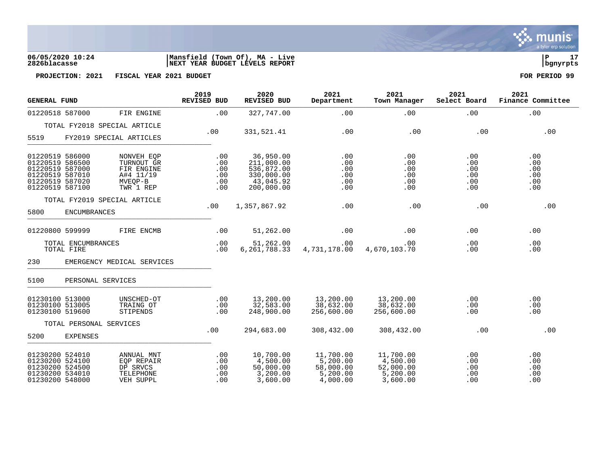## **06/05/2020 10:24 |Mansfield (Town Of), MA - Live |P 17 2826blacasse |NEXT YEAR BUDGET LEVELS REPORT |bgnyrpts**

|                                                                                                                | <b>GENERAL FUND</b>              |                                                                             | 2019<br><b>REVISED BUD</b>             | 2020<br><b>REVISED BUD</b>                                                     | 2021<br>Department                                         | 2021<br>Town Manager                                       | 2021<br>Select Board                        | 2021<br>Finance Committee              |
|----------------------------------------------------------------------------------------------------------------|----------------------------------|-----------------------------------------------------------------------------|----------------------------------------|--------------------------------------------------------------------------------|------------------------------------------------------------|------------------------------------------------------------|---------------------------------------------|----------------------------------------|
| 01220518 587000                                                                                                |                                  | FIR ENGINE                                                                  | .00                                    | 327,747.00                                                                     | .00                                                        | .00                                                        | .00                                         | .00                                    |
|                                                                                                                |                                  | TOTAL FY2018 SPECIAL ARTICLE                                                |                                        |                                                                                |                                                            |                                                            |                                             |                                        |
| 5519                                                                                                           |                                  | FY2019 SPECIAL ARTICLES                                                     | .00                                    | 331,521.41                                                                     | .00                                                        | .00                                                        | .00                                         | .00                                    |
| 01220519 586000<br>01220519 586500<br>01220519 587000<br>01220519 587010<br>01220519 587020<br>01220519 587100 |                                  | NONVEH EOP<br>TURNOUT GR<br>FIR ENGINE<br>A#4 11/19<br>MVEQP-B<br>TWR 1 REP | .00<br>.00<br>.00<br>.00<br>.00<br>.00 | 36,950.00<br>211,000.00<br>536,872.00<br>330,000.00<br>43,045.92<br>200,000.00 | .00<br>.00<br>.00<br>.00<br>.00<br>.00                     | .00<br>.00<br>.00<br>.00<br>.00<br>.00                     | .00<br>.00<br>.00<br>.00<br>$.00 \,$<br>.00 | .00<br>.00<br>.00<br>.00<br>.00<br>.00 |
|                                                                                                                |                                  | TOTAL FY2019 SPECIAL ARTICLE                                                |                                        |                                                                                |                                                            |                                                            |                                             |                                        |
| 5800                                                                                                           | <b>ENCUMBRANCES</b>              |                                                                             | .00                                    | 1,357,867.92                                                                   | .00                                                        | .00                                                        | .00                                         | .00                                    |
| 01220800 599999                                                                                                |                                  | FIRE ENCMB                                                                  | .00                                    | 51,262.00                                                                      | .00                                                        | .00                                                        | .00                                         | .00                                    |
|                                                                                                                | TOTAL ENCUMBRANCES<br>TOTAL FIRE |                                                                             | .00<br>.00                             | 51,262.00<br>6,261,788.33                                                      | .00<br>4,731,178.00                                        | .00<br>4,670,103.70                                        | .00<br>.00                                  | .00<br>.00                             |
| 230                                                                                                            |                                  | EMERGENCY MEDICAL SERVICES                                                  |                                        |                                                                                |                                                            |                                                            |                                             |                                        |
| 5100                                                                                                           | PERSONAL SERVICES                |                                                                             |                                        |                                                                                |                                                            |                                                            |                                             |                                        |
| 01230100 513000<br>01230100 513005<br>01230100 519600                                                          |                                  | UNSCHED-OT<br>TRAING OT<br>STIPENDS                                         | .00<br>.00<br>.00                      | 13,200.00<br>32,583.00<br>248,900.00                                           | 13,200.00<br>38,632.00<br>256,600.00                       | 13,200.00<br>38,632.00<br>256,600.00                       | $.00 \,$<br>.00<br>.00                      | $.00 \,$<br>.00<br>.00                 |
|                                                                                                                | TOTAL PERSONAL SERVICES          |                                                                             |                                        |                                                                                |                                                            |                                                            | .00                                         | .00                                    |
| 5200                                                                                                           | <b>EXPENSES</b>                  |                                                                             | .00                                    | 294,683.00                                                                     | 308,432.00                                                 | 308,432.00                                                 |                                             |                                        |
| 01230200 524010<br>01230200 524100<br>01230200 524500<br>01230200 534010<br>01230200 548000                    |                                  | ANNUAL MNT<br>EQP REPAIR<br>DP SRVCS<br>TELEPHONE<br><b>VEH SUPPL</b>       | .00<br>.00<br>.00<br>.00<br>.00        | 10,700.00<br>4,500.00<br>50,000.00<br>3,200.00<br>3,600.00                     | 11,700.00<br>5,200.00<br>58,000.00<br>5,200.00<br>4,000.00 | 11,700.00<br>4,500.00<br>52,000.00<br>5,200.00<br>3,600.00 | .00<br>.00<br>.00<br>.00<br>.00             | .00<br>.00<br>.00<br>.00<br>.00        |

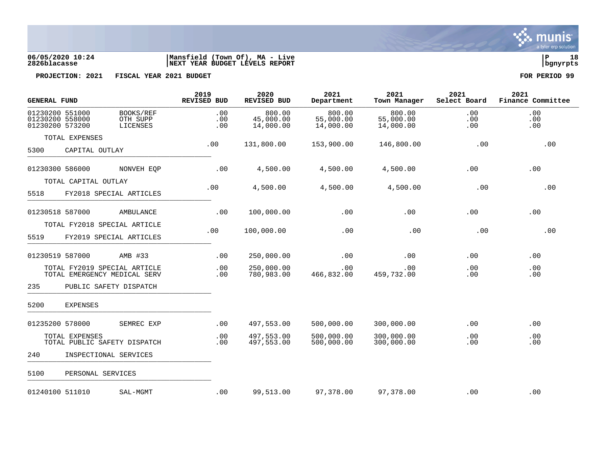

## **06/05/2020 10:24 |Mansfield (Town Of), MA - Live |P 18 2826blacasse |NEXT YEAR BUDGET LEVELS REPORT |bgnyrpts**

| <b>GENERAL FUND</b>                                   |                      |                                                              | 2019<br>REVISED BUD | 2020<br>REVISED BUD              | 2021<br>Department               | 2021<br>Town Manager             | 2021<br>Select Board | 2021<br>Finance Committee |
|-------------------------------------------------------|----------------------|--------------------------------------------------------------|---------------------|----------------------------------|----------------------------------|----------------------------------|----------------------|---------------------------|
| 01230200 551000<br>01230200 558000<br>01230200 573200 |                      | <b>BOOKS/REF</b><br>OTH SUPP<br>LICENSES                     | .00<br>.00<br>.00   | 800.00<br>45,000.00<br>14,000.00 | 800.00<br>55,000.00<br>14,000.00 | 800.00<br>55,000.00<br>14,000.00 | .00<br>.00<br>.00    | .00<br>.00<br>.00         |
|                                                       | TOTAL EXPENSES       |                                                              |                     |                                  |                                  |                                  |                      |                           |
| 5300                                                  | CAPITAL OUTLAY       |                                                              | .00                 | 131,800.00                       | 153,900.00                       | 146,800.00                       | .00                  | .00                       |
| 01230300 586000                                       |                      | NONVEH EOP                                                   | .00                 | 4,500.00                         | 4,500.00                         | 4,500.00                         | .00                  | .00                       |
|                                                       | TOTAL CAPITAL OUTLAY |                                                              |                     |                                  |                                  |                                  |                      |                           |
| 5518                                                  |                      | FY2018 SPECIAL ARTICLES                                      | .00                 | 4,500.00                         | 4,500.00                         | 4,500.00                         | .00                  | .00                       |
| 01230518 587000                                       |                      | AMBULANCE                                                    | .00                 | 100,000.00                       | .00                              | .00                              | .00                  | .00                       |
|                                                       |                      | TOTAL FY2018 SPECIAL ARTICLE                                 |                     |                                  |                                  |                                  |                      |                           |
| 5519                                                  |                      | FY2019 SPECIAL ARTICLES                                      | .00                 | 100,000.00                       | .00                              | .00                              | .00                  | .00                       |
| 01230519 587000                                       |                      | AMB #33                                                      | .00                 | 250,000.00                       | .00                              | .00                              | .00                  | .00                       |
|                                                       |                      | TOTAL FY2019 SPECIAL ARTICLE<br>TOTAL EMERGENCY MEDICAL SERV | .00<br>.00          | 250,000.00<br>780,983.00         | .00<br>466,832.00                | .00<br>459,732.00                | .00<br>$.00 \,$      | .00<br>.00                |
| 235                                                   |                      | PUBLIC SAFETY DISPATCH                                       |                     |                                  |                                  |                                  |                      |                           |
| 5200                                                  | <b>EXPENSES</b>      |                                                              |                     |                                  |                                  |                                  |                      |                           |
| 01235200 578000                                       |                      | SEMREC EXP                                                   | .00                 | 497,553.00                       | 500,000.00                       | 300,000.00                       | .00                  | .00                       |
|                                                       | TOTAL EXPENSES       | TOTAL PUBLIC SAFETY DISPATCH                                 | .00<br>.00          | 497,553.00<br>497,553.00         | 500,000.00<br>500,000.00         | 300,000.00<br>300,000.00         | .00<br>.00           | .00<br>.00                |
| 240                                                   |                      | INSPECTIONAL SERVICES                                        |                     |                                  |                                  |                                  |                      |                           |
| 5100                                                  | PERSONAL SERVICES    |                                                              |                     |                                  |                                  |                                  |                      |                           |
| 01240100 511010                                       |                      | SAL-MGMT                                                     | .00                 | 99,513.00                        | 97,378.00                        | 97,378.00                        | .00                  | .00                       |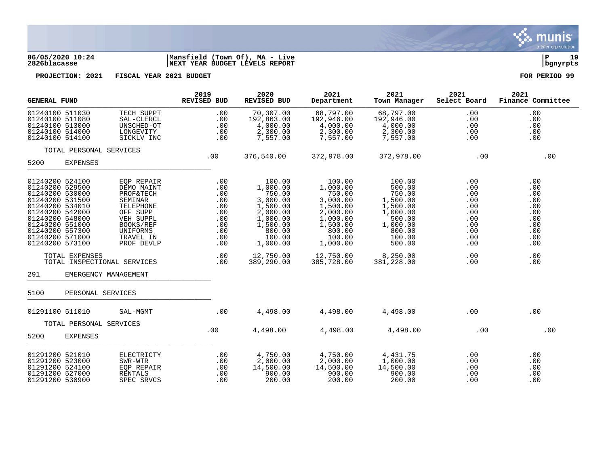

## **06/05/2020 10:24 |Mansfield (Town Of), MA - Live |P 19 2826blacasse |NEXT YEAR BUDGET LEVELS REPORT |bgnyrpts**

| <b>GENERAL FUND</b>                                                                                                                                                                                           |                         |                                                                                                                                                       | 2019<br>REVISED BUD                                                       | 2020<br>REVISED BUD                                                                                                      | 2021<br>Department                                                                                                       | 2021<br>Town Manager                                                                                               | 2021<br>Select Board                                                      | 2021<br>Finance Committee                                                 |
|---------------------------------------------------------------------------------------------------------------------------------------------------------------------------------------------------------------|-------------------------|-------------------------------------------------------------------------------------------------------------------------------------------------------|---------------------------------------------------------------------------|--------------------------------------------------------------------------------------------------------------------------|--------------------------------------------------------------------------------------------------------------------------|--------------------------------------------------------------------------------------------------------------------|---------------------------------------------------------------------------|---------------------------------------------------------------------------|
| 01240100 511030<br>01240100 511080<br>01240100 513000<br>01240100 514000<br>01240100 514100                                                                                                                   |                         | TECH SUPPT<br>SAL-CLERCL<br>UNSCHED-OT<br>LONGEVITY<br>SICKLV INC                                                                                     | .00<br>.00<br>.00<br>.00<br>.00                                           | 70,307.00<br>192,863.00<br>4,000.00<br>2,300.00<br>7,557.00                                                              | 68,797.00<br>192,946.00<br>4,000.00<br>2,300.00<br>7,557.00                                                              | 68,797.00<br>192,946.00<br>4,000.00<br>2,300.00<br>7,557.00                                                        | .00<br>.00<br>.00<br>.00<br>.00                                           | .00<br>.00<br>.00<br>.00<br>.00                                           |
|                                                                                                                                                                                                               | TOTAL PERSONAL SERVICES |                                                                                                                                                       |                                                                           |                                                                                                                          |                                                                                                                          |                                                                                                                    |                                                                           |                                                                           |
| 5200                                                                                                                                                                                                          | <b>EXPENSES</b>         |                                                                                                                                                       | .00                                                                       | 376,540.00                                                                                                               | 372,978.00                                                                                                               | 372,978.00                                                                                                         | .00                                                                       | .00                                                                       |
| 01240200 524100<br>01240200 529500<br>01240200 530000<br>01240200 531500<br>01240200 534010<br>01240200 542000<br>01240200 548000<br>01240200 551000<br>01240200 557300<br>01240200 571000<br>01240200 573100 |                         | EQP REPAIR<br>DEMO MAINT<br><b>PROF&amp;TECH</b><br>SEMINAR<br>TELEPHONE<br>OFF SUPP<br>VEH SUPPL<br>BOOKS/REF<br>UNIFORMS<br>TRAVEL IN<br>PROF DEVLP | .00<br>.00<br>.00<br>.00<br>.00<br>.00<br>.00<br>.00<br>.00<br>.00<br>.00 | 100.00<br>1,000.00<br>750.00<br>3,000.00<br>1,500.00<br>2,000.00<br>1,000.00<br>1,500.00<br>800.00<br>100.00<br>1,000.00 | 100.00<br>1,000.00<br>750.00<br>3,000.00<br>1,500.00<br>2,000.00<br>1,000.00<br>1,500.00<br>800.00<br>100.00<br>1,000.00 | 100.00<br>500.00<br>750.00<br>1,500.00<br>1,500.00<br>1,000.00<br>500.00<br>1,000.00<br>800.00<br>100.00<br>500.00 | .00<br>.00<br>.00<br>.00<br>.00<br>.00<br>.00<br>.00<br>.00<br>.00<br>.00 | .00<br>.00<br>.00<br>.00<br>.00<br>.00<br>.00<br>.00<br>.00<br>.00<br>.00 |
|                                                                                                                                                                                                               | TOTAL EXPENSES          | TOTAL INSPECTIONAL SERVICES                                                                                                                           | .00<br>.00                                                                | 12,750.00<br>389,290.00                                                                                                  | 12,750.00<br>385,728.00                                                                                                  | 8,250.00<br>381,228.00                                                                                             | .00<br>.00                                                                | .00<br>.00                                                                |
| 291                                                                                                                                                                                                           | EMERGENCY MANAGEMENT    |                                                                                                                                                       |                                                                           |                                                                                                                          |                                                                                                                          |                                                                                                                    |                                                                           |                                                                           |
| 5100                                                                                                                                                                                                          | PERSONAL SERVICES       |                                                                                                                                                       |                                                                           |                                                                                                                          |                                                                                                                          |                                                                                                                    |                                                                           |                                                                           |
| 01291100 511010                                                                                                                                                                                               | TOTAL PERSONAL SERVICES | SAL-MGMT                                                                                                                                              | .00                                                                       | 4,498.00                                                                                                                 | 4,498.00                                                                                                                 | 4,498.00                                                                                                           | .00                                                                       | .00                                                                       |
| 5200                                                                                                                                                                                                          | <b>EXPENSES</b>         |                                                                                                                                                       | .00                                                                       | 4,498.00                                                                                                                 | 4,498.00                                                                                                                 | 4,498.00                                                                                                           | .00                                                                       | .00                                                                       |
| 01291200 521010<br>01291200 523000<br>01291200 524100<br>01291200 527000<br>01291200 530900                                                                                                                   |                         | ELECTRICTY<br>SWR-WTR<br>EQP REPAIR<br>RENTALS<br>SPEC SRVCS                                                                                          | .00<br>.00<br>.00<br>.00<br>.00                                           | 4,750.00<br>2,000.00<br>14,500.00<br>900.00<br>200.00                                                                    | 4,750.00<br>2,000.00<br>14,500.00<br>900.00<br>200.00                                                                    | 4,431.75<br>1,000.00<br>14,500.00<br>900.00<br>200.00                                                              | .00<br>.00<br>.00<br>.00<br>.00                                           | .00<br>.00<br>.00<br>.00<br>.00                                           |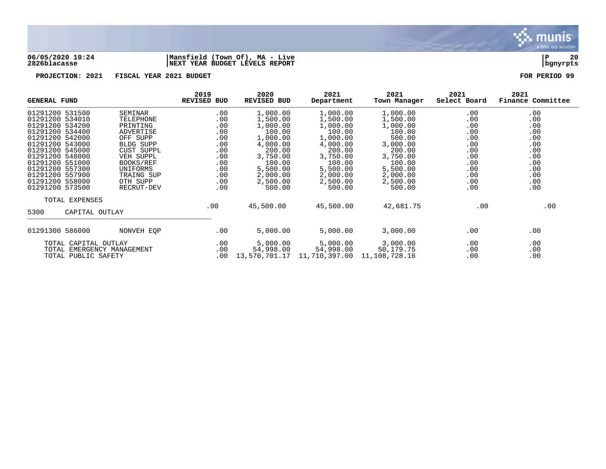

# **06/05/2020 10:24 |Mansfield (Town Of), MA - Live |P 20 2826blacasse |NEXT YEAR BUDGET LEVELS REPORT |bgnyrpts**

| GENERAL FUND               |            | 2019<br><b>REVISED BUD</b> | 2020<br><b>REVISED BUD</b> | 2021<br>Department                        | 2021<br>Town Manager | 2021<br>Select Board | 2021<br>Finance Committee |
|----------------------------|------------|----------------------------|----------------------------|-------------------------------------------|----------------------|----------------------|---------------------------|
| 01291200 531500            | SEMINAR    | .00                        | 1,000.00                   | 1,000.00                                  | 1,000.00             | .00                  | .00                       |
| 01291200 534010            | TELEPHONE  | .00                        | 1,500.00                   | 1,500.00                                  | 1,500.00             | .00                  | .00                       |
| 01291200 534200            | PRINTING   | .00                        | 1,000.00                   | 1,000.00                                  | 1,000.00             | .00                  | .00                       |
| 01291200 534400            | ADVERTISE  | .00                        | 100.00                     | 100.00                                    | 100.00               | .00                  | .00                       |
| 01291200 542000            | OFF SUPP   | .00                        | 1,000.00                   | 1,000.00                                  | 500.00               | .00                  | .00                       |
| 01291200 543000            | BLDG SUPP  | .00                        | 4,000.00                   | 4,000.00                                  | 3,000.00             | .00                  | .00                       |
| 01291200 545000            | CUST SUPPL | .00                        | 200.00                     | 200.00                                    | 200.00               | .00                  | .00                       |
| 01291200 548000            | VEH SUPPL  | .00                        | 3,750.00                   | 3,750.00                                  | 3,750.00             | .00                  | .00                       |
| 01291200 551000            | BOOKS/REF  | .00                        | 100.00                     | 100.00                                    | 100.00               | .00                  | .00                       |
| 01291200 557300            | UNIFORMS   | .00                        | 5,500.00                   | 5,500.00                                  | 5,500.00             | .00                  | .00                       |
| 01291200 557900            | TRAING SUP | .00                        | 2,000.00                   | 2,000.00                                  | 2,000.00             | .00                  | .00                       |
| 01291200 558000            | OTH SUPP   | .00                        | 2,500.00                   | 2,500.00                                  | 2,500.00             | .00                  | .00                       |
| 01291200 573500            | RECRUT-DEV | .00                        | 500.00                     | 500.00                                    | 500.00               | .00                  | .00                       |
| TOTAL EXPENSES             |            | .00                        | 45,500.00                  | 45,500.00                                 | 42,681.75            | .00                  | .00                       |
| 5300<br>CAPITAL OUTLAY     |            |                            |                            |                                           |                      |                      |                           |
| 01291300 586000            | NONVEH EOP | $.00 \ \rm$                | 5,000.00                   | 5,000.00                                  | 3,000.00             | .00                  | .00                       |
| TOTAL CAPITAL OUTLAY       |            | .00                        | 5,000.00                   | 5,000.00                                  | 3,000.00             | .00                  | .00                       |
| TOTAL EMERGENCY MANAGEMENT |            | .00                        | 54,998.00                  | 54,998.00                                 | 50,179.75            | .00                  | .00                       |
| TOTAL PUBLIC SAFETY        |            | $.00 \,$                   |                            | 13,570,701.17 11,710,397.00 11,108,728.16 |                      | .00                  | .00                       |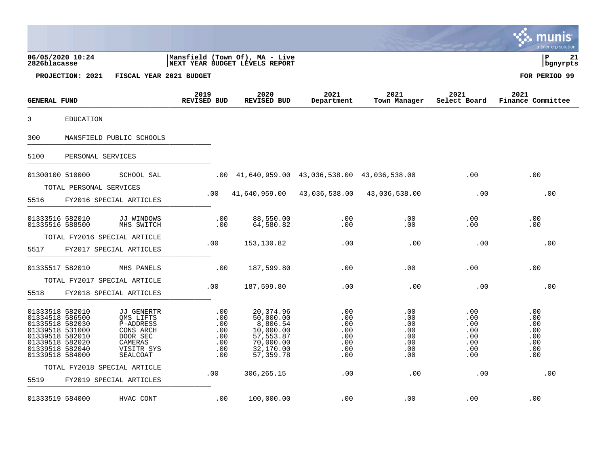|                                                                                                                                                      |                                                                                                           |                            |                                                      |                                                                                                      |                                                      |                                                      |                                                                               | munis<br>a tyler erp solution                        |
|------------------------------------------------------------------------------------------------------------------------------------------------------|-----------------------------------------------------------------------------------------------------------|----------------------------|------------------------------------------------------|------------------------------------------------------------------------------------------------------|------------------------------------------------------|------------------------------------------------------|-------------------------------------------------------------------------------|------------------------------------------------------|
| 06/05/2020 10:24<br>2826blacasse                                                                                                                     |                                                                                                           |                            |                                                      | Mansfield (Town Of), MA - Live<br>NEXT YEAR BUDGET LEVELS REPORT                                     |                                                      |                                                      |                                                                               | 21<br>ΙP<br>  bgnyrpts                               |
|                                                                                                                                                      | PROJECTION: 2021                                                                                          | FISCAL YEAR 2021 BUDGET    |                                                      |                                                                                                      |                                                      |                                                      |                                                                               | FOR PERIOD 99                                        |
| <b>GENERAL FUND</b>                                                                                                                                  |                                                                                                           | 2019<br><b>REVISED BUD</b> |                                                      | 2020<br><b>REVISED BUD</b>                                                                           | 2021<br>Department                                   | 2021<br>Town Manager                                 | 2021<br>Select Board                                                          | 2021<br>Finance Committee                            |
| 3                                                                                                                                                    | <b>EDUCATION</b>                                                                                          |                            |                                                      |                                                                                                      |                                                      |                                                      |                                                                               |                                                      |
| 300                                                                                                                                                  | MANSFIELD PUBLIC SCHOOLS                                                                                  |                            |                                                      |                                                                                                      |                                                      |                                                      |                                                                               |                                                      |
| 5100                                                                                                                                                 | PERSONAL SERVICES                                                                                         |                            |                                                      |                                                                                                      |                                                      |                                                      |                                                                               |                                                      |
| 01300100 510000                                                                                                                                      | SCHOOL SAL<br>TOTAL PERSONAL SERVICES                                                                     |                            |                                                      | $.00 \quad 41,640,959.00 \quad 43,036,538.00 \quad 43,036,538.00$                                    |                                                      |                                                      | .00                                                                           | .00                                                  |
| 5516                                                                                                                                                 | FY2016 SPECIAL ARTICLES                                                                                   |                            | $.00 \,$                                             | 41,640,959.00                                                                                        | 43,036,538.00                                        | 43,036,538.00                                        | .00                                                                           | .00                                                  |
| 01333516 582010<br>01335516 588500                                                                                                                   | JJ WINDOWS<br>MHS SWITCH                                                                                  |                            | .00<br>.00                                           | 88,550.00<br>64,580.82                                                                               | .00<br>.00                                           | $.00 \,$<br>.00                                      | $.00 \,$<br>.00                                                               | .00<br>.00                                           |
| 5517                                                                                                                                                 | TOTAL FY2016 SPECIAL ARTICLE<br>FY2017 SPECIAL ARTICLES                                                   |                            | $.00 \,$                                             | 153,130.82                                                                                           | .00                                                  | .00                                                  | .00                                                                           | .00                                                  |
| 01335517 582010                                                                                                                                      | MHS PANELS                                                                                                |                            | .00                                                  | 187,599.80                                                                                           | .00                                                  | .00                                                  | $.00 \,$                                                                      | .00                                                  |
| 5518                                                                                                                                                 | TOTAL FY2017 SPECIAL ARTICLE<br>FY2018 SPECIAL ARTICLES                                                   |                            | .00                                                  | 187,599.80                                                                                           | .00                                                  | .00                                                  | .00                                                                           | .00                                                  |
| 01333518 582010<br>01334518 586500<br>01335518 582030<br>01339518 531000<br>01339518 582010<br>01339518 582020<br>01339518 582040<br>01339518 584000 | JJ GENERTR<br><b>QMS LIFTS</b><br>P-ADDRESS<br>CONS ARCH<br>DOOR SEC<br>CAMERAS<br>VISITR SYS<br>SEALCOAT |                            | .00<br>.00<br>.00<br>.00<br>.00<br>.00<br>.00<br>.00 | 20,374.96<br>50,000.00<br>8,806.54<br>10,000.00<br>57, 553.87<br>70,000.00<br>32,170.00<br>57,359.78 | .00<br>.00<br>.00<br>.00<br>.00<br>.00<br>.00<br>.00 | .00<br>.00<br>.00<br>.00<br>.00<br>.00<br>.00<br>.00 | .00<br>$.00 \,$<br>$.00 \,$<br>.00<br>$.00 \,$<br>.00<br>$.00 \,$<br>$.00 \,$ | .00<br>.00<br>.00<br>.00<br>.00<br>.00<br>.00<br>.00 |
|                                                                                                                                                      | TOTAL FY2018 SPECIAL ARTICLE                                                                              |                            | .00.                                                 | 306, 265. 15                                                                                         | .00                                                  | .00                                                  | .00                                                                           | .00                                                  |
| 5519<br>01333519 584000                                                                                                                              | FY2019 SPECIAL ARTICLES<br>HVAC CONT                                                                      |                            | .00                                                  | 100,000.00                                                                                           | .00                                                  | .00                                                  | .00                                                                           | .00                                                  |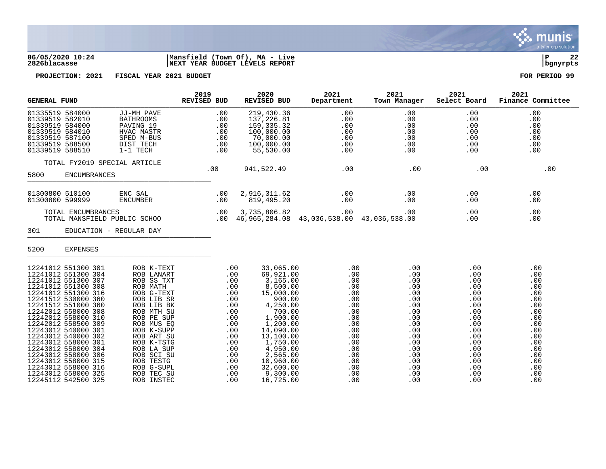

## **06/05/2020 10:24 |Mansfield (Town Of), MA - Live |P 22 2826blacasse |NEXT YEAR BUDGET LEVELS REPORT |bgnyrpts**

| <b>GENERAL FUND</b>                                                                                                               |                                                                                                                                                                                                                                                                                                                                                                                                                                                   |                                                                                                                                                                                                                                                                     | 2019<br>REVISED BUD                                                                                                               | 2020<br>REVISED BUD                                                                                                                                                                                                                  | 2021<br>Department                                                                                                                | 2021<br>Town Manager                                                                                                                   | 2021<br>Select Board                                                                                                                        | 2021<br>Finance Committee                                                                                                         |
|-----------------------------------------------------------------------------------------------------------------------------------|---------------------------------------------------------------------------------------------------------------------------------------------------------------------------------------------------------------------------------------------------------------------------------------------------------------------------------------------------------------------------------------------------------------------------------------------------|---------------------------------------------------------------------------------------------------------------------------------------------------------------------------------------------------------------------------------------------------------------------|-----------------------------------------------------------------------------------------------------------------------------------|--------------------------------------------------------------------------------------------------------------------------------------------------------------------------------------------------------------------------------------|-----------------------------------------------------------------------------------------------------------------------------------|----------------------------------------------------------------------------------------------------------------------------------------|---------------------------------------------------------------------------------------------------------------------------------------------|-----------------------------------------------------------------------------------------------------------------------------------|
| 01335519 584000<br>01339519 582010<br>01339519 584000<br>01339519 584010<br>01339519 587100<br>01339519 588500<br>01339519 588510 |                                                                                                                                                                                                                                                                                                                                                                                                                                                   | JJ-MH PAVE<br><b>BATHROOMS</b><br>PAVING 19<br>HVAC MASTR<br>SPED M-BUS<br>DIST TECH<br>1-1 TECH                                                                                                                                                                    | .00<br>.00<br>.00<br>.00<br>.00<br>.00<br>.00                                                                                     | 219,430.36<br>137,226.81<br>159,335.32<br>100,000.00<br>70,000.00<br>100,000.00<br>55,530.00                                                                                                                                         | .00<br>.00<br>.00<br>.00<br>.00<br>.00<br>.00                                                                                     | .00<br>.00<br>.00<br>.00<br>.00<br>.00<br>.00                                                                                          | .00<br>.00<br>.00<br>.00<br>.00<br>.00<br>.00                                                                                               | .00<br>.00<br>.00<br>.00<br>.00<br>.00<br>.00                                                                                     |
|                                                                                                                                   |                                                                                                                                                                                                                                                                                                                                                                                                                                                   | TOTAL FY2019 SPECIAL ARTICLE                                                                                                                                                                                                                                        | .00                                                                                                                               | 941,522.49                                                                                                                                                                                                                           | .00                                                                                                                               | .00                                                                                                                                    | .00                                                                                                                                         | .00                                                                                                                               |
| 5800                                                                                                                              | <b>ENCUMBRANCES</b>                                                                                                                                                                                                                                                                                                                                                                                                                               |                                                                                                                                                                                                                                                                     |                                                                                                                                   |                                                                                                                                                                                                                                      |                                                                                                                                   |                                                                                                                                        |                                                                                                                                             |                                                                                                                                   |
| 01300800 510100<br>01300800 599999                                                                                                |                                                                                                                                                                                                                                                                                                                                                                                                                                                   | ENC SAL<br><b>ENCUMBER</b>                                                                                                                                                                                                                                          | .00<br>.00                                                                                                                        | 2,916,311.62<br>819,495.20                                                                                                                                                                                                           | .00<br>.00                                                                                                                        | .00<br>.00                                                                                                                             | .00<br>.00                                                                                                                                  | .00<br>.00                                                                                                                        |
|                                                                                                                                   | TOTAL ENCUMBRANCES                                                                                                                                                                                                                                                                                                                                                                                                                                | TOTAL MANSFIELD PUBLIC SCHOO                                                                                                                                                                                                                                        |                                                                                                                                   | $.00 \quad 3,735,806.82$                                                                                                                                                                                                             | .00<br>$.00 \quad 46,965,284.08 \quad 43,036,538.00 \quad 43,036,538.00$                                                          | .00                                                                                                                                    | .00<br>.00                                                                                                                                  | .00<br>.00                                                                                                                        |
| 301                                                                                                                               |                                                                                                                                                                                                                                                                                                                                                                                                                                                   | EDUCATION - REGULAR DAY                                                                                                                                                                                                                                             |                                                                                                                                   |                                                                                                                                                                                                                                      |                                                                                                                                   |                                                                                                                                        |                                                                                                                                             |                                                                                                                                   |
| 5200                                                                                                                              | <b>EXPENSES</b>                                                                                                                                                                                                                                                                                                                                                                                                                                   |                                                                                                                                                                                                                                                                     |                                                                                                                                   |                                                                                                                                                                                                                                      |                                                                                                                                   |                                                                                                                                        |                                                                                                                                             |                                                                                                                                   |
|                                                                                                                                   | 12241012 551300 301<br>12241012 551300 304<br>12241012 551300 307<br>12241012 551300 308<br>12241012 551300 316<br>12241512 530000 360<br>12241512 551000 360<br>12242012 558000 308<br>12242012 558000 310<br>12242012 558500 309<br>12243012 540000 301<br>12243012 540000 302<br>12243012 558000 301<br>12243012 558000 304<br>12243012 558000 306<br>12243012 558000 315<br>12243012 558000 316<br>12243012 558000 325<br>12245112 542500 325 | ROB K-TEXT<br>ROB LANART<br>ROB SS TXT<br>ROB MATH<br>ROB G-TEXT<br>ROB LIB SR<br>ROB LIB BK<br>ROB MTH SU<br>ROB PE SUP<br>ROB MUS EQ<br>ROB K-SUPP<br>ROB ART SU<br>ROB K-TSTG<br>ROB LA SUP<br>ROB SCI SU<br>ROB TESTG<br>ROB G-SUPL<br>ROB TEC SU<br>ROB INSTEC | .00<br>.00<br>.00<br>.00<br>.00<br>.00<br>.00<br>.00<br>.00<br>.00<br>.00<br>.00<br>.00<br>.00<br>.00<br>.00<br>.00<br>.00<br>.00 | 33,065.00<br>69,921.00<br>3,165.00<br>8,500.00<br>15,000.00<br>900.00<br>4,250.00<br>700.00<br>1,900.00<br>1,200.00<br>14,090.00<br>13,100.00<br>1,750.00<br>4,950.00<br>2,565.00<br>10,960.00<br>32,600.00<br>9,300.00<br>16,725.00 | .00<br>.00<br>.00<br>.00<br>.00<br>.00<br>.00<br>.00<br>.00<br>.00<br>.00<br>.00<br>.00<br>.00<br>.00<br>.00<br>.00<br>.00<br>.00 | .00<br>.00<br>.00<br>.00<br>.00<br>.00<br>.00<br>.00<br>.00<br>.00<br>.00<br>.00<br>.00<br>.00<br>.00<br>.00<br>$.00 \,$<br>.00<br>.00 | .00<br>.00<br>.00<br>.00<br>.00<br>.00<br>.00<br>.00<br>.00<br>$.00 \,$<br>.00<br>.00<br>.00<br>.00<br>$.00 \,$<br>.00<br>.00<br>.00<br>.00 | .00<br>.00<br>.00<br>.00<br>.00<br>.00<br>.00<br>.00<br>.00<br>.00<br>.00<br>.00<br>.00<br>.00<br>.00<br>.00<br>.00<br>.00<br>.00 |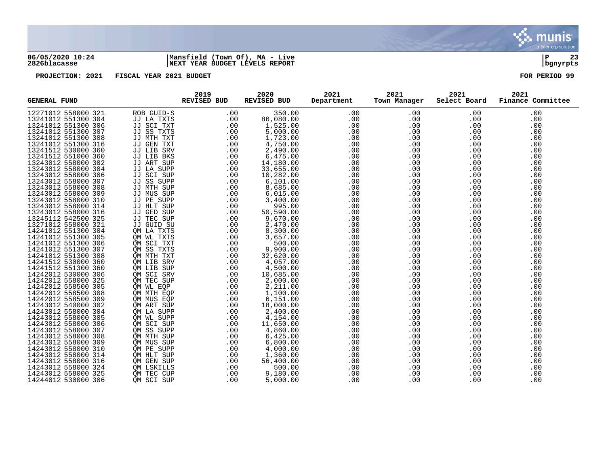

## **06/05/2020 10:24 |Mansfield (Town Of), MA - Live |P 23 2826blacasse |NEXT YEAR BUDGET LEVELS REPORT |bgnyrpts**

| <b>GENERAL FUND</b> |            | 2019<br><b>REVISED BUD</b> | 2020<br><b>REVISED BUD</b> | 2021<br>Department | 2021<br>Town Manager | 2021<br>Select Board | 2021<br>Finance Committee |
|---------------------|------------|----------------------------|----------------------------|--------------------|----------------------|----------------------|---------------------------|
|                     |            |                            |                            |                    |                      |                      |                           |
| 12271012 558000 321 | ROB GUID-S | .00                        | 350.00                     | .00                | .00                  | .00                  | .00                       |
| 13241012 551300 304 | JJ LA TXTS | .00                        | 86,080.00                  | .00                | .00                  | .00                  | .00                       |
| 13241012 551300 306 | JJ SCI TXT | .00                        | 1,525.00                   | .00                | .00                  | .00                  | .00                       |
| 13241012 551300 307 | JJ SS TXTS | .00                        | 5,000.00                   | .00                | .00                  | .00                  | .00                       |
| 13241012 551300 308 | JJ MTH TXT | .00                        | 1,723.00                   | .00                | .00                  | .00                  | .00                       |
| 13241012 551300 316 | JJ GEN TXT | .00                        | 4,750.00                   | .00                | .00                  | .00                  | .00                       |
| 13241512 530000 360 | JJ LIB SRV | .00                        | 2,490.00                   | .00                | .00                  | .00                  | .00                       |
| 13241512 551000 360 | JJ LIB BKS | .00                        | 6,475.00                   | .00                | .00                  | .00                  | .00                       |
| 13243012 558000 302 | JJ ART SUP | .00                        | 14,180.00                  | .00                | .00                  | .00                  | .00                       |
| 13243012 558000 304 | JJ LA SUPP | .00                        | 33,655.00                  | $.00 \,$           | .00                  | .00                  | .00                       |
| 13243012 558000 306 | JJ SCI SUP | .00                        | 10,282.00                  | .00                | .00                  | .00                  | .00                       |
| 13243012 558000 307 | JJ SS SUPP | .00                        | 6,101.00                   | .00                | .00                  | .00                  | .00                       |
| 13243012 558000 308 | JJ MTH SUP | .00                        | 8,685.00                   | .00                | .00                  | .00                  | .00                       |
| 13243012 558000 309 | JJ MUS SUP | .00                        | 6,015.00                   | .00                | .00                  | .00                  | .00                       |
| 13243012 558000 310 | JJ PE SUPP | .00                        | 3,400.00                   | .00                | .00                  | .00                  | .00                       |
| 13243012 558000 314 | JJ HLT SUP | .00                        | 995.00                     | .00                | .00                  | .00                  | .00                       |
| 13243012 558000 316 | JJ GED SUP | .00                        | 50,590.00                  | .00                | .00                  | .00                  | .00                       |
| 13245112 542500 325 | JJ TEC SUP | .00                        | 9,670.00                   | .00                | .00                  | .00                  | .00                       |
| 13271012 558000 321 | JJ GUID SU | .00                        | 2,470.00                   | .00                | .00                  | .00                  | .00                       |
| 14241012 551300 304 | OM LA TXTS | .00                        | 8,300.00                   | .00                | .00                  | .00                  | .00                       |
| 14241012 551300 305 | OM WL TXTS | .00                        | 3,657.00                   | $.00 \,$           | .00                  | .00                  | .00                       |
| 14241012 551300 306 | QM SCI TXT | .00                        | 500.00                     | .00                | .00                  | .00                  | .00                       |
| 14241012 551300 307 | QM SS TXTS | .00                        | 9,900.00                   | .00                | .00                  | .00                  | .00                       |
| 14241012 551300 308 | OM MTH TXT | .00                        | 32,620.00                  | .00                | .00                  | .00                  | .00                       |
| 14241512 530000 360 | QM LIB SRV | .00                        | 4,057.00                   | .00                | .00                  | .00                  | .00                       |
| 14241512 551300 360 | QM LIB SUP | .00                        | 4,500.00                   | .00                | .00                  | .00                  | .00                       |
| 14242012 530000 306 | QM SCI SRV | .00                        | 10,685.00                  | $.00 \,$           | .00                  | .00                  | .00                       |
| 14242012 558000 325 | QM TEC SUP | .00                        | 2,000.00                   | $.00 \,$           | .00                  | .00                  | .00                       |
| 14242012 558500 305 | QM WL EQP  | .00                        | 2,211.00                   | .00                | .00                  | .00                  | .00                       |
| 14242012 558500 308 | QM MTH EQP | .00                        | 1,100.00                   | .00                | .00                  | .00                  | .00                       |
| 14242012 558500 309 | OM MUS EOP | .00                        | 6,151.00                   | .00                | .00                  | .00                  | .00                       |
| 14243012 540000 302 | QM ART SUP | .00                        | 18,000.00                  | .00                | .00                  | .00                  | .00                       |
| 14243012 558000 304 | OM LA SUPP | .00                        | 2,400.00                   | $.00 \,$           | .00                  | .00                  | .00                       |
| 14243012 558000 305 | OM WL SUPP | .00                        | 4,154.00                   | .00                | .00                  | .00                  | .00                       |
| 14243012 558000 306 | OM SCI SUP | .00                        | 11,650.00                  | .00                | .00                  | .00                  | .00                       |
| 14243012 558000 307 | QM SS SUPP | .00                        | 4,860.00                   | .00                | .00                  | .00                  | .00                       |
| 14243012 558000 308 | QM MTH SUP | .00                        | 6,425.00                   | .00                | .00                  | .00                  | .00                       |
| 14243012 558000 309 | OM MUS SUP | .00                        | 6,800.00                   | .00                | .00                  | .00                  | .00                       |
| 14243012 558000 310 | QM PE SUPP | .00                        | 4,000.00                   | .00                | .00                  | .00                  | .00                       |
| 14243012 558000 314 | OM HLT SUP | .00                        | 1,360.00                   | .00                | .00                  | .00                  | .00                       |
| 14243012 558000 316 | OM GEN SUP | .00                        |                            | .00                | .00                  | .00                  | .00                       |
| 14243012 558000 324 |            |                            | 56,400.00                  |                    |                      |                      |                           |
| 14243012 558000 325 | QM LSKILLS | .00                        | 500.00                     | .00                | .00                  | .00                  | .00<br>.00                |
|                     | OM TEC CUP | .00                        | 9,180.00                   | .00                | .00                  | .00                  |                           |
| 14244012 530000 306 | OM SCI SUP | .00                        | 5,000.00                   | .00                | .00                  | .00                  | .00                       |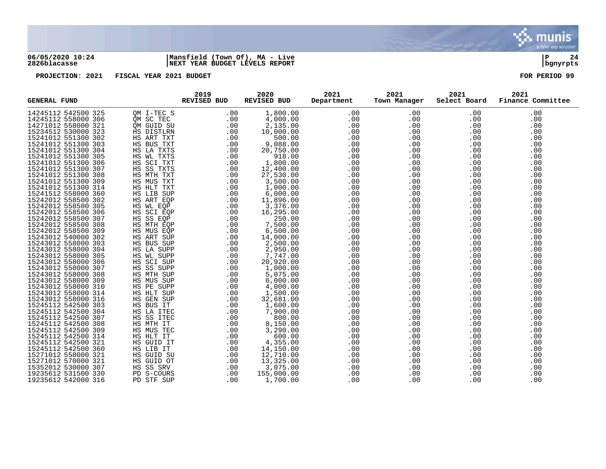

## **06/05/2020 10:24 |Mansfield (Town Of), MA - Live |P 24 2826blacasse |NEXT YEAR BUDGET LEVELS REPORT |bgnyrpts**

| <b>GENERAL FUND</b> |            | 2019<br>REVISED BUD | 2020<br>REVISED BUD | 2021<br>Department | 2021<br>Town Manager | 2021<br>Select Board | 2021<br>Finance Committee |
|---------------------|------------|---------------------|---------------------|--------------------|----------------------|----------------------|---------------------------|
| 14245112 542500 325 | OM I-TEC S | .00                 | 1,800.00            | .00                | .00                  | .00                  | .00                       |
| 14245112 558000 306 | QM SC TEC  | .00                 | 4,000.00            | .00                | .00                  | .00                  | .00                       |
| 14271012 558000 321 | OM GUID SU | .00                 | 2,135.00            | .00                | .00                  | .00                  | .00                       |
| 15234512 530000 323 | HS DISTLRN | .00                 | 10,000.00           | .00                | .00                  | .00                  | .00                       |
| 15241012 551300 302 | HS ART TXT | .00                 | 500.00              | .00                | .00                  | .00                  | .00                       |
| 15241012 551300 303 | HS BUS TXT | .00                 | 9,088.00            | .00                | .00                  | .00                  | .00                       |
| 15241012 551300 304 | HS LA TXTS | .00                 | 20,750.00           | .00                | .00                  | .00                  | .00                       |
| 15241012 551300 305 | HS WL TXTS | .00                 | 918.00              | .00                | .00                  | .00                  | .00                       |
| 15241012 551300 306 | HS SCI TXT | .00                 | 1,800.00            | .00                | .00                  | .00                  | .00                       |
| 15241012 551300 307 | HS SS TXTS | .00                 | 12,400.00           | .00                | .00                  | .00                  | .00                       |
| 15241012 551300 308 | HS MTH TXT | .00                 | 27,530.00           | .00                | .00                  | .00                  | .00                       |
| 15241012 551300 309 | HS MUS TXT | .00                 | 3,500.00            | .00                | .00                  | .00                  | .00                       |
| 15241012 551300 314 | HS HLT TXT | .00                 | 1,000.00            | .00                | .00                  | .00                  | .00                       |
| 15241512 558000 360 | HS LIB SUP | .00                 | 6,000.00            | .00                | .00                  | .00                  | .00                       |
| 15242012 558500 302 | HS ART EQP | .00                 | 11,896.00           | .00                | .00                  | .00                  | .00                       |
| 15242012 558500 305 | HS WL EQP  | .00                 | 3,376.00            | .00                | .00                  | .00                  | .00                       |
| 15242012 558500 306 | HS SCI EQP | .00                 | 16,295.00           | .00                | .00                  | .00                  | .00                       |
| 15242012 558500 307 | HS SS EQP  | .00                 | 250.00              | .00                | .00                  | .00                  | .00                       |
| 15242012 558500 308 | HS MTH EQP | .00                 | 7,500.00            | .00                | .00                  | .00                  | .00                       |
| 15242012 558500 309 | HS MUS EQP | .00                 | 6,500.00            | .00                | .00                  | .00                  | .00                       |
| 15243012 540000 302 | HS ART SUP | .00                 | 14,000.00           | .00                | .00                  | .00                  | .00                       |
| 15243012 558000 303 | HS BUS SUP | .00                 | 2,500.00            | .00                | .00                  | .00                  | .00                       |
| 15243012 558000 304 | HS LA SUPP | .00                 | 2,950.00            | .00                | .00                  | .00                  | .00                       |
| 15243012 558000 305 | HS WL SUPP | .00                 | 7,747.00            | .00                | .00                  | .00                  | .00                       |
| 15243012 558000 306 | HS SCI SUP | .00                 | 20,920.00           | .00                | .00                  | .00                  | .00                       |
| 15243012 558000 307 | HS SS SUPP | .00                 | 1,000.00            | .00                | .00                  | .00                  | .00                       |
| 15243012 558000 308 | HS MTH SUP | .00                 | 5,075.00            | .00                | .00                  | .00                  | .00                       |
| 15243012 558000 309 | HS MUS SUP | .00                 | 6,000.00            | .00                | .00                  | .00                  | .00                       |
| 15243012 558000 310 | HS PE SUPP | .00                 | 4,000.00            | .00                | .00                  | .00                  | .00                       |
| 15243012 558000 314 | HS HLT SUP | .00                 | 1,500.00            | .00                | .00                  | .00                  | .00                       |
| 15243012 558000 316 | HS GEN SUP | .00                 | 32,681.00           | .00                | .00                  | .00                  | .00                       |
| 15245112 542500 303 | HS BUS IT  | .00                 | 1,600.00            | .00                | .00                  | .00                  | .00                       |
| 15245112 542500 304 | HS LA ITEC | .00                 | 7,900.00            | .00                | .00                  | .00                  | .00                       |
| 15245112 542500 307 | HS SS ITEC | .00                 | 800.00              | .00                | .00                  | .00                  | .00                       |
| 15245112 542500 308 | HS MTH IT  | .00                 | 8,150.00            | .00                | .00                  | .00                  | .00                       |
| 15245112 542500 309 | HS MUS TEC | .00                 | 3,290.00            | .00                | .00                  | .00                  | .00                       |
| 15245112 542500 314 | HS HLT IT  | .00                 | 600.00              | .00                | .00                  | .00                  | .00                       |
| 15245112 542500 321 | HS GUID IT | .00                 | 4,355.00            | .00                | .00                  | .00                  | .00                       |
| 15245112 542500 360 | HS LIB IT  | .00                 | 14,150.00           | .00                | .00                  | .00                  | .00                       |
| 15271012 558000 321 | HS GUID SU | .00                 | 12,710.00           | .00                | .00                  | .00                  | .00                       |
| 15271012 570000 321 | HS GUID OT | .00                 | 13,325.00           | .00                | .00                  | .00                  | .00                       |
| 15352012 530000 307 | HS SS SRV  | .00                 | 3,075.00            | .00                | .00                  | .00                  | .00                       |
| 19235612 531500 330 | PD S-COURS | .00                 | 155,000.00          | .00                | .00                  | .00                  | .00                       |
| 19235612 542000 316 | PD STF SUP | .00                 | 1,700.00            | .00                | .00                  | .00                  | .00                       |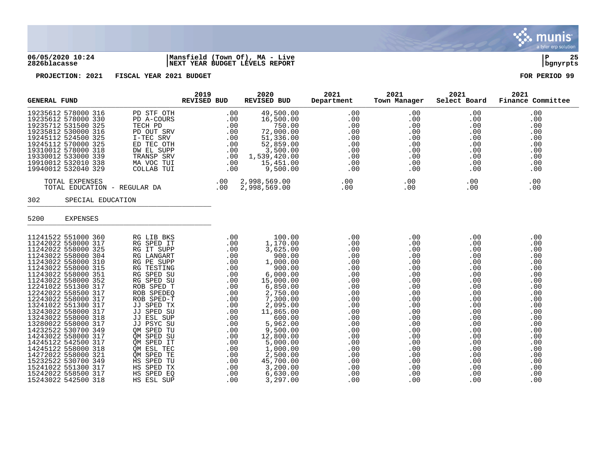

## **06/05/2020 10:24 |Mansfield (Town Of), MA - Live |P 25 2826blacasse |NEXT YEAR BUDGET LEVELS REPORT |bgnyrpts**

| <b>GENERAL FUND</b>                                                                                                                                                                                                                |                                                                                                                                      | 2019<br>REVISED BUD                                                | 2020<br>REVISED BUD                                                                                                          | 2021<br>Department                                                 | 2021<br>Town Manager                                               | 2021<br>Select Board                                               | 2021<br>Finance Committee                                          |
|------------------------------------------------------------------------------------------------------------------------------------------------------------------------------------------------------------------------------------|--------------------------------------------------------------------------------------------------------------------------------------|--------------------------------------------------------------------|------------------------------------------------------------------------------------------------------------------------------|--------------------------------------------------------------------|--------------------------------------------------------------------|--------------------------------------------------------------------|--------------------------------------------------------------------|
| 19235612 578000 316<br>19235612 578000 330<br>19235712 531500 325<br>19235812 530000 316<br>19245112 524500 325<br>19245112 570000 325<br>19310012 578000 318<br>19330012 533000 339<br>19910012 532010 338<br>19940012 532040 329 | PD STF OTH<br>PD A-COURS<br>TECH PD<br>PD OUT SRV<br>I-TEC SRV<br>ED TEC OTH<br>DW EL SUPP<br>TRANSP SRV<br>MA VOC TUI<br>COLLAB TUI | .00<br>.00<br>.00<br>.00<br>.00<br>.00<br>.00<br>.00<br>.00<br>.00 | 49,500.00<br>16,500.00<br>750.00<br>72,000.00<br>51,336.00<br>52,859.00<br>3,500.00<br>1,539,420.00<br>15,451.00<br>9,500.00 | .00<br>.00<br>.00<br>.00<br>.00<br>.00<br>.00<br>.00<br>.00<br>.00 | .00<br>.00<br>.00<br>.00<br>.00<br>.00<br>.00<br>.00<br>.00<br>.00 | .00<br>.00<br>.00<br>.00<br>.00<br>.00<br>.00<br>.00<br>.00<br>.00 | .00<br>.00<br>.00<br>.00<br>.00<br>.00<br>.00<br>.00<br>.00<br>.00 |
| TOTAL EXPENSES<br>TOTAL EDUCATION - REGULAR DA<br>302<br>SPECIAL EDUCATION                                                                                                                                                         |                                                                                                                                      | $.00 \,$<br>.00                                                    | 2,998,569.00<br>2,998,569.00                                                                                                 | $.00 \,$<br>.00                                                    | .00<br>.00                                                         | $.00 \,$<br>.00                                                    | .00<br>.00                                                         |
|                                                                                                                                                                                                                                    |                                                                                                                                      |                                                                    |                                                                                                                              |                                                                    |                                                                    |                                                                    |                                                                    |
| 5200<br><b>EXPENSES</b>                                                                                                                                                                                                            |                                                                                                                                      |                                                                    |                                                                                                                              |                                                                    |                                                                    |                                                                    |                                                                    |
| 11241522 551000 360<br>11242022 558000 317<br>11242022 558000 325<br>11243022 558000 304<br>11243022 558000 310<br>11243022 558000 315<br>$11243022$ 558000 351                                                                    | RG LIB BKS<br>RG SPED IT<br>RG IT SUPP<br>RG LANGART<br>RG PE SUPP<br>RG TESTING<br>PC CDFD CII                                      | .00<br>.00<br>.00<br>.00<br>.00<br>.00<br>$\cap$                   | 100.00<br>1,170.00<br>3,625.00<br>900.00<br>1,000.00<br>900.00<br>6 NNN NN                                                   | .00<br>.00<br>.00<br>.00<br>.00<br>.00<br>$\cap$                   | .00<br>.00<br>.00<br>.00<br>.00<br>.00<br>n n                      | .00<br>.00<br>.00<br>.00<br>.00<br>.00<br>n n                      | .00<br>.00<br>.00<br>.00<br>.00<br>.00<br>$\cap$                   |

|                     |               | $\cdot$ $\circ$ |           | .   | $\cdot$ $\circ$ | .   |     |
|---------------------|---------------|-----------------|-----------|-----|-----------------|-----|-----|
| 11243022 558000 315 | RG TESTING    | .00             | 900.00    | .00 | .00             | .00 | .00 |
| 11243022 558000 351 | RG SPED SU    | .00             | 6,000.00  | .00 | .00             | .00 | .00 |
| 11243022 558000 352 | RG SPED SU    | .00             | 15,000.00 | .00 | .00             | .00 | .00 |
| 12241022 551300 317 | ROB SPED T    | .00             | 6,850.00  | .00 | .00             | .00 | .00 |
| 12242022 558500 317 | SPEDEO<br>ROB | .00             | 2,750.00  | .00 | .00             | .00 | .00 |
| 12243022 558000 317 | ROB SPED-T    | .00             | 7,300.00  | .00 | .00             | .00 | .00 |
| 13241022 551300 317 | JJ SPED TX    | .00             | 2,095.00  | .00 | .00             | .00 | .00 |
| 13243022 558000 317 | JJ SPED SU    | .00             | 11,865.00 | .00 | .00             | .00 | .00 |
| 13243022 558000 318 | JJ ESL SUP    | .00             | 600.00    | .00 | .00             | .00 | .00 |
| 13280022 558000 317 | PSYC SU<br>JJ | .00             | 5,962.00  | .00 | .00             | .00 | .00 |
| 14232522 530700 349 | SPED TU<br>OМ | .00             | 9,500.00  | .00 | .00             | .00 | .00 |
| 14243022 558000 317 | SPED SU<br>OМ | .00             | 12,800.00 | .00 | .00             | .00 | .00 |
| 14245122 542500 317 | SPED IT<br>OМ | .00             | 5,000.00  | .00 | .00             | .00 | .00 |
| 14245122 558000 318 | OM ESL TEC    | .00             | 1,000.00  | .00 | .00             | .00 | .00 |
| 14272022 558000 321 | SPED TE<br>OМ | .00             | 2,500.00  | .00 | .00             | .00 | .00 |
| 15232522 530700 349 | НS<br>SPED TU | .00             | 45,700.00 | .00 | .00             | .00 | .00 |
| 15241022 551300 317 | НS<br>SPED TX | .00             | 3,200.00  | .00 | .00             | .00 | .00 |
| 15242022 558500 317 | HS SPED EO    | .00             | 6,630.00  | .00 | .00             | .00 | .00 |
| 15243022 542500 318 | HS ESL SUP    | .00             | 3,297.00  | .00 | .00             | .00 | .00 |
|                     |               |                 |           |     |                 |     |     |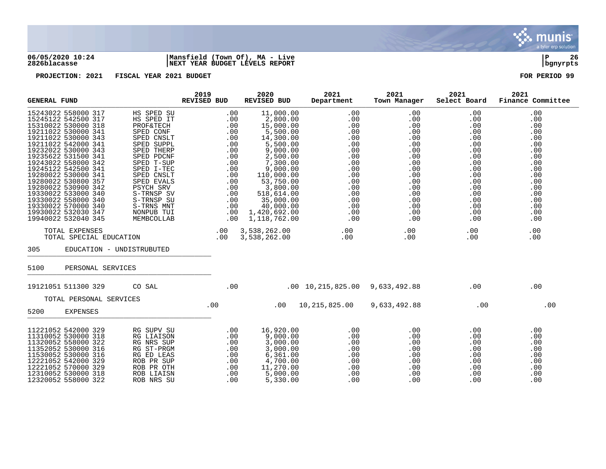

## **06/05/2020 10:24 |Mansfield (Town Of), MA - Live |P 26 2826blacasse |NEXT YEAR BUDGET LEVELS REPORT |bgnyrpts**

| GENERAL FUND                                                                                                                                                                                                                                                                                                                                                                                                               |                                                                                                                                                                                                                                                       | 2019<br>REVISED BUD                                                                                                        | 2020<br>REVISED BUD                                                                                                                                                                                                                                   | 2021<br>Department                                                                                                                   | 2021<br>Town Manager                                                                                                            | 2021<br>Select Board                                                                                                                     | 2021<br>Finance Committee                                                                                                  |
|----------------------------------------------------------------------------------------------------------------------------------------------------------------------------------------------------------------------------------------------------------------------------------------------------------------------------------------------------------------------------------------------------------------------------|-------------------------------------------------------------------------------------------------------------------------------------------------------------------------------------------------------------------------------------------------------|----------------------------------------------------------------------------------------------------------------------------|-------------------------------------------------------------------------------------------------------------------------------------------------------------------------------------------------------------------------------------------------------|--------------------------------------------------------------------------------------------------------------------------------------|---------------------------------------------------------------------------------------------------------------------------------|------------------------------------------------------------------------------------------------------------------------------------------|----------------------------------------------------------------------------------------------------------------------------|
| 15243022 558000 317<br>15245122 542500 317<br>15310022 530000 318<br>19211022 530000 341<br>19211022 530000 343<br>19211022 542000 341<br>19232022 530000 343<br>19235622 531500 341<br>19243022 558000 342<br>19245122 542500 341<br>19280022 530000 341<br>19280022 530800 357<br>19280022 530900 342<br>19330022 533000 340<br>19330022 558000 340<br>19330022 570000 340<br>19930022 532030 347<br>19940022 532040 345 | HS SPED SU<br>HS SPED IT<br>PROF&TECH<br>SPED CONF<br>SPED CNSLT<br>SPED SUPPL<br>SPED THERP<br>SPED PDCNF<br>SPED T-SUP<br>SPED I-TEC<br>SPED CNSLT<br>SPED EVALS<br>PSYCH SRV<br>S-TRNSP SV<br>S-TRNSP SU<br>S-TRNS MNT<br>NONPUB TUI<br>MEMBCOLLAB | .00<br>.00<br>.00<br>.00<br>.00<br>.00<br>.00<br>.00<br>.00<br>.00<br>.00<br>.00<br>.00<br>.00<br>.00<br>.00<br>.00<br>.00 | 11,000.00<br>2,800.00<br>15,000.00<br>5,500.00<br>14,300.00<br>5,500.00<br>9,000.00<br>2,500.00<br>7,300.00<br>9,000.00<br>110,000.00<br>53,750.00<br>3,800.00<br>518,614.00<br>$35,000.00$<br>40.000.00<br>40,000.00<br>1,420,692.00<br>1,118,762.00 | .00<br>.00<br>.00<br>.00<br>.00<br>.00<br>$.00 \,$<br>.00<br>.00<br>.00<br>.00<br>.00<br>$.00 \,$<br>.00<br>.00<br>.00<br>.00<br>.00 | .00<br>.00<br>.00<br>.00<br>.00<br>.00<br>.00<br>.00<br>.00<br>.00<br>.00<br>.00<br>$.00 \,$<br>.00<br>.00<br>.00<br>.00<br>.00 | .00<br>.00<br>.00<br>.00<br>.00<br>.00<br>$.00\,$<br>.00<br>.00<br>.00<br>.00<br>.00<br>.00<br>$.00 \,$<br>.00<br>.00<br>$.00 \,$<br>.00 | .00<br>.00<br>.00<br>.00<br>.00<br>.00<br>.00<br>.00<br>.00<br>.00<br>.00<br>.00<br>.00<br>.00<br>.00<br>.00<br>.00<br>.00 |
| TOTAL EXPENSES                                                                                                                                                                                                                                                                                                                                                                                                             | TOTAL SPECIAL EDUCATION                                                                                                                                                                                                                               |                                                                                                                            | $\begin{array}{r} .00 3,538,262.00 \ .00 3.538.262.00 \end{array}$<br>$.00 \quad 3,538,262.00$                                                                                                                                                        | .00<br>.00                                                                                                                           | .00<br>.00                                                                                                                      | $.00 \,$<br>.00                                                                                                                          | .00<br>.00                                                                                                                 |
| 305                                                                                                                                                                                                                                                                                                                                                                                                                        | EDUCATION - UNDISTRUBUTED                                                                                                                                                                                                                             |                                                                                                                            |                                                                                                                                                                                                                                                       |                                                                                                                                      |                                                                                                                                 |                                                                                                                                          |                                                                                                                            |
| 5100                                                                                                                                                                                                                                                                                                                                                                                                                       | PERSONAL SERVICES                                                                                                                                                                                                                                     |                                                                                                                            |                                                                                                                                                                                                                                                       |                                                                                                                                      |                                                                                                                                 |                                                                                                                                          |                                                                                                                            |
| 19121051 511300 329                                                                                                                                                                                                                                                                                                                                                                                                        | CO SAL                                                                                                                                                                                                                                                | .00                                                                                                                        |                                                                                                                                                                                                                                                       | $.00 \quad 10,215,825.00 \quad 9,633,492.88$                                                                                         |                                                                                                                                 | .00                                                                                                                                      | .00                                                                                                                        |
|                                                                                                                                                                                                                                                                                                                                                                                                                            | TOTAL PERSONAL SERVICES                                                                                                                                                                                                                               |                                                                                                                            |                                                                                                                                                                                                                                                       |                                                                                                                                      |                                                                                                                                 |                                                                                                                                          |                                                                                                                            |
| 5200                                                                                                                                                                                                                                                                                                                                                                                                                       | <b>EXPENSES</b>                                                                                                                                                                                                                                       | .00                                                                                                                        | .00                                                                                                                                                                                                                                                   | 10,215,825.00                                                                                                                        | 9,633,492.88                                                                                                                    | .00                                                                                                                                      | .00                                                                                                                        |
| 11221052 542000 329<br>11310052 530000 318<br>11320052 558000 322<br>11352052 530000 316<br>11530052 530000 316<br>12221052 542000 329<br>12221052 570000 329<br>12310052 530000 318<br>12320052 558000 322                                                                                                                                                                                                                | RG SUPV SU<br>RG LIAISON<br>RG NRS SUP<br>RG ST-PRGM<br>RG ED LEAS<br>ROB PR SUP<br>ROB PR OTH<br>ROB LIAISN<br>ROB NRS SU                                                                                                                            | .00<br>.00<br>.00<br>.00<br>.00<br>.00<br>.00<br>.00<br>.00                                                                | 16,920.00<br>9,000.00<br>3,000.00<br>3,000.00<br>6, 361.00<br>4,700.00<br>11,270.00<br>5,000.00<br>5,330.00                                                                                                                                           | .00<br>.00<br>.00<br>.00<br>.00<br>.00<br>.00<br>.00<br>.00                                                                          | .00<br>.00<br>.00<br>.00<br>.00<br>.00<br>.00<br>.00<br>.00                                                                     | .00<br>.00<br>$.00 \,$<br>.00<br>.00<br>.00<br>.00<br>.00<br>.00                                                                         | .00<br>.00<br>.00<br>.00<br>.00<br>.00<br>.00<br>.00<br>.00                                                                |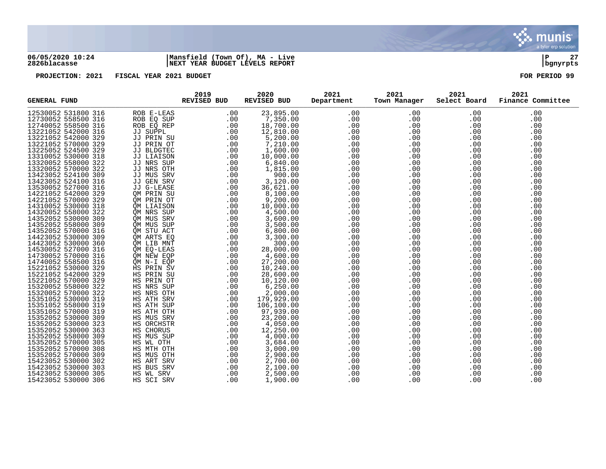

## **06/05/2020 10:24 |Mansfield (Town Of), MA - Live |P 27 2826blacasse |NEXT YEAR BUDGET LEVELS REPORT |bgnyrpts**

| <b>GENERAL FUND</b> |            | 2019<br><b>REVISED BUD</b> | 2020<br>REVISED BUD | 2021<br>Department | 2021<br>Town Manager | 2021<br>Select Board | 2021<br>Finance Committee |
|---------------------|------------|----------------------------|---------------------|--------------------|----------------------|----------------------|---------------------------|
| 12530052 531800 316 | ROB E-LEAS | .00                        | 23,895.00           | .00                | .00                  | .00                  | .00                       |
| 12730052 558500 316 | ROB EQ SUP | .00                        | 7,350.00            | .00                | .00                  | .00                  | .00                       |
| 12740052 558500 316 | ROB EQ REP | .00                        | 18,700.00           | .00                | .00                  | .00                  | .00                       |
| 13221052 542000 316 | JJ SUPPL   | .00                        | 12,810.00           | .00                | .00                  | .00                  | .00                       |
| 13221052 542000 329 | JJ PRIN SU | .00                        | 5,200.00            | .00                | .00                  | .00                  | .00                       |
| 13221052 570000 329 | JJ PRIN OT | .00                        | 7,210.00            | .00                | .00                  | .00                  | .00                       |
| 13225052 524500 329 | JJ BLDGTEC | .00                        | 1,600.00            | .00                | .00                  | .00                  | .00                       |
| 13310052 530000 318 | JJ LIAISON | .00                        | 10,000.00           | .00                | .00                  | .00                  | .00                       |
| 13320052 558000 322 | JJ NRS SUP | .00                        | 6,840.00            | .00                | .00                  | .00                  | .00                       |
| 13320052 570000 322 | JJ NRS OTH | .00                        | 1,815.00            | .00                | .00                  | .00                  | .00                       |
| 13423052 524100 309 | JJ MUS SRV | .00                        | 900.00              | .00                | .00                  | .00                  | .00                       |
| 13423052 524100 316 | JJ GEN SRV | .00                        | 3,120.00            | .00                | .00                  | .00                  | .00                       |
| 13530052 527000 316 | JJ G-LEASE | .00                        | 36,621.00           | .00                | .00                  | .00                  | .00                       |
| 14221052 542000 329 | OM PRIN SU | .00                        | 8,100.00            | .00                | .00                  | .00                  | .00                       |
| 14221052 570000 329 | OM PRIN OT | .00                        | 9,200.00            | .00                | .00                  | .00                  | .00                       |
| 14310052 530000 318 | OM LIAISON | .00                        | 10,000.00           | .00                | .00                  | .00                  | .00                       |
| 14320052 558000 322 | QM NRS SUP | .00                        | 4,500.00            | .00                | .00                  | .00                  | .00                       |
| 14352052 530000 309 | QM MUS SRV | .00                        | 3,600.00            | .00                | .00                  | .00                  | .00                       |
| 14352052 558000 309 | OM MUS SUP | .00                        | 3,500.00            | .00                | .00                  | .00                  | .00                       |
| 14352052 570000 316 | OM STU ACT | .00                        | 6,800.00            | .00                | .00                  | .00                  | .00                       |
| 14423052 530000 309 | OM ARTS EO | .00                        | 3,300.00            | .00                | .00                  | .00                  | .00                       |
| 14423052 530000 360 |            | .00                        | 300.00              |                    |                      |                      | .00                       |
| 14530052 527000 316 | QM LIB MNT | .00                        |                     | .00                | .00                  | .00<br>.00           | .00                       |
|                     | QM EQ-LEAS |                            | 28,000.00           | .00                | .00                  |                      |                           |
| 14730052 570000 316 | OM NEW EOP | .00                        | 4,600.00            | .00                | .00                  | .00                  | .00                       |
| 14740052 558500 316 | QM N-I EQP | .00                        | 27,200.00           | .00                | .00                  | .00                  | .00                       |
| 15221052 530000 329 | HS PRIN SV | .00                        | 10,240.00           | .00                | .00                  | .00                  | .00                       |
| 15221052 542000 329 | HS PRIN SU | .00                        | 28,600.00           | .00                | .00                  | .00                  | .00                       |
| 15221052 570000 329 | HS PRIN OT | .00                        | 10,120.00           | .00                | .00                  | .00                  | .00                       |
| 15320052 558000 322 | HS NRS SUP | .00                        | 6, 250.00           | .00                | .00                  | .00                  | .00                       |
| 15320052 570000 322 | HS NRS OTH | .00                        | 2,000.00            | .00                | .00                  | .00                  | .00                       |
| 15351052 530000 319 | HS ATH SRV | .00                        | 179,929.00          | .00                | .00                  | .00                  | .00                       |
| 15351052 558000 319 | HS ATH SUP | .00                        | 106,100.00          | .00                | .00                  | .00                  | .00                       |
| 15351052 570000 319 | HS ATH OTH | .00                        | 97,939.00           | .00                | .00                  | .00                  | .00                       |
| 15352052 530000 309 | HS MUS SRV | .00                        | 23,200.00           | .00                | .00                  | .00                  | .00                       |
| 15352052 530000 323 | HS ORCHSTR | .00                        | 4,050.00            | .00                | .00                  | .00                  | .00                       |
| 15352052 530000 363 | HS CHORUS  | .00                        | 12,250.00           | .00                | .00                  | .00                  | .00                       |
| 15352052 558000 309 | HS MUS SUP | .00                        | 4,000.00            | .00                | .00                  | .00                  | .00                       |
| 15352052 570000 305 | HS WL OTH  | .00                        | 3,684.00            | .00                | .00                  | .00                  | .00                       |
| 15352052 570000 308 | HS MTH OTH | .00                        | 3,000.00            | .00                | .00                  | .00                  | .00                       |
| 15352052 570000 309 | HS MUS OTH | .00                        | 2,900.00            | .00                | .00                  | .00                  | .00                       |
| 15423052 530000 302 | HS ART SRV | .00                        | 2,700.00            | .00                | .00                  | .00                  | .00                       |
| 15423052 530000 303 | HS BUS SRV | .00                        | 2,100.00            | .00                | .00                  | .00                  | .00                       |
| 15423052 530000 305 | HS WL SRV  | .00                        | 2,500.00            | .00                | .00                  | .00                  | .00                       |
| 15423052 530000 306 | HS SCI SRV | .00                        | 1,900.00            | .00                | .00                  | .00                  | .00                       |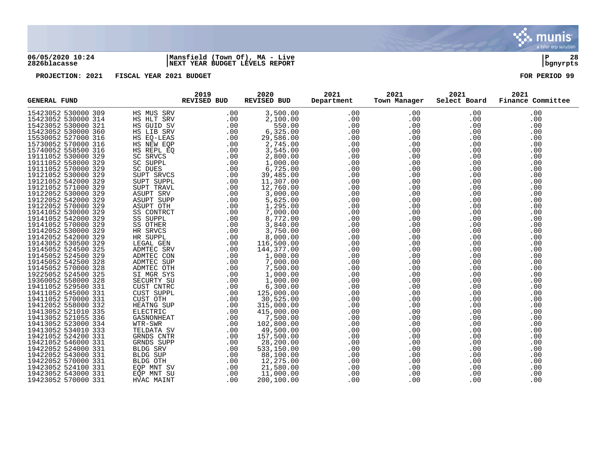

## **06/05/2020 10:24 |Mansfield (Town Of), MA - Live |P 28 2826blacasse |NEXT YEAR BUDGET LEVELS REPORT |bgnyrpts**

| <b>GENERAL FUND</b> |                 | 2019<br>REVISED BUD | 2020<br>REVISED BUD | 2021<br>Department | 2021<br>Town Manager | 2021<br>Select Board | 2021<br>Finance Committee |
|---------------------|-----------------|---------------------|---------------------|--------------------|----------------------|----------------------|---------------------------|
|                     |                 |                     |                     |                    |                      |                      |                           |
| 15423052 530000 309 | HS MUS SRV      | .00                 | 3,500.00            | .00                | .00                  | .00                  | .00                       |
| 15423052 530000 314 | HS HLT SRV      | .00                 | 2,100.00            | .00                | .00                  | .00                  | .00                       |
| 15423052 530000 321 | HS GUID SV      | .00                 | 550.00              | .00                | .00                  | .00                  | .00                       |
| 15423052 530000 360 | HS LIB SRV      | .00                 | 6,325.00            | .00                | .00                  | .00                  | .00                       |
| 15530052 527000 316 | HS EQ-LEAS      | .00                 | 29,586.00           | $.00 \,$           | .00                  | .00                  | .00                       |
| 15730052 570000 316 | HS NEW EQP      | .00                 | 2,745.00            | .00                | .00                  | .00                  | .00                       |
| 15740052 558500 316 | HS REPL EQ      | .00                 | 3,545.00            | .00                | .00                  | .00                  | .00                       |
| 19111052 530000 329 | SC SRVCS        | .00                 | 2,800.00            | .00                | .00                  | .00                  | .00                       |
| 19111052 558000 329 | SC SUPPL        | .00                 | 1,000.00            | .00                | .00                  | .00                  | .00                       |
| 19111052 570000 329 | SC DUES         | .00                 | 6,725.00            | $.00 \,$           | .00                  | .00                  | .00                       |
| 19121052 530000 329 | SUPT SRVCS      | .00                 | 39,485.00           | .00                | .00                  | .00                  | .00                       |
| 19121052 542000 329 | SUPT SUPPL      | .00                 | 11,307.00           | .00                | .00                  | .00                  | .00                       |
| 19121052 571000 329 | SUPT TRAVL      | .00                 | 12,760.00           | .00                | .00                  | .00                  | .00                       |
| 19122052 530000 329 | ASUPT SRV       | .00                 | 3,000.00            | .00                | .00                  | .00                  | .00                       |
| 19122052 542000 329 | ASUPT SUPP      | .00                 | 5,625.00            | .00                | .00                  | .00                  | .00                       |
| 19122052 570000 329 | ASUPT OTH       | .00                 | 1,295.00            | $.00 \,$           | .00                  | .00                  | .00                       |
| 19141052 530000 329 | SS CONTRCT      | .00                 | 7,000.00            | .00                | .00                  | .00                  | .00                       |
| 19141052 542000 329 | SS SUPPL        | .00                 | 8,772.00            | .00                | .00                  | .00                  | .00                       |
| 19141052 570000 329 | SS OTHER        | .00                 | 3,840.00            | .00                | .00                  | .00                  | .00                       |
| 19142052 530000 329 | HR SRVCS        | .00                 | 3,750.00            | .00                | .00                  | .00                  | .00                       |
| 19142052 542000 329 | HR SUPPL        | .00                 | 8,000.00            | $.00 \,$           | .00                  | .00                  | .00                       |
| 19143052 530500 329 | LEGAL GEN       | .00                 | 116,500.00          | $.00 \ \,$         | .00                  | .00                  | .00                       |
| 19145052 524500 325 | ADMTEC SRV      | .00                 | 144,377.00          | .00                | .00                  | .00                  | .00                       |
| 19145052 524500 329 | ADMTEC CON      | .00                 | 1,000.00            | .00                | .00                  | .00                  | .00                       |
| 19145052 542500 328 | ADMTEC SUP      | .00                 | 7,000.00            | .00                | .00                  | .00                  | .00                       |
| 19145052 570000 328 | ADMTEC OTH      | .00                 | 7,500.00            | .00                | .00                  | .00                  | .00                       |
| 19225052 524500 325 | SI MGR SYS      | .00                 | 1,000.00            | $.00 \,$           | .00                  | .00                  | .00                       |
| 19360052 558000 328 | SECURTY SU      | .00                 | 1,000.00            | .00                | .00                  | .00                  | .00                       |
| 19411052 529500 331 | CUST CNTRC      | .00                 | 6,300.00            | .00                | .00                  | .00                  | .00                       |
| 19411052 545000 331 | CUST SUPPL      | .00                 | 125,000.00          | .00                | .00                  | .00                  | .00                       |
| 19411052 570000 331 | CUST OTH        | .00                 | 30,525.00           | .00                | .00                  | .00                  | .00                       |
| 19412052 558000 332 | HEATNG SUP      | .00                 | 315,000.00          | .00                | .00                  | .00                  | .00                       |
| 19413052 521010 335 | <b>ELECTRIC</b> | .00                 | 415,000.00          | $.00 \,$           | .00                  | .00                  | .00                       |
| 19413052 521055 336 | GASNONHEAT      | .00                 | 7,500.00            | .00                | .00                  | .00                  | .00                       |
| 19413052 523000 334 | WTR-SWR         | .00                 | 102,800.00          | .00                | .00                  | .00                  | .00                       |
| 19413052 534010 333 | TELDATA SV      | .00                 | 49,500.00           | $.00 \,$           | .00                  | .00                  | .00                       |
| 19421052 524200 331 | GRNDS CNTR      | .00                 | 157,500.00          | .00                | .00                  | .00                  | .00                       |
| 19421052 546000 331 | GRNDS SUPP      | .00                 | 28,200.00           | .00                | .00                  | .00                  | .00                       |
| 19422052 524000 331 | BLDG SRV        | .00                 | 533,150.00          | .00                | .00                  | .00                  | .00                       |
| 19422052 543000 331 | BLDG SUP        | .00                 | 88,100.00           | .00                | .00                  | .00                  | .00                       |
| 19422052 570000 331 | BLDG OTH        | .00                 | 12,275.00           | .00                | .00                  | .00                  | .00                       |
| 19423052 524100 331 | EQP MNT SV      | .00                 | 21,580.00           | $.00 \,$           | .00                  | .00                  | .00                       |
| 19423052 543000 331 | EOP MNT SU      | .00                 | 11,000.00           | .00                | .00                  | .00                  | .00                       |
| 19423052 570000 331 | HVAC MAINT      | .00                 | 200,100.00          | .00                | .00                  | .00                  | .00                       |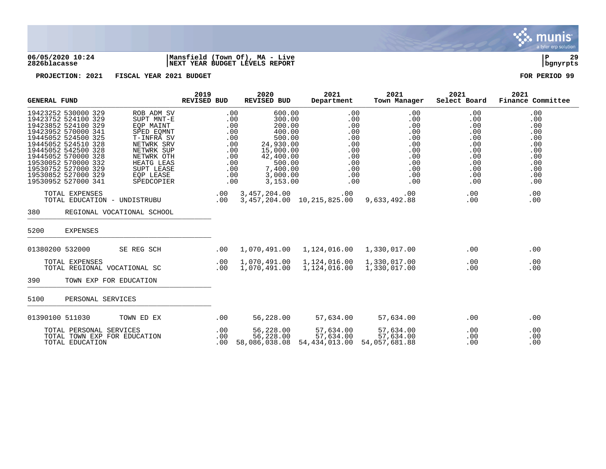

# **06/05/2020 10:24 |Mansfield (Town Of), MA - Live |P 29 2826blacasse |NEXT YEAR BUDGET LEVELS REPORT |bgnyrpts**

| <b>GENERAL FUND</b>                                                                                                                                                                                                                                                                                                                                                                                                                                    | 2019<br><b>REVISED BUD</b>                                                       | 2020<br><b>REVISED BUD</b>                                                                                                          | 2021<br>Department                                                                    | 2021<br>Town Manager                                                             | 2021<br>Select Board                                                                  | 2021<br>Finance Committee                                                        |
|--------------------------------------------------------------------------------------------------------------------------------------------------------------------------------------------------------------------------------------------------------------------------------------------------------------------------------------------------------------------------------------------------------------------------------------------------------|----------------------------------------------------------------------------------|-------------------------------------------------------------------------------------------------------------------------------------|---------------------------------------------------------------------------------------|----------------------------------------------------------------------------------|---------------------------------------------------------------------------------------|----------------------------------------------------------------------------------|
| 19423252 530000 329<br>ROB ADM SV<br>19423752 524100 329<br>SUPT MNT-E<br>19423852 524100 329<br>EQP MAINT<br>19423952 570000 341<br>SPED EOMNT<br>19445052 524500 325<br>T-INFRA SV<br>19445052 524510 328<br>NETWRK SRV<br>19445052 542500 328<br>NETWRK SUP<br>19445052 570000 328<br>NETWRK OTH<br>19530052 570000 332<br>HEATG LEAS<br>19530752 527000 329<br>SUPT LEASE<br>19530852 527000 329<br>EQP LEASE<br>19530952 527000 341<br>SPEDCOPIER | .00<br>.00<br>.00<br>.00<br>.00<br>.00<br>.00<br>.00<br>.00<br>.00<br>.00<br>.00 | 600.00<br>300.00<br>200.00<br>400.00<br>500.00<br>24,930.00<br>15,000.00<br>42,400.00<br>500.00<br>7,400.00<br>3,000.00<br>3,153.00 | .00<br>.00<br>.00<br>.00<br>.00<br>.00<br>.00<br>$.00 \,$<br>.00<br>.00<br>.00<br>.00 | .00<br>.00<br>.00<br>.00<br>.00<br>.00<br>.00<br>.00<br>.00<br>.00<br>.00<br>.00 | .00<br>.00<br>.00<br>.00<br>.00<br>.00<br>.00<br>$.00 \,$<br>.00<br>.00<br>.00<br>.00 | .00<br>.00<br>.00<br>.00<br>.00<br>.00<br>.00<br>.00<br>.00<br>.00<br>.00<br>.00 |
| TOTAL EXPENSES<br>TOTAL EDUCATION - UNDISTRUBU                                                                                                                                                                                                                                                                                                                                                                                                         | .00<br>.00                                                                       | 3,457,204.00                                                                                                                        | $.00 \,$<br>3,457,204.00 10,215,825.00                                                | $.00 \,$<br>9,633,492.88                                                         | $.00 \,$<br>.00                                                                       | .00<br>.00                                                                       |
| 380<br>REGIONAL VOCATIONAL SCHOOL                                                                                                                                                                                                                                                                                                                                                                                                                      |                                                                                  |                                                                                                                                     |                                                                                       |                                                                                  |                                                                                       |                                                                                  |
| 5200<br><b>EXPENSES</b>                                                                                                                                                                                                                                                                                                                                                                                                                                |                                                                                  |                                                                                                                                     |                                                                                       |                                                                                  |                                                                                       |                                                                                  |
| 01380200 532000<br>SE REG SCH                                                                                                                                                                                                                                                                                                                                                                                                                          | .00                                                                              | 1,070,491.00                                                                                                                        | 1,124,016.00                                                                          | 1,330,017.00                                                                     | .00                                                                                   | .00                                                                              |
| TOTAL EXPENSES<br>TOTAL REGIONAL VOCATIONAL SC                                                                                                                                                                                                                                                                                                                                                                                                         | .00<br>.00                                                                       | 1,070,491.00<br>1,070,491.00                                                                                                        | 1,124,016.00<br>1,124,016.00                                                          | 1,330,017.00<br>1,330,017.00                                                     | .00<br>.00                                                                            | .00<br>.00                                                                       |
| 390<br>TOWN EXP FOR EDUCATION                                                                                                                                                                                                                                                                                                                                                                                                                          |                                                                                  |                                                                                                                                     |                                                                                       |                                                                                  |                                                                                       |                                                                                  |
| 5100<br>PERSONAL SERVICES                                                                                                                                                                                                                                                                                                                                                                                                                              |                                                                                  |                                                                                                                                     |                                                                                       |                                                                                  |                                                                                       |                                                                                  |
| 01390100 511030<br>TOWN ED EX                                                                                                                                                                                                                                                                                                                                                                                                                          | .00                                                                              | 56,228.00                                                                                                                           | 57,634.00                                                                             | 57,634.00                                                                        | .00                                                                                   | .00                                                                              |
| TOTAL PERSONAL SERVICES<br>TOTAL TOWN EXP FOR EDUCATION<br>TOTAL EDUCATION                                                                                                                                                                                                                                                                                                                                                                             | .00<br>.00<br>.00                                                                | 56,228.00<br>56,228.00<br>58,086,038.08                                                                                             | 57,634.00<br>57,634.00<br>54,434,013.00                                               | 57,634.00<br>57,634.00<br>54,057,681.88                                          | .00<br>.00<br>.00                                                                     | .00<br>.00<br>.00                                                                |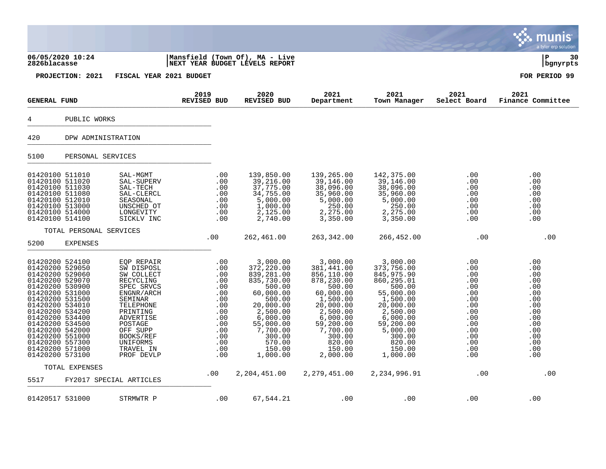|                                                                                                                                                                                                                                                                                                              |                         |                                                                                                                                                                                                             |                            |                                                                                                                |                                                                                                                                                                                             |                                                                                                                                                                                               |                                                                                                                                                                                               |                                                                                                                                                        | munis<br>a tyler erp solution                                                                                |
|--------------------------------------------------------------------------------------------------------------------------------------------------------------------------------------------------------------------------------------------------------------------------------------------------------------|-------------------------|-------------------------------------------------------------------------------------------------------------------------------------------------------------------------------------------------------------|----------------------------|----------------------------------------------------------------------------------------------------------------|---------------------------------------------------------------------------------------------------------------------------------------------------------------------------------------------|-----------------------------------------------------------------------------------------------------------------------------------------------------------------------------------------------|-----------------------------------------------------------------------------------------------------------------------------------------------------------------------------------------------|--------------------------------------------------------------------------------------------------------------------------------------------------------|--------------------------------------------------------------------------------------------------------------|
| 06/05/2020 10:24<br>2826blacasse                                                                                                                                                                                                                                                                             |                         |                                                                                                                                                                                                             |                            |                                                                                                                | Mansfield (Town Of), MA - Live<br><b>NEXT YEAR BUDGET LEVELS REPORT</b>                                                                                                                     |                                                                                                                                                                                               |                                                                                                                                                                                               |                                                                                                                                                        | ∣ P<br>30<br>  bgnyrpts                                                                                      |
|                                                                                                                                                                                                                                                                                                              | PROJECTION: 2021        | FISCAL YEAR 2021 BUDGET                                                                                                                                                                                     |                            |                                                                                                                |                                                                                                                                                                                             |                                                                                                                                                                                               |                                                                                                                                                                                               |                                                                                                                                                        | FOR PERIOD 99                                                                                                |
| <b>GENERAL FUND</b>                                                                                                                                                                                                                                                                                          |                         |                                                                                                                                                                                                             | 2019<br><b>REVISED BUD</b> |                                                                                                                | 2020<br><b>REVISED BUD</b>                                                                                                                                                                  | 2021<br>Department                                                                                                                                                                            | 2021<br>Town Manager                                                                                                                                                                          | 2021<br>Select Board                                                                                                                                   | 2021<br>Finance Committee                                                                                    |
| 4                                                                                                                                                                                                                                                                                                            | PUBLIC WORKS            |                                                                                                                                                                                                             |                            |                                                                                                                |                                                                                                                                                                                             |                                                                                                                                                                                               |                                                                                                                                                                                               |                                                                                                                                                        |                                                                                                              |
| 420                                                                                                                                                                                                                                                                                                          | DPW ADMINISTRATION      |                                                                                                                                                                                                             |                            |                                                                                                                |                                                                                                                                                                                             |                                                                                                                                                                                               |                                                                                                                                                                                               |                                                                                                                                                        |                                                                                                              |
| 5100                                                                                                                                                                                                                                                                                                         | PERSONAL SERVICES       |                                                                                                                                                                                                             |                            |                                                                                                                |                                                                                                                                                                                             |                                                                                                                                                                                               |                                                                                                                                                                                               |                                                                                                                                                        |                                                                                                              |
| 01420100 511010<br>01420100 511020<br>01420100 511030<br>01420100 511080<br>01420100 512010<br>01420100 513000<br>01420100 514000<br>01420100 514100                                                                                                                                                         |                         | SAL-MGMT<br>SAL-SUPERV<br>SAL-TECH<br>SAL-CLERCL<br>SEASONAL<br>UNSCHED OT<br>LONGEVITY<br>SICKLV INC                                                                                                       |                            | .00<br>.00<br>.00<br>.00<br>.00<br>.00<br>.00<br>.00                                                           | 139,850.00<br>39,216.00<br>37,775.00<br>34,755.00<br>5,000.00<br>1,000.00<br>2,125.00<br>2,740.00                                                                                           | 139,265.00<br>39,146.00<br>38,096.00<br>35,960.00<br>5,000.00<br>250.00<br>2,275.00<br>3,350.00                                                                                               | 142,375.00<br>39,146.00<br>38,096.00<br>35,960.00<br>5,000.00<br>250.00<br>2,275.00<br>3,350.00                                                                                               | .00.<br>$.00 \,$<br>.00.<br>$.00 \,$<br>.00<br>.00<br>.00.<br>.00                                                                                      | .00<br>.00<br>.00<br>.00<br>.00<br>.00<br>.00<br>.00                                                         |
|                                                                                                                                                                                                                                                                                                              | TOTAL PERSONAL SERVICES |                                                                                                                                                                                                             | .00                        |                                                                                                                |                                                                                                                                                                                             |                                                                                                                                                                                               |                                                                                                                                                                                               | .00                                                                                                                                                    | .00                                                                                                          |
| 5200                                                                                                                                                                                                                                                                                                         | <b>EXPENSES</b>         |                                                                                                                                                                                                             |                            |                                                                                                                | 262,461.00                                                                                                                                                                                  | 263,342.00                                                                                                                                                                                    | 266,452.00                                                                                                                                                                                    |                                                                                                                                                        |                                                                                                              |
| 01420200 524100<br>01420200 529050<br>01420200 529060<br>01420200 529070<br>01420200 530900<br>01420200 531000<br>01420200 531500<br>01420200 534010<br>01420200 534200<br>01420200 534400<br>01420200 534500<br>01420200 542000<br>01420200 551000<br>01420200 557300<br>01420200 571000<br>01420200 573100 |                         | EQP REPAIR<br>SW DISPOSL<br>SW COLLECT<br>RECYCLING<br>SPEC SRVCS<br>ENGNR/ARCH<br>SEMINAR<br>TELEPHONE<br>PRINTING<br>ADVERTISE<br>POSTAGE<br>OFF SUPP<br>BOOKS/REF<br>UNIFORMS<br>TRAVEL IN<br>PROF DEVLP |                            | .00<br>.00<br>.00<br>.00<br>.00<br>.00<br>.00<br>.00<br>$.00$<br>.00<br>.00<br>.00<br>.00<br>.00<br>.00<br>.00 | 3,000.00<br>372,220.00<br>839,281.00<br>835,730.00<br>500.00<br>60,000.00<br>500.00<br>20,000.00<br>2,500.00<br>6,000.00<br>55,000.00<br>7,700.00<br>300.00<br>570.00<br>150.00<br>1,000.00 | 3,000.00<br>381,441.00<br>856,110.00<br>878,230.00<br>500.00<br>60,000.00<br>1,500.00<br>20,000.00<br>2,500.00<br>6,000.00<br>59,200.00<br>7,700.00<br>300.00<br>820.00<br>150.00<br>2,000.00 | 3,000.00<br>373,756.00<br>845,975.90<br>860,295.01<br>500.00<br>55,000.00<br>1,500.00<br>20,000.00<br>2,500.00<br>6,000.00<br>59,200.00<br>5,000.00<br>300.00<br>820.00<br>150.00<br>1,000.00 | $.00 \,$<br>.00<br>$.00 \,$<br>.00<br>.00<br>$.00 \,$<br>.00<br>$.00 \,$<br>.00.<br>$.00 \,$<br>$.00 \,$<br>.00<br>$.00 \,$<br>.00<br>$.00 \,$<br>.00. | .00<br>.00<br>.00<br>.00<br>.00<br>.00<br>.00<br>.00<br>.00<br>.00<br>.00<br>.00<br>.00<br>.00<br>.00<br>.00 |
|                                                                                                                                                                                                                                                                                                              | TOTAL EXPENSES          |                                                                                                                                                                                                             | .00                        |                                                                                                                | 2, 204, 451.00                                                                                                                                                                              | 2, 279, 451.00                                                                                                                                                                                | 2, 234, 996.91                                                                                                                                                                                | .00                                                                                                                                                    | .00                                                                                                          |
| 5517                                                                                                                                                                                                                                                                                                         |                         | FY2017 SPECIAL ARTICLES                                                                                                                                                                                     |                            |                                                                                                                |                                                                                                                                                                                             |                                                                                                                                                                                               |                                                                                                                                                                                               |                                                                                                                                                        |                                                                                                              |
| 01420517 531000                                                                                                                                                                                                                                                                                              |                         | STRMWTR P                                                                                                                                                                                                   |                            | .00                                                                                                            | 67,544.21                                                                                                                                                                                   | .00                                                                                                                                                                                           | .00                                                                                                                                                                                           | .00                                                                                                                                                    | .00                                                                                                          |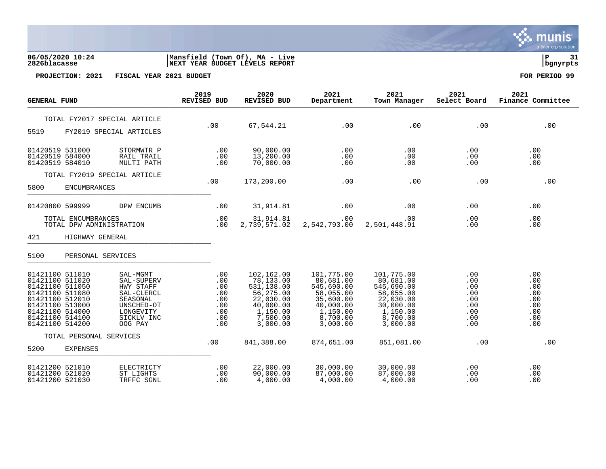| 06/05/2020 10:24 |  |
|------------------|--|
| 2826blacasse     |  |

# **06/05/2020 10:24 |Mansfield (Town Of), MA - Live |P 31 2826blacasse |NEXT YEAR BUDGET LEVELS REPORT |bgnyrpts**

, munis<sup>.</sup> a tyler erp solution

| <b>GENERAL FUND</b>                                                                                                                                                     |                                                                                                                   | 2019<br><b>REVISED BUD</b>                                  | 2020<br><b>REVISED BUD</b>                                                                                       | 2021<br>Department                                                                                               | 2021<br>Town Manager                                                                                             | 2021<br>Select Board                                             | 2021<br>Finance Committee                                   |
|-------------------------------------------------------------------------------------------------------------------------------------------------------------------------|-------------------------------------------------------------------------------------------------------------------|-------------------------------------------------------------|------------------------------------------------------------------------------------------------------------------|------------------------------------------------------------------------------------------------------------------|------------------------------------------------------------------------------------------------------------------|------------------------------------------------------------------|-------------------------------------------------------------|
| TOTAL FY2017 SPECIAL ARTICLE                                                                                                                                            |                                                                                                                   |                                                             |                                                                                                                  |                                                                                                                  |                                                                                                                  |                                                                  |                                                             |
| 5519<br>FY2019 SPECIAL ARTICLES                                                                                                                                         |                                                                                                                   | .00                                                         | 67,544.21                                                                                                        | .00                                                                                                              | .00                                                                                                              | .00                                                              | .00                                                         |
| 01420519 531000<br>01420519 584000<br>01420519 584010                                                                                                                   | STORMWTR P<br>RAIL TRAIL<br>MULTI PATH                                                                            | .00<br>.00<br>.00                                           | 90,000.00<br>13,200.00<br>70,000.00                                                                              | .00<br>.00<br>.00                                                                                                | .00<br>.00<br>.00                                                                                                | .00<br>.00<br>.00                                                | .00<br>.00<br>.00                                           |
| TOTAL FY2019 SPECIAL ARTICLE<br>5800<br><b>ENCUMBRANCES</b>                                                                                                             |                                                                                                                   | .00                                                         | 173,200.00                                                                                                       | .00                                                                                                              | .00                                                                                                              | .00                                                              | .00                                                         |
| 01420800 599999                                                                                                                                                         | DPW ENCUMB                                                                                                        | .00                                                         | 31,914.81                                                                                                        | .00                                                                                                              | .00                                                                                                              | .00                                                              | .00                                                         |
| TOTAL ENCUMBRANCES<br>TOTAL DPW ADMINISTRATION                                                                                                                          |                                                                                                                   | .00<br>.00                                                  | 31,914.81<br>2,739,571.02                                                                                        | .00<br>2,542,793.00                                                                                              | .00<br>2,501,448.91                                                                                              | .00<br>.00                                                       | .00<br>.00                                                  |
| 421<br>HIGHWAY GENERAL                                                                                                                                                  |                                                                                                                   |                                                             |                                                                                                                  |                                                                                                                  |                                                                                                                  |                                                                  |                                                             |
| 5100<br>PERSONAL SERVICES                                                                                                                                               |                                                                                                                   |                                                             |                                                                                                                  |                                                                                                                  |                                                                                                                  |                                                                  |                                                             |
| 01421100 511010<br>01421100 511020<br>01421100 511050<br>01421100 511080<br>01421100 512010<br>01421100 513000<br>01421100 514000<br>01421100 514100<br>01421100 514200 | SAL-MGMT<br>SAL-SUPERV<br>HWY STAFF<br>SAL-CLERCL<br>SEASONAL<br>UNSCHED-OT<br>LONGEVITY<br>SICKLV INC<br>OOG PAY | .00<br>.00<br>.00<br>.00<br>.00<br>.00<br>.00<br>.00<br>.00 | 102,162.00<br>78,133.00<br>531,138.00<br>56,275.00<br>22,030.00<br>40,000.00<br>1,150.00<br>7,500.00<br>3,000.00 | 101,775.00<br>80,681.00<br>545,690.00<br>58,055.00<br>35,600.00<br>40,000.00<br>1,150.00<br>8,700.00<br>3,000.00 | 101,775.00<br>80,681.00<br>545,690.00<br>58,055.00<br>22,030.00<br>30,000.00<br>1,150.00<br>8,700.00<br>3,000.00 | $.00 \,$<br>.00<br>.00<br>.00<br>.00<br>.00<br>.00<br>.00<br>.00 | .00<br>.00<br>.00<br>.00<br>.00<br>.00<br>.00<br>.00<br>.00 |
| TOTAL PERSONAL SERVICES                                                                                                                                                 |                                                                                                                   | .00                                                         | 841,388.00                                                                                                       | 874,651.00                                                                                                       | 851,081.00                                                                                                       | .00                                                              | .00                                                         |
| 5200<br><b>EXPENSES</b>                                                                                                                                                 |                                                                                                                   |                                                             |                                                                                                                  |                                                                                                                  |                                                                                                                  |                                                                  |                                                             |
| 01421200 521010<br>01421200 521020<br>01421200 521030                                                                                                                   | ELECTRICTY<br>ST LIGHTS<br>TRFFC SGNL                                                                             | .00<br>.00<br>.00                                           | 22,000.00<br>90,000.00<br>4,000.00                                                                               | 30,000.00<br>87,000.00<br>4,000.00                                                                               | 30,000.00<br>87,000.00<br>4,000.00                                                                               | .00<br>.00<br>.00.                                               | .00<br>.00<br>.00                                           |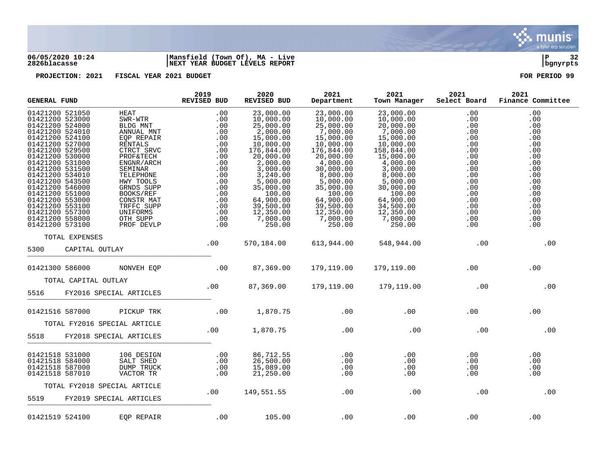

## **06/05/2020 10:24 |Mansfield (Town Of), MA - Live |P 32 2826blacasse |NEXT YEAR BUDGET LEVELS REPORT |bgnyrpts**

| <b>GENERAL FUND</b>                                                                                                                                                                                                                                                                                                                                                   |                      |                                                                                                                                                                                                                                                                        | 2019<br><b>REVISED BUD</b>                                                                                                        | 2020<br><b>REVISED BUD</b>                                                                                                                                                                                                               | 2021<br>Department                                                                                                                                                                                                                        | 2021<br>Town Manager                                                                                                                                                                                                                     | 2021<br>Select Board                                                                                                                             | 2021<br>Finance Committee                                                                                                         |
|-----------------------------------------------------------------------------------------------------------------------------------------------------------------------------------------------------------------------------------------------------------------------------------------------------------------------------------------------------------------------|----------------------|------------------------------------------------------------------------------------------------------------------------------------------------------------------------------------------------------------------------------------------------------------------------|-----------------------------------------------------------------------------------------------------------------------------------|------------------------------------------------------------------------------------------------------------------------------------------------------------------------------------------------------------------------------------------|-------------------------------------------------------------------------------------------------------------------------------------------------------------------------------------------------------------------------------------------|------------------------------------------------------------------------------------------------------------------------------------------------------------------------------------------------------------------------------------------|--------------------------------------------------------------------------------------------------------------------------------------------------|-----------------------------------------------------------------------------------------------------------------------------------|
| 01421200 521050<br>01421200 523000<br>01421200 524000<br>01421200 524010<br>01421200 524100<br>01421200 527000<br>01421200 529500<br>01421200 530000<br>01421200 531000<br>01421200 531500<br>01421200 534010<br>01421200 543500<br>01421200 546000<br>01421200 551000<br>01421200 553000<br>01421200 553100<br>01421200 557300<br>01421200 558000<br>01421200 573100 |                      | <b>HEAT</b><br>SWR-WTR<br>BLDG MNT<br>ANNUAL MNT<br>EQP REPAIR<br><b>RENTALS</b><br>CTRCT SRVC<br><b>PROF&amp;TECH</b><br>ENGNR/ARCH<br>SEMINAR<br>TELEPHONE<br>HWY TOOLS<br>GRNDS SUPP<br>BOOKS/REF<br>CONSTR MAT<br>TRFFC SUPP<br>UNIFORMS<br>OTH SUPP<br>PROF DEVLP | .00<br>.00<br>.00<br>.00<br>.00<br>.00<br>.00<br>.00<br>.00<br>.00<br>.00<br>.00<br>.00<br>.00<br>.00<br>.00<br>.00<br>.00<br>.00 | 23,000.00<br>10,000.00<br>25,000.00<br>2,000.00<br>15,000.00<br>10,000.00<br>176,844.00<br>20,000.00<br>2,000.00<br>3,000.00<br>3,240.00<br>5,000.00<br>35,000.00<br>100.00<br>64,900.00<br>39,500.00<br>12,350.00<br>7,000.00<br>250.00 | 23,000.00<br>10,000.00<br>25,000.00<br>7,000.00<br>15,000.00<br>10,000.00<br>176,844.00<br>20,000.00<br>4,000.00<br>30,000.00<br>8,000.00<br>5,000.00<br>35,000.00<br>100.00<br>64,900.00<br>39,500.00<br>12,350.00<br>7,000.00<br>250.00 | 23,000.00<br>10,000.00<br>20,000.00<br>7,000.00<br>15,000.00<br>10,000.00<br>158,844.00<br>15,000.00<br>4,000.00<br>3,000.00<br>8,000.00<br>5,000.00<br>30,000.00<br>100.00<br>64,900.00<br>34,500.00<br>12,350.00<br>7,000.00<br>250.00 | .00<br>.00<br>.00<br>.00<br>.00<br>.00<br>$.00 \,$<br>.00<br>.00<br>$.00 \,$<br>.00<br>.00<br>.00<br>.00<br>.00<br>.00<br>$.00 \,$<br>.00<br>.00 | .00<br>.00<br>.00<br>.00<br>.00<br>.00<br>.00<br>.00<br>.00<br>.00<br>.00<br>.00<br>.00<br>.00<br>.00<br>.00<br>.00<br>.00<br>.00 |
|                                                                                                                                                                                                                                                                                                                                                                       | TOTAL EXPENSES       |                                                                                                                                                                                                                                                                        | .00                                                                                                                               | 570,184.00                                                                                                                                                                                                                               | 613,944.00                                                                                                                                                                                                                                | 548,944.00                                                                                                                                                                                                                               | .00                                                                                                                                              | .00                                                                                                                               |
| 5300                                                                                                                                                                                                                                                                                                                                                                  | CAPITAL OUTLAY       |                                                                                                                                                                                                                                                                        |                                                                                                                                   |                                                                                                                                                                                                                                          |                                                                                                                                                                                                                                           |                                                                                                                                                                                                                                          |                                                                                                                                                  |                                                                                                                                   |
| 01421300 586000                                                                                                                                                                                                                                                                                                                                                       |                      | NONVEH EQP                                                                                                                                                                                                                                                             | .00                                                                                                                               | 87,369.00                                                                                                                                                                                                                                | 179,119.00                                                                                                                                                                                                                                | 179,119.00                                                                                                                                                                                                                               | .00                                                                                                                                              | .00                                                                                                                               |
|                                                                                                                                                                                                                                                                                                                                                                       | TOTAL CAPITAL OUTLAY |                                                                                                                                                                                                                                                                        |                                                                                                                                   |                                                                                                                                                                                                                                          |                                                                                                                                                                                                                                           |                                                                                                                                                                                                                                          |                                                                                                                                                  |                                                                                                                                   |
| 5516                                                                                                                                                                                                                                                                                                                                                                  |                      | FY2016 SPECIAL ARTICLES                                                                                                                                                                                                                                                | .00                                                                                                                               | 87,369.00                                                                                                                                                                                                                                | 179,119.00                                                                                                                                                                                                                                | 179,119.00                                                                                                                                                                                                                               | .00                                                                                                                                              | .00                                                                                                                               |
| 01421516 587000                                                                                                                                                                                                                                                                                                                                                       |                      | PICKUP TRK                                                                                                                                                                                                                                                             | .00                                                                                                                               | 1,870.75                                                                                                                                                                                                                                 | .00                                                                                                                                                                                                                                       | .00                                                                                                                                                                                                                                      | .00                                                                                                                                              | .00                                                                                                                               |
|                                                                                                                                                                                                                                                                                                                                                                       |                      | TOTAL FY2016 SPECIAL ARTICLE                                                                                                                                                                                                                                           |                                                                                                                                   |                                                                                                                                                                                                                                          |                                                                                                                                                                                                                                           |                                                                                                                                                                                                                                          |                                                                                                                                                  |                                                                                                                                   |
| 5518                                                                                                                                                                                                                                                                                                                                                                  |                      | FY2018 SPECIAL ARTICLES                                                                                                                                                                                                                                                | .00                                                                                                                               | 1,870.75                                                                                                                                                                                                                                 | .00                                                                                                                                                                                                                                       | .00                                                                                                                                                                                                                                      | .00                                                                                                                                              | .00                                                                                                                               |
| 01421518 531000<br>01421518 584000<br>01421518 587000<br>01421518 587010                                                                                                                                                                                                                                                                                              |                      | 106 DESIGN<br>SALT SHED<br>DUMP TRUCK<br>VACTOR TR                                                                                                                                                                                                                     | .00<br>.00<br>.00<br>.00                                                                                                          | 86,712.55<br>26,500.00<br>15,089.00<br>21,250.00                                                                                                                                                                                         | .00<br>.00<br>.00<br>.00                                                                                                                                                                                                                  | .00<br>.00<br>.00<br>$.00 \,$                                                                                                                                                                                                            | .00<br>.00<br>.00<br>$.00 \,$                                                                                                                    | .00<br>.00<br>.00<br>.00                                                                                                          |
| 5519                                                                                                                                                                                                                                                                                                                                                                  |                      | TOTAL FY2018 SPECIAL ARTICLE<br>FY2019 SPECIAL ARTICLES                                                                                                                                                                                                                | .00                                                                                                                               | 149,551.55                                                                                                                                                                                                                               | .00                                                                                                                                                                                                                                       | .00                                                                                                                                                                                                                                      | .00                                                                                                                                              | .00                                                                                                                               |
| 01421519 524100                                                                                                                                                                                                                                                                                                                                                       |                      | EQP REPAIR                                                                                                                                                                                                                                                             | .00                                                                                                                               | 105.00                                                                                                                                                                                                                                   | .00                                                                                                                                                                                                                                       | .00                                                                                                                                                                                                                                      | .00                                                                                                                                              | .00                                                                                                                               |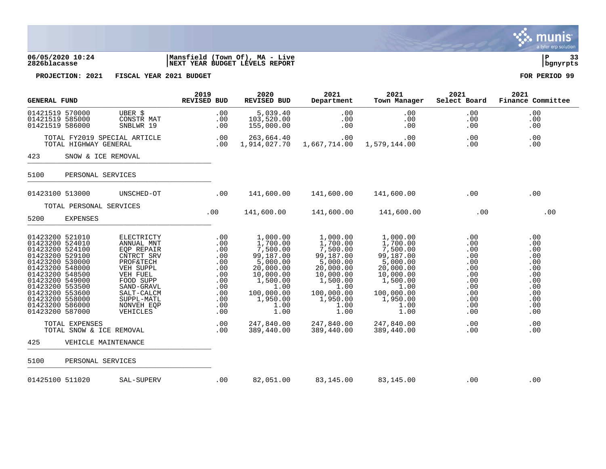|  |  |  |  |              |  | 06/05/2020 10:24 |  |
|--|--|--|--|--------------|--|------------------|--|
|  |  |  |  | 2826blacasse |  |                  |  |

# **06/05/2020 10:24 |Mansfield (Town Of), MA - Live |P 33 2826blacasse |NEXT YEAR BUDGET LEVELS REPORT |bgnyrpts**

**PROJECTION: 2021 FISCAL YEAR 2021 BUDGET FOR PERIOD 99**

| <b>GENERAL FUND</b>                                                                                                                                                                                                                                 |                                            |                                                                                                                                                                             | 2019<br>REVISED BUD                                                                     | 2020<br><b>REVISED BUD</b>                                                                                                                        | 2021<br>Department                                                                                                                                | 2021<br>Town Manager                                                                                                                              | 2021<br>Select Board                                                                    | 2021<br>Finance Committee                                                               |
|-----------------------------------------------------------------------------------------------------------------------------------------------------------------------------------------------------------------------------------------------------|--------------------------------------------|-----------------------------------------------------------------------------------------------------------------------------------------------------------------------------|-----------------------------------------------------------------------------------------|---------------------------------------------------------------------------------------------------------------------------------------------------|---------------------------------------------------------------------------------------------------------------------------------------------------|---------------------------------------------------------------------------------------------------------------------------------------------------|-----------------------------------------------------------------------------------------|-----------------------------------------------------------------------------------------|
| 01421519 570000<br>01421519 585000<br>01421519 586000                                                                                                                                                                                               |                                            | UBER \$<br>CONSTR MAT<br>SNBLWR 19                                                                                                                                          | .00<br>.00<br>.00                                                                       | 5,039.40<br>103,520.00<br>155,000.00                                                                                                              | .00<br>.00<br>.00                                                                                                                                 | .00<br>.00<br>.00                                                                                                                                 | .00<br>.00<br>.00                                                                       | .00<br>.00<br>.00                                                                       |
|                                                                                                                                                                                                                                                     | TOTAL HIGHWAY GENERAL                      | TOTAL FY2019 SPECIAL ARTICLE                                                                                                                                                | .00<br>.00                                                                              | 263,664.40<br>1,914,027.70                                                                                                                        | .00<br>1,667,714.00                                                                                                                               | .00<br>1,579,144.00                                                                                                                               | .00<br>.00                                                                              | .00<br>.00                                                                              |
| 423                                                                                                                                                                                                                                                 | SNOW & ICE REMOVAL                         |                                                                                                                                                                             |                                                                                         |                                                                                                                                                   |                                                                                                                                                   |                                                                                                                                                   |                                                                                         |                                                                                         |
| 5100                                                                                                                                                                                                                                                | PERSONAL SERVICES                          |                                                                                                                                                                             |                                                                                         |                                                                                                                                                   |                                                                                                                                                   |                                                                                                                                                   |                                                                                         |                                                                                         |
| 01423100 513000                                                                                                                                                                                                                                     |                                            | UNSCHED-OT                                                                                                                                                                  | .00                                                                                     | 141,600.00                                                                                                                                        | 141,600.00                                                                                                                                        | 141,600.00                                                                                                                                        | .00                                                                                     | .00                                                                                     |
|                                                                                                                                                                                                                                                     | TOTAL PERSONAL SERVICES                    |                                                                                                                                                                             | .00                                                                                     | 141,600.00                                                                                                                                        | 141,600.00                                                                                                                                        | 141,600.00                                                                                                                                        | .00                                                                                     | .00                                                                                     |
| 5200                                                                                                                                                                                                                                                | <b>EXPENSES</b>                            |                                                                                                                                                                             |                                                                                         |                                                                                                                                                   |                                                                                                                                                   |                                                                                                                                                   |                                                                                         |                                                                                         |
| 01423200 521010<br>01423200 524010<br>01423200 524100<br>01423200 529100<br>01423200 530000<br>01423200 548000<br>01423200 548500<br>01423200 549000<br>01423200 553500<br>01423200 553600<br>01423200 558000<br>01423200 586000<br>01423200 587000 |                                            | ELECTRICTY<br>ANNUAL MNT<br>EOP REPAIR<br>CNTRCT SRV<br>PROF&TECH<br>VEH SUPPL<br>VEH FUEL<br>FOOD SUPP<br>SAND-GRAVL<br>SALT-CALCM<br>SUPPL-MATL<br>NONVEH EQP<br>VEHICLES | .00<br>.00<br>.00<br>.00<br>.00<br>.00<br>.00<br>.00<br>.00<br>.00<br>.00<br>.00<br>.00 | 1,000.00<br>1,700.00<br>7,500.00<br>99,187.00<br>5,000.00<br>20,000.00<br>10,000.00<br>1,500.00<br>1.00<br>100,000.00<br>1,950.00<br>1.00<br>1.00 | 1,000.00<br>1,700.00<br>7,500.00<br>99,187.00<br>5,000.00<br>20,000.00<br>10,000.00<br>1,500.00<br>1.00<br>100,000.00<br>1,950.00<br>1.00<br>1.00 | 1,000.00<br>1,700.00<br>7,500.00<br>99,187.00<br>5,000.00<br>20,000.00<br>10,000.00<br>1,500.00<br>1.00<br>100,000.00<br>1,950.00<br>1.00<br>1.00 | .00<br>.00<br>.00<br>.00<br>.00<br>.00<br>.00<br>.00<br>.00<br>.00<br>.00<br>.00<br>.00 | .00<br>.00<br>.00<br>.00<br>.00<br>.00<br>.00<br>.00<br>.00<br>.00<br>.00<br>.00<br>.00 |
|                                                                                                                                                                                                                                                     | TOTAL EXPENSES<br>TOTAL SNOW & ICE REMOVAL |                                                                                                                                                                             | .00<br>.00                                                                              | 247,840.00<br>389,440.00                                                                                                                          | 247,840.00<br>389,440.00                                                                                                                          | 247,840.00<br>389,440.00                                                                                                                          | .00<br>.00                                                                              | .00<br>.00                                                                              |
| 425                                                                                                                                                                                                                                                 | VEHICLE MAINTENANCE                        |                                                                                                                                                                             |                                                                                         |                                                                                                                                                   |                                                                                                                                                   |                                                                                                                                                   |                                                                                         |                                                                                         |
| 5100                                                                                                                                                                                                                                                | PERSONAL SERVICES                          |                                                                                                                                                                             |                                                                                         |                                                                                                                                                   |                                                                                                                                                   |                                                                                                                                                   |                                                                                         |                                                                                         |
| 01425100 511020                                                                                                                                                                                                                                     |                                            | SAL-SUPERV                                                                                                                                                                  | .00                                                                                     | 82,051.00                                                                                                                                         | 83,145.00                                                                                                                                         | 83,145.00                                                                                                                                         | .00                                                                                     | .00                                                                                     |

munis a tyler erp solution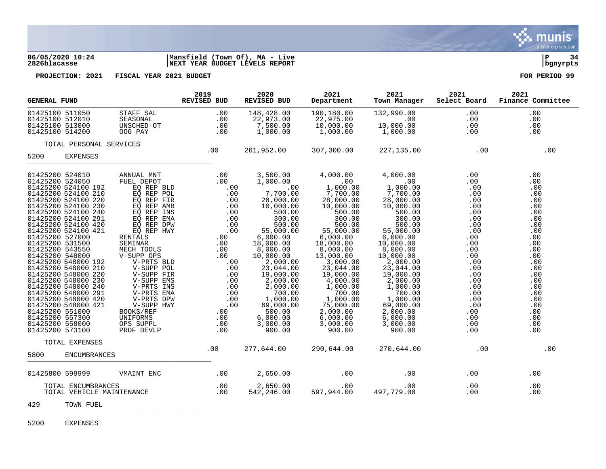

## **06/05/2020 10:24 |Mansfield (Town Of), MA - Live |P 34 2826blacasse |NEXT YEAR BUDGET LEVELS REPORT |bgnyrpts**

**PROJECTION: 2021 FISCAL YEAR 2021 BUDGET FOR PERIOD 99**

| <b>GENERAL FUND</b>                                                                                                                                                                        |                                                                                                                                                                                                                                                                                                                                                                              |                                                                                                                                                                                                                                                                                                                                                                                     | 2019<br>REVISED BUD                                                                                                                                                                                                                                                                  | 2020<br><b>REVISED BUD</b>                                                                                                                                                                                                                                                                                                                                                          | 2021<br>Department                                                                                                                                                                                                                                                                     | 2021<br>Town Manager                                                                                                                                                                                                                                                                                                             | 2021<br>Select Board                                                                                                                                                               | 2021<br>Finance Committee                                                                                                                                                          |
|--------------------------------------------------------------------------------------------------------------------------------------------------------------------------------------------|------------------------------------------------------------------------------------------------------------------------------------------------------------------------------------------------------------------------------------------------------------------------------------------------------------------------------------------------------------------------------|-------------------------------------------------------------------------------------------------------------------------------------------------------------------------------------------------------------------------------------------------------------------------------------------------------------------------------------------------------------------------------------|--------------------------------------------------------------------------------------------------------------------------------------------------------------------------------------------------------------------------------------------------------------------------------------|-------------------------------------------------------------------------------------------------------------------------------------------------------------------------------------------------------------------------------------------------------------------------------------------------------------------------------------------------------------------------------------|----------------------------------------------------------------------------------------------------------------------------------------------------------------------------------------------------------------------------------------------------------------------------------------|----------------------------------------------------------------------------------------------------------------------------------------------------------------------------------------------------------------------------------------------------------------------------------------------------------------------------------|------------------------------------------------------------------------------------------------------------------------------------------------------------------------------------|------------------------------------------------------------------------------------------------------------------------------------------------------------------------------------|
| 01425100 511050<br>01425100 512010<br>01425100 513000<br>01425100 514200                                                                                                                   |                                                                                                                                                                                                                                                                                                                                                                              | STAFF SAL<br>SEASONAL<br>UNSCHED-OT<br>OOG PAY                                                                                                                                                                                                                                                                                                                                      | .00<br>.00<br>.00<br>.00                                                                                                                                                                                                                                                             | 148,428.00<br>22,973.00<br>7,500.00<br>1,000.00                                                                                                                                                                                                                                                                                                                                     | 190,180.00<br>22,975.00<br>10,000.00<br>1,000.00                                                                                                                                                                                                                                       | 132,990.00<br>.00<br>10,000.00<br>1,000.00                                                                                                                                                                                                                                                                                       | .00<br>.00<br>.00<br>.00                                                                                                                                                           | .00<br>.00<br>.00<br>.00                                                                                                                                                           |
|                                                                                                                                                                                            | TOTAL PERSONAL SERVICES                                                                                                                                                                                                                                                                                                                                                      |                                                                                                                                                                                                                                                                                                                                                                                     |                                                                                                                                                                                                                                                                                      |                                                                                                                                                                                                                                                                                                                                                                                     |                                                                                                                                                                                                                                                                                        |                                                                                                                                                                                                                                                                                                                                  |                                                                                                                                                                                    |                                                                                                                                                                                    |
| 5200                                                                                                                                                                                       | <b>EXPENSES</b>                                                                                                                                                                                                                                                                                                                                                              |                                                                                                                                                                                                                                                                                                                                                                                     | .00                                                                                                                                                                                                                                                                                  | 261,952.00                                                                                                                                                                                                                                                                                                                                                                          | 307,300.00                                                                                                                                                                                                                                                                             | 227,135.00                                                                                                                                                                                                                                                                                                                       | .00                                                                                                                                                                                | .00                                                                                                                                                                                |
| 01425200 524010<br>01425200 524050<br>01425200 527000<br>01425200 531500<br>01425200 543550<br>01425200 548000<br>01425200 551000<br>01425200 557300<br>01425200 558000<br>01425200 573100 | 01425200 524100 192<br>01425200 524100 210<br>01425200 524100 220<br>01425200 524100 230<br>01425200 524100 240<br>01425200 524100 291<br>01425200 524100 420<br>01425200 524100 421<br>01425200 548000 192<br>01425200 548000 210<br>01425200 548000 220<br>01425200 548000 230<br>01425200 548000 240<br>01425200 548000 291<br>01425200 548000 420<br>01425200 548000 421 | ANNUAL MNT<br>FUEL DEPOT<br>EQ REP BLD<br>EQ REP POL<br>EQ REP FIR<br>EQ REP AMB<br>EQ REP INS<br>EQ REP EMA<br>EQ REP EMA<br>EQ REP DPW<br>EQ REP HWY<br><b>RENTALS</b><br>SEMINAR<br>MECH TOOLS<br>V-SUPP OPS<br>V-PRTS BLD<br>V-SUPP POL<br>V-SUPP FIR<br>V-SUPP EMS<br>V-PRTS INS<br>V-PRTS EMA<br>V-PRTS DPW<br>V-SUPP HWY<br>BOOKS/REF<br>UNIFORMS<br>OPS SUPPL<br>PROF DEVLP | .00<br>.00<br>.00<br>.00<br>.00<br>$.00$<br>.00<br>.00<br>.00<br>.00<br>.00<br>.00<br>.00<br>.00<br>.00<br>.00<br>$00.00$<br>00.00<br>$\begin{array}{cccc} & & & & 00\ 0.0000 & & & & & \ 0.000 & & & & \ 0.000 & & & & \ 0.000 & & & & \ 0.00 & & & & \ 0.00 & & & & \ \end{array}$ | 3,500.00<br>1,000.00<br>.00<br>7,700.00<br>28,000.00<br>10,000.00<br>500.00<br>300.00<br>500.00<br>55,000.00<br>6,000.00<br>18,000.00<br>$\begin{array}{cc} 8,000.00 & 8,000.00 \ 10,000.00 & 13,000.00 \ 2,000.00 & 3,000.00 \end{array}$<br>23,044.00<br>19,000.00<br>$2,000.00$<br>2,000.00<br>2,000.00<br>$1,000.00$<br>69,000.00<br>500.00<br>$6,000.00$<br>3,000.00<br>900.00 | 4,000.00<br>.00<br>1,000.00<br>7,700.00<br>28,000.00<br>10,000.00<br>500.00<br>300.00<br>$500.00$<br>55,000.00<br>6,000.00<br>18,000.00<br>3,000.00<br>23,044.00<br>19,000.00<br>4,000.00<br>1,000.00<br>700.00<br>1,000.00<br>75,000.00<br>2,000.00<br>6,000.00<br>3,000.00<br>900.00 | 4,000.00<br>.00<br>1,000.00<br>7,700.00<br>28,000.00<br>10,000.00<br>500.00<br>300.00<br>500.00<br>10,000.00<br>8,000.00<br>10,000.00<br>2,000.00<br>23,044.00<br>19,000.00<br>2,000.00<br>1,000.00<br>700.00<br>1,000.00<br>$700.00$<br>$\leq 9,000.00$<br>$2,000.00$<br>$\leq 000.00$<br>$\leq 000.00$<br>$\leq 000$<br>900.00 | .00<br>.00<br>.00<br>.00<br>.00<br>.00<br>.00<br>.00<br>.00<br>.00<br>.00<br>.00<br>.00<br>.00<br>.00<br>.00<br>.00<br>.00<br>.00<br>.00<br>.00<br>.00<br>.00<br>.00<br>.00<br>.00 | .00<br>.00<br>.00<br>.00<br>.00<br>.00<br>.00<br>.00<br>.00<br>.00<br>.00<br>.00<br>.00<br>.00<br>.00<br>.00<br>.00<br>.00<br>.00<br>.00<br>.00<br>.00<br>.00<br>.00<br>.00<br>.00 |
|                                                                                                                                                                                            | TOTAL EXPENSES                                                                                                                                                                                                                                                                                                                                                               |                                                                                                                                                                                                                                                                                                                                                                                     | .00                                                                                                                                                                                                                                                                                  | 277,644.00                                                                                                                                                                                                                                                                                                                                                                          |                                                                                                                                                                                                                                                                                        | 270,644.00                                                                                                                                                                                                                                                                                                                       | .00                                                                                                                                                                                | .00                                                                                                                                                                                |
| 5800                                                                                                                                                                                       | <b>ENCUMBRANCES</b>                                                                                                                                                                                                                                                                                                                                                          |                                                                                                                                                                                                                                                                                                                                                                                     |                                                                                                                                                                                                                                                                                      |                                                                                                                                                                                                                                                                                                                                                                                     | 290,644.00                                                                                                                                                                                                                                                                             |                                                                                                                                                                                                                                                                                                                                  |                                                                                                                                                                                    |                                                                                                                                                                                    |
| 01425800 599999                                                                                                                                                                            |                                                                                                                                                                                                                                                                                                                                                                              | <b>VMAINT ENC</b>                                                                                                                                                                                                                                                                                                                                                                   | .00                                                                                                                                                                                                                                                                                  | 2,650.00                                                                                                                                                                                                                                                                                                                                                                            | .00                                                                                                                                                                                                                                                                                    | .00                                                                                                                                                                                                                                                                                                                              | .00                                                                                                                                                                                | .00                                                                                                                                                                                |
|                                                                                                                                                                                            | TOTAL ENCUMBRANCES<br>TOTAL VEHICLE MAINTENANCE                                                                                                                                                                                                                                                                                                                              |                                                                                                                                                                                                                                                                                                                                                                                     | .00<br>.00                                                                                                                                                                                                                                                                           | 2,650.00<br>542,246.00                                                                                                                                                                                                                                                                                                                                                              | .00<br>597,944.00                                                                                                                                                                                                                                                                      | .00<br>497,779.00                                                                                                                                                                                                                                                                                                                | .00<br>.00                                                                                                                                                                         | .00<br>.00                                                                                                                                                                         |

 TOWN FUEL \_\_\_\_\_\_\_\_\_\_\_\_\_\_\_\_\_\_\_\_\_\_\_\_\_\_\_\_\_\_\_\_\_\_\_\_\_\_\_\_\_\_\_\_

EXPENSES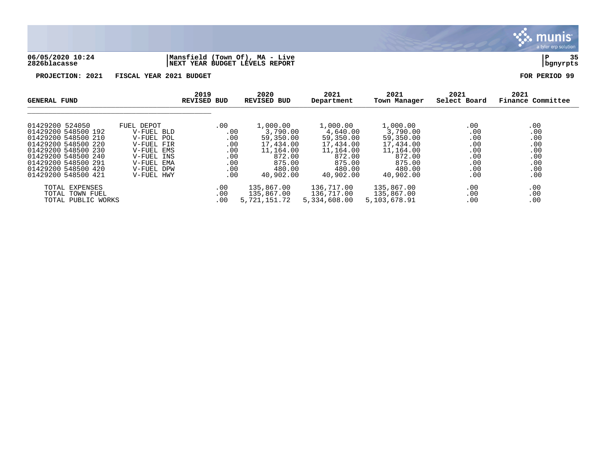

# **06/05/2020 10:24 |Mansfield (Town Of), MA - Live |P 35 2826blacasse |NEXT YEAR BUDGET LEVELS REPORT |bgnyrpts**

| <b>GENERAL FUND</b> |            | 2019<br><b>REVISED BUD</b> | 2020<br><b>REVISED BUD</b> | 2021<br>Department | 2021<br>Town Manager | 2021<br>Select Board | 2021<br>Finance Committee |
|---------------------|------------|----------------------------|----------------------------|--------------------|----------------------|----------------------|---------------------------|
|                     |            |                            |                            |                    |                      |                      |                           |
| 01429200 524050     | FUEL DEPOT | .00                        | 1,000.00                   | 1,000.00           | 1,000.00             | .00                  | .00                       |
| 01429200 548500 192 | V-FUEL BLD | .00                        | 3,790.00                   | 4,640.00           | 3,790.00             | .00                  | .00                       |
| 01429200 548500 210 | V-FUEL POL | .00                        | 59,350.00                  | 59,350.00          | 59,350.00            | .00                  | .00                       |
| 01429200 548500 220 | V-FUEL FIR | .00                        | 17,434.00                  | 17,434.00          | 17,434.00            | .00                  | .00                       |
| 01429200 548500 230 | V-FUEL EMS | .00                        | 11,164.00                  | 11,164.00          | 11,164.00            | .00                  | .00                       |
| 01429200 548500 240 | V-FUEL INS | .00                        | 872.00                     | 872.00             | 872.00               | .00                  | .00                       |
| 01429200 548500 291 | V-FUEL EMA | .00                        | 875.00                     | 875.00             | 875.00               | .00                  | .00                       |
| 01429200 548500 420 | V-FUEL DPW | .00                        | 480.00                     | 480.00             | 480.00               | .00                  | .00                       |
| 01429200 548500 421 | V-FUEL HWY | .00                        | 40,902.00                  | 40,902.00          | 40,902.00            | .00                  | .00                       |
| TOTAL EXPENSES      |            | .00                        | 135,867.00                 | 136,717.00         | 135,867.00           | .00                  | .00                       |
| TOTAL TOWN FUEL     |            | .00                        | 135,867.00                 | 136,717.00         | 135,867.00           | .00                  | .00                       |
| TOTAL PUBLIC WORKS  |            | .00                        | 5,721,151.72               | 5,334,608.00       | 5,103,678.91         | .00                  | .00                       |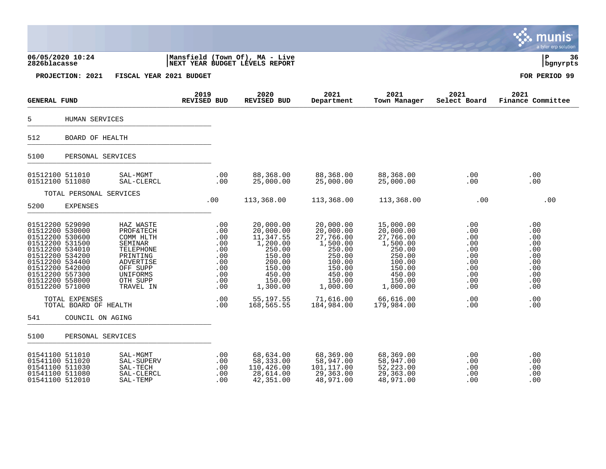|                                                                                                                                                                                                               |                                         |                                                                                                                                                  |                            |                                                                           |                                                                                                                         |                                                                                                                         |                                                                                                                         |                                                                                | munis<br>a tyler erp solution                                             |
|---------------------------------------------------------------------------------------------------------------------------------------------------------------------------------------------------------------|-----------------------------------------|--------------------------------------------------------------------------------------------------------------------------------------------------|----------------------------|---------------------------------------------------------------------------|-------------------------------------------------------------------------------------------------------------------------|-------------------------------------------------------------------------------------------------------------------------|-------------------------------------------------------------------------------------------------------------------------|--------------------------------------------------------------------------------|---------------------------------------------------------------------------|
| 06/05/2020 10:24<br>2826blacasse                                                                                                                                                                              |                                         |                                                                                                                                                  |                            |                                                                           | Mansfield (Town Of), MA - Live<br>NEXT YEAR BUDGET LEVELS REPORT                                                        |                                                                                                                         |                                                                                                                         |                                                                                | ΙP<br>36<br>  bgnyrpts                                                    |
|                                                                                                                                                                                                               | PROJECTION: 2021                        | FISCAL YEAR 2021 BUDGET                                                                                                                          |                            |                                                                           |                                                                                                                         |                                                                                                                         |                                                                                                                         |                                                                                | FOR PERIOD 99                                                             |
| <b>GENERAL FUND</b>                                                                                                                                                                                           |                                         |                                                                                                                                                  | 2019<br><b>REVISED BUD</b> |                                                                           | 2020<br><b>REVISED BUD</b>                                                                                              | 2021<br>Department                                                                                                      | 2021<br>Town Manager                                                                                                    | 2021<br>Select Board                                                           | 2021<br>Finance Committee                                                 |
| 5                                                                                                                                                                                                             | HUMAN SERVICES                          |                                                                                                                                                  |                            |                                                                           |                                                                                                                         |                                                                                                                         |                                                                                                                         |                                                                                |                                                                           |
| 512                                                                                                                                                                                                           | BOARD OF HEALTH                         |                                                                                                                                                  |                            |                                                                           |                                                                                                                         |                                                                                                                         |                                                                                                                         |                                                                                |                                                                           |
| 5100                                                                                                                                                                                                          | PERSONAL SERVICES                       |                                                                                                                                                  |                            |                                                                           |                                                                                                                         |                                                                                                                         |                                                                                                                         |                                                                                |                                                                           |
| 01512100 511010<br>01512100 511080                                                                                                                                                                            |                                         | SAL-MGMT<br>SAL-CLERCL                                                                                                                           |                            | .00<br>.00                                                                | 88,368.00<br>25,000.00                                                                                                  | 88,368.00<br>25,000.00                                                                                                  | 88,368.00<br>25,000.00                                                                                                  | $.00 \,$<br>.00                                                                | .00<br>.00                                                                |
| 5200                                                                                                                                                                                                          | TOTAL PERSONAL SERVICES<br>EXPENSES     |                                                                                                                                                  |                            | .00                                                                       | 113,368.00                                                                                                              | 113,368.00                                                                                                              | 113,368.00                                                                                                              | .00                                                                            | .00                                                                       |
| 01512200 529090<br>01512200 530000<br>01512200 530600<br>01512200 531500<br>01512200 534010<br>01512200 534200<br>01512200 534400<br>01512200 542000<br>01512200 557300<br>01512200 558000<br>01512200 571000 |                                         | HAZ WASTE<br><b>PROF&amp;TECH</b><br>COMM HLTH<br>SEMINAR<br>TELEPHONE<br>PRINTING<br>ADVERTISE<br>OFF SUPP<br>UNIFORMS<br>OTH SUPP<br>TRAVEL IN |                            | .00<br>.00<br>.00<br>.00<br>.00<br>.00<br>.00<br>.00<br>.00<br>.00<br>.00 | 20,000.00<br>20,000.00<br>11,347.55<br>1,200.00<br>250.00<br>150.00<br>200.00<br>150.00<br>450.00<br>150.00<br>1,300.00 | 20,000.00<br>20,000.00<br>27,766.00<br>1,500.00<br>250.00<br>250.00<br>100.00<br>150.00<br>450.00<br>150.00<br>1,000.00 | 15,000.00<br>20,000.00<br>27,766.00<br>1,500.00<br>250.00<br>250.00<br>100.00<br>150.00<br>450.00<br>150.00<br>1,000.00 | .00<br>.00<br>.00<br>$.00 \,$<br>.00<br>.00<br>.00<br>.00<br>.00<br>.00<br>.00 | .00<br>.00<br>.00<br>.00<br>.00<br>.00<br>.00<br>.00<br>.00<br>.00<br>.00 |
|                                                                                                                                                                                                               | TOTAL EXPENSES<br>TOTAL BOARD OF HEALTH |                                                                                                                                                  |                            | .00<br>.00                                                                | 55, 197.55<br>168,565.55                                                                                                | 71,616.00<br>184,984.00                                                                                                 | 66,616.00<br>179,984.00                                                                                                 | .00<br>.00                                                                     | .00<br>.00                                                                |
| 541                                                                                                                                                                                                           | COUNCIL ON AGING                        |                                                                                                                                                  |                            |                                                                           |                                                                                                                         |                                                                                                                         |                                                                                                                         |                                                                                |                                                                           |
| 5100                                                                                                                                                                                                          | PERSONAL SERVICES                       |                                                                                                                                                  |                            |                                                                           |                                                                                                                         |                                                                                                                         |                                                                                                                         |                                                                                |                                                                           |
| 01541100 511010<br>01541100 511020<br>01541100 511030<br>01541100 511080<br>01541100 512010                                                                                                                   |                                         | SAL-MGMT<br>SAL-SUPERV<br>SAL-TECH<br>SAL-CLERCL<br>SAL-TEMP                                                                                     |                            | .00<br>.00<br>.00<br>.00<br>.00                                           | 68,634.00<br>58,333.00<br>110,426.00<br>28,614.00<br>42,351.00                                                          | 68,369.00<br>58,947.00<br>101,117.00<br>29,363.00<br>48,971.00                                                          | 68,369.00<br>58,947.00<br>52,223.00<br>29,363.00<br>48,971.00                                                           | $.00 \,$<br>.00<br>.00<br>.00<br>.00                                           | .00<br>.00<br>.00<br>.00<br>.00                                           |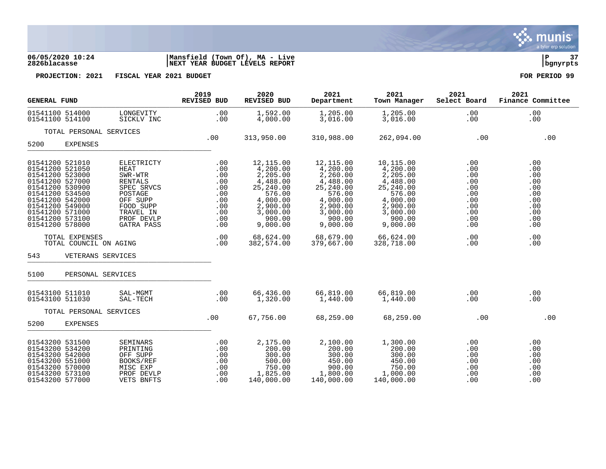## **06/05/2020 10:24 |Mansfield (Town Of), MA - Live |P 37 2826blacasse |NEXT YEAR BUDGET LEVELS REPORT |bgnyrpts**

| <b>GENERAL FUND</b>                                                                                                                                                                                           |                                          |                                                                                                                                            | 2019<br>REVISED BUD                                                       | 2020<br>REVISED BUD                                                                                                            | 2021<br>Department                                                                                                               | 2021<br>Town Manager                                                                                                           | 2021<br>Select Board                                                      | 2021<br>Finance Committee                                                 |
|---------------------------------------------------------------------------------------------------------------------------------------------------------------------------------------------------------------|------------------------------------------|--------------------------------------------------------------------------------------------------------------------------------------------|---------------------------------------------------------------------------|--------------------------------------------------------------------------------------------------------------------------------|----------------------------------------------------------------------------------------------------------------------------------|--------------------------------------------------------------------------------------------------------------------------------|---------------------------------------------------------------------------|---------------------------------------------------------------------------|
| 01541100 514000<br>01541100 514100                                                                                                                                                                            |                                          | LONGEVITY<br>SICKLV INC                                                                                                                    | .00<br>.00                                                                | 1,592.00<br>4,000.00                                                                                                           | 1,205.00<br>3,016.00                                                                                                             | 1,205.00<br>3,016.00                                                                                                           | .00<br>.00                                                                | .00<br>.00                                                                |
|                                                                                                                                                                                                               | TOTAL PERSONAL SERVICES                  |                                                                                                                                            |                                                                           |                                                                                                                                |                                                                                                                                  |                                                                                                                                |                                                                           |                                                                           |
| 5200                                                                                                                                                                                                          | <b>EXPENSES</b>                          |                                                                                                                                            | .00                                                                       | 313,950.00                                                                                                                     | 310,988.00                                                                                                                       | 262,094.00                                                                                                                     | .00                                                                       | .00                                                                       |
| 01541200 521010<br>01541200 521050<br>01541200 523000<br>01541200 527000<br>01541200 530900<br>01541200 534500<br>01541200 542000<br>01541200 549000<br>01541200 571000<br>01541200 573100<br>01541200 578000 |                                          | ELECTRICTY<br><b>HEAT</b><br>SWR-WTR<br>RENTALS<br>SPEC SRVCS<br>POSTAGE<br>OFF SUPP<br>FOOD SUPP<br>TRAVEL IN<br>PROF DEVLP<br>GATRA PASS | .00<br>.00<br>.00<br>.00<br>.00<br>.00<br>.00<br>.00<br>.00<br>.00<br>.00 | 12,115.00<br>4,200.00<br>2,205.00<br>4,488.00<br>25,240.00<br>576.00<br>4,000.00<br>2,900.00<br>3,000.00<br>900.00<br>9,000.00 | 12, 115.00<br>4,200.00<br>2,260.00<br>4,488.00<br>25, 240.00<br>576.00<br>4,000.00<br>2,900.00<br>3,000.00<br>900.00<br>9,000.00 | 10,115.00<br>4,200.00<br>2,205.00<br>4,488.00<br>25,240.00<br>576.00<br>4,000.00<br>2,900.00<br>3,000.00<br>900.00<br>9,000.00 | .00<br>.00<br>.00<br>.00<br>.00<br>.00<br>.00<br>.00<br>.00<br>.00<br>.00 | .00<br>.00<br>.00<br>.00<br>.00<br>.00<br>.00<br>.00<br>.00<br>.00<br>.00 |
|                                                                                                                                                                                                               | TOTAL EXPENSES<br>TOTAL COUNCIL ON AGING |                                                                                                                                            | .00<br>.00                                                                | 68,624.00<br>382,574.00                                                                                                        | 68,679.00<br>379,667.00                                                                                                          | 66,624.00<br>328,718.00                                                                                                        | .00<br>.00                                                                | .00<br>.00                                                                |
| 543                                                                                                                                                                                                           | VETERANS SERVICES                        |                                                                                                                                            |                                                                           |                                                                                                                                |                                                                                                                                  |                                                                                                                                |                                                                           |                                                                           |
| 5100                                                                                                                                                                                                          | PERSONAL SERVICES                        |                                                                                                                                            |                                                                           |                                                                                                                                |                                                                                                                                  |                                                                                                                                |                                                                           |                                                                           |
| 01543100 511010<br>01543100 511030                                                                                                                                                                            |                                          | SAL-MGMT<br>SAL-TECH                                                                                                                       | .00<br>.00                                                                | 66,436.00<br>1,320.00                                                                                                          | 66,819.00<br>1,440.00                                                                                                            | 66,819.00<br>1,440.00                                                                                                          | .00<br>.00                                                                | .00<br>.00                                                                |
|                                                                                                                                                                                                               | TOTAL PERSONAL SERVICES                  |                                                                                                                                            | .00                                                                       | 67,756.00                                                                                                                      | 68,259.00                                                                                                                        | 68,259.00                                                                                                                      | .00                                                                       | .00                                                                       |
| 5200                                                                                                                                                                                                          | <b>EXPENSES</b>                          |                                                                                                                                            |                                                                           |                                                                                                                                |                                                                                                                                  |                                                                                                                                |                                                                           |                                                                           |
| 01543200 531500<br>01543200 534200<br>01543200 542000<br>01543200 551000<br>01543200 570000<br>01543200 573100<br>01543200 577000                                                                             |                                          | SEMINARS<br>PRINTING<br>OFF SUPP<br>BOOKS/REF<br>MISC EXP<br>PROF DEVLP<br>VETS BNFTS                                                      | .00<br>.00<br>.00<br>.00<br>.00<br>.00<br>.00                             | 2,175.00<br>200.00<br>300.00<br>500.00<br>750.00<br>1,825.00<br>140,000.00                                                     | 2,100.00<br>200.00<br>300.00<br>450.00<br>900.00<br>1,800.00<br>140,000.00                                                       | 1,300.00<br>200.00<br>300.00<br>450.00<br>750.00<br>1,000.00<br>140,000.00                                                     | .00<br>.00<br>.00<br>.00<br>.00<br>.00<br>.00.                            | .00<br>.00<br>.00<br>.00<br>.00<br>.00<br>.00                             |

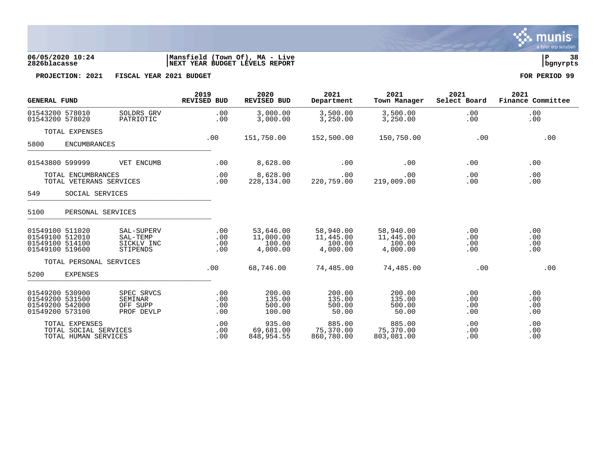| 06/05/2020 10:24 |  |
|------------------|--|
| 2826blacasse     |  |

# **06/05/2020 10:24 |Mansfield (Town Of), MA - Live |P 38 2826blacasse |NEXT YEAR BUDGET LEVELS REPORT |bgnyrpts**



munis

| <b>GENERAL FUND</b>                                                      |                                                                 |                                                  | 2019<br><b>REVISED BUD</b> | 2020<br><b>REVISED BUD</b>                   | 2021<br>Department                           | 2021<br>Town Manager                         | 2021<br>Select Board                     | 2021<br>Finance Committee |
|--------------------------------------------------------------------------|-----------------------------------------------------------------|--------------------------------------------------|----------------------------|----------------------------------------------|----------------------------------------------|----------------------------------------------|------------------------------------------|---------------------------|
| 01543200 578010<br>01543200 578020                                       |                                                                 | SOLDRS GRV<br>PATRIOTIC                          | .00<br>.00                 | 3,000.00<br>3,000.00                         | 3,500.00<br>3,250.00                         | 3,500.00<br>3,250.00                         | .00<br>.00                               | .00<br>.00                |
| 5800                                                                     | TOTAL EXPENSES<br><b>ENCUMBRANCES</b>                           |                                                  | .00                        | 151,750.00                                   | 152,500.00                                   | 150,750.00                                   | .00                                      | .00                       |
| 01543800 599999                                                          |                                                                 | VET ENCUMB                                       | .00                        | 8,628.00                                     | .00                                          | .00                                          | .00                                      | .00                       |
|                                                                          | TOTAL ENCUMBRANCES<br>TOTAL VETERANS SERVICES                   |                                                  | .00<br>.00                 | 8,628.00<br>228,134.00                       | .00<br>220,759.00                            | .00<br>219,009.00                            | $.00 \,$<br>.00                          | .00<br>.00                |
| 549                                                                      | SOCIAL SERVICES                                                 |                                                  |                            |                                              |                                              |                                              |                                          |                           |
| 5100                                                                     | PERSONAL SERVICES                                               |                                                  |                            |                                              |                                              |                                              |                                          |                           |
| 01549100 511020<br>01549100 512010<br>01549100 514100<br>01549100 519600 |                                                                 | SAL-SUPERV<br>SAL-TEMP<br>SICKLV INC<br>STIPENDS | .00<br>.00<br>.00<br>.00   | 53,646.00<br>11,000.00<br>100.00<br>4,000.00 | 58,940.00<br>11,445.00<br>100.00<br>4,000.00 | 58,940.00<br>11,445.00<br>100.00<br>4,000.00 | .00<br>.00<br>.00<br>.00                 | .00<br>.00<br>.00<br>.00  |
|                                                                          | TOTAL PERSONAL SERVICES                                         |                                                  | .00                        | 68,746.00                                    | 74,485.00                                    | 74,485.00                                    | .00                                      | .00                       |
| 5200                                                                     | <b>EXPENSES</b>                                                 |                                                  |                            |                                              |                                              |                                              |                                          |                           |
| 01549200 530900<br>01549200 531500<br>01549200 542000<br>01549200 573100 |                                                                 | SPEC SRVCS<br>SEMINAR<br>OFF SUPP<br>PROF DEVLP  | .00<br>.00<br>.00<br>.00   | 200.00<br>135.00<br>500.00<br>100.00         | 200.00<br>135.00<br>500.00<br>50.00          | 200.00<br>135.00<br>500.00<br>50.00          | $.00 \ \rm$<br>.00<br>.00<br>$.00 \ \rm$ | .00<br>.00<br>.00<br>.00  |
|                                                                          | TOTAL EXPENSES<br>TOTAL SOCIAL SERVICES<br>TOTAL HUMAN SERVICES |                                                  | .00<br>.00<br>.00          | 935.00<br>69,681.00<br>848,954.55            | 885.00<br>75,370.00<br>860,780.00            | 885.00<br>75,370.00<br>803,081.00            | .00<br>.00<br>.00                        | .00<br>.00<br>.00         |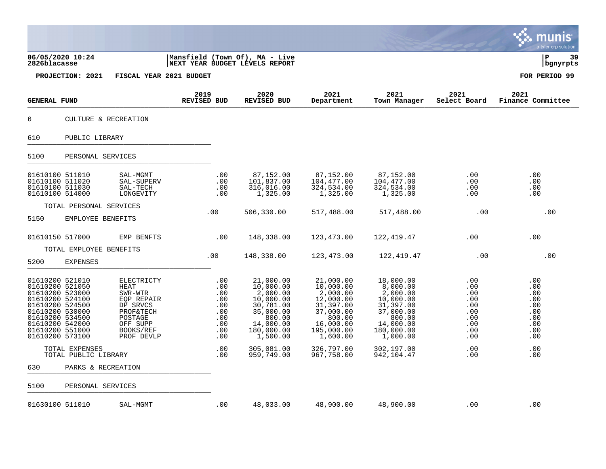|                                                                                                                                                                                            |                                        |                                                                                                                               |                            |                                                                    |                                                                                                                            |                                                                                                                            |                                                                                                                           |                                                                     | munis<br>a tyler erp solution                                      |
|--------------------------------------------------------------------------------------------------------------------------------------------------------------------------------------------|----------------------------------------|-------------------------------------------------------------------------------------------------------------------------------|----------------------------|--------------------------------------------------------------------|----------------------------------------------------------------------------------------------------------------------------|----------------------------------------------------------------------------------------------------------------------------|---------------------------------------------------------------------------------------------------------------------------|---------------------------------------------------------------------|--------------------------------------------------------------------|
| 2826blacasse                                                                                                                                                                               | 06/05/2020 10:24                       |                                                                                                                               |                            |                                                                    | Mansfield (Town Of), MA - Live<br>NEXT YEAR BUDGET LEVELS REPORT                                                           |                                                                                                                            |                                                                                                                           |                                                                     | lР<br>39<br>  bgnyrpts                                             |
|                                                                                                                                                                                            | PROJECTION: 2021                       | FISCAL YEAR 2021 BUDGET                                                                                                       |                            |                                                                    |                                                                                                                            |                                                                                                                            |                                                                                                                           |                                                                     | FOR PERIOD 99                                                      |
| <b>GENERAL FUND</b>                                                                                                                                                                        |                                        |                                                                                                                               | 2019<br><b>REVISED BUD</b> |                                                                    | 2020<br><b>REVISED BUD</b>                                                                                                 | 2021<br>Department                                                                                                         | 2021<br>Town Manager                                                                                                      | 2021<br>Select Board                                                | 2021<br>Finance Committee                                          |
| 6                                                                                                                                                                                          | CULTURE & RECREATION                   |                                                                                                                               |                            |                                                                    |                                                                                                                            |                                                                                                                            |                                                                                                                           |                                                                     |                                                                    |
| 610                                                                                                                                                                                        | PUBLIC LIBRARY                         |                                                                                                                               |                            |                                                                    |                                                                                                                            |                                                                                                                            |                                                                                                                           |                                                                     |                                                                    |
| 5100                                                                                                                                                                                       | PERSONAL SERVICES                      |                                                                                                                               |                            |                                                                    |                                                                                                                            |                                                                                                                            |                                                                                                                           |                                                                     |                                                                    |
| 01610100 511010<br>01610100 511020<br>01610100 511030<br>01610100 514000                                                                                                                   |                                        | SAL-MGMT<br>SAL-SUPERV<br>SAL-TECH<br>LONGEVITY                                                                               |                            | .00<br>.00<br>.00<br>.00                                           | 87,152.00<br>101,837.00<br>316,016.00<br>1,325.00                                                                          | 87,152.00<br>104,477.00<br>324,534.00<br>1,325.00                                                                          | 87,152.00<br>104,477.00<br>324,534.00<br>1,325.00                                                                         | .00<br>$.00 \,$<br>.00<br>.00                                       | .00<br>.00<br>.00<br>.00                                           |
|                                                                                                                                                                                            | TOTAL PERSONAL SERVICES                |                                                                                                                               |                            | .00                                                                | 506,330.00                                                                                                                 | 517,488.00                                                                                                                 | 517,488.00                                                                                                                | .00                                                                 | .00                                                                |
| 5150                                                                                                                                                                                       | EMPLOYEE BENEFITS                      |                                                                                                                               |                            |                                                                    |                                                                                                                            |                                                                                                                            |                                                                                                                           |                                                                     |                                                                    |
| 01610150 517000                                                                                                                                                                            |                                        | EMP BENFTS                                                                                                                    |                            | .00                                                                | 148,338.00                                                                                                                 | 123,473.00                                                                                                                 | 122, 419.47                                                                                                               | .00                                                                 | .00                                                                |
|                                                                                                                                                                                            | TOTAL EMPLOYEE BENEFITS                |                                                                                                                               |                            | .00                                                                | 148,338.00                                                                                                                 | 123,473.00                                                                                                                 | 122,419.47                                                                                                                | .00                                                                 | .00                                                                |
| 5200                                                                                                                                                                                       | <b>EXPENSES</b>                        |                                                                                                                               |                            |                                                                    |                                                                                                                            |                                                                                                                            |                                                                                                                           |                                                                     |                                                                    |
| 01610200 521010<br>01610200 521050<br>01610200 523000<br>01610200 524100<br>01610200 524500<br>01610200 530000<br>01610200 534500<br>01610200 542000<br>01610200 551000<br>01610200 573100 |                                        | ELECTRICTY<br><b>HEAT</b><br>SWR-WTR<br>EQP REPAIR<br>DP SRVCS<br>PROF&TECH<br>POSTAGE<br>OFF SUPP<br>BOOKS/REF<br>PROF DEVLP |                            | .00<br>.00<br>.00<br>.00<br>.00<br>.00<br>.00<br>.00<br>.00<br>.00 | 21,000.00<br>10,000.00<br>2,000.00<br>10,000.00<br>30,781.00<br>35,000.00<br>800.00<br>14,000.00<br>180,000.00<br>1,500.00 | 21,000.00<br>10,000.00<br>2,000.00<br>12,000.00<br>31,397.00<br>37,000.00<br>800.00<br>16,000.00<br>195,000.00<br>1,600.00 | 18,000.00<br>8,000.00<br>2,000.00<br>10,000.00<br>31,397.00<br>37,000.00<br>800.00<br>14,000.00<br>180,000.00<br>1,000.00 | .00<br>.00<br>.00<br>.00<br>.00<br>.00<br>.00.<br>.00<br>.00<br>.00 | .00<br>.00<br>.00<br>.00<br>.00<br>.00<br>.00<br>.00<br>.00<br>.00 |
|                                                                                                                                                                                            | TOTAL EXPENSES<br>TOTAL PUBLIC LIBRARY |                                                                                                                               |                            | .00<br>.00                                                         | 305,081.00<br>959,749.00                                                                                                   | 326,797.00<br>967,758.00                                                                                                   | 302,197.00<br>942,104.47                                                                                                  | .00<br>.00                                                          | .00<br>.00                                                         |
| 630                                                                                                                                                                                        | PARKS & RECREATION                     |                                                                                                                               |                            |                                                                    |                                                                                                                            |                                                                                                                            |                                                                                                                           |                                                                     |                                                                    |
| 5100                                                                                                                                                                                       | PERSONAL SERVICES                      |                                                                                                                               |                            |                                                                    |                                                                                                                            |                                                                                                                            |                                                                                                                           |                                                                     |                                                                    |
| 01630100 511010                                                                                                                                                                            |                                        | SAL-MGMT                                                                                                                      |                            | .00                                                                | 48,033.00                                                                                                                  | 48,900.00                                                                                                                  | 48,900.00                                                                                                                 | .00                                                                 | .00                                                                |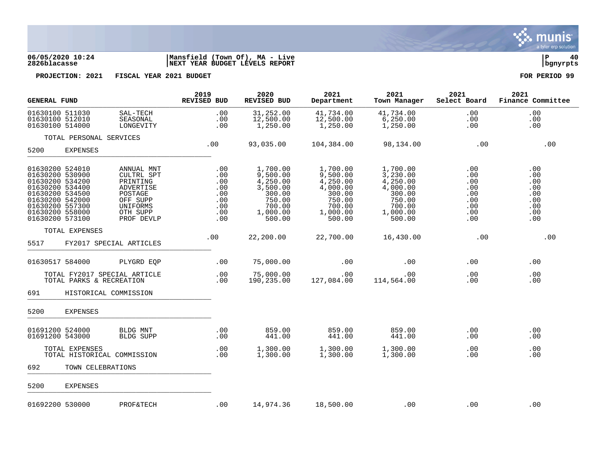

# **06/05/2020 10:24 |Mansfield (Town Of), MA - Live |P 40 2826blacasse |NEXT YEAR BUDGET LEVELS REPORT |bgnyrpts**

| <b>GENERAL FUND</b>                                                                                                                                                     |                                                                                                                | 2019<br>REVISED BUD                                         | 2020<br><b>REVISED BUD</b>                                                                       | 2021<br>Department                                                                               | 2021<br>Town Manager                                                                             | 2021<br>Select Board                                                  | 2021<br>Finance Committee                                   |
|-------------------------------------------------------------------------------------------------------------------------------------------------------------------------|----------------------------------------------------------------------------------------------------------------|-------------------------------------------------------------|--------------------------------------------------------------------------------------------------|--------------------------------------------------------------------------------------------------|--------------------------------------------------------------------------------------------------|-----------------------------------------------------------------------|-------------------------------------------------------------|
| 01630100 511030<br>01630100 512010<br>01630100 514000                                                                                                                   | SAL-TECH<br>SEASONAL<br>LONGEVITY                                                                              | .00<br>.00<br>.00                                           | 31,252.00<br>12,500.00<br>1,250.00                                                               | 41,734.00<br>12,500.00<br>1,250.00                                                               | 41,734.00<br>6, 250.00<br>1,250.00                                                               | .00<br>.00<br>.00                                                     | .00<br>.00<br>.00                                           |
|                                                                                                                                                                         | TOTAL PERSONAL SERVICES                                                                                        |                                                             |                                                                                                  |                                                                                                  |                                                                                                  |                                                                       |                                                             |
| 5200                                                                                                                                                                    | <b>EXPENSES</b>                                                                                                | .00                                                         | 93,035.00                                                                                        | 104,384.00                                                                                       | 98,134.00                                                                                        | .00                                                                   | .00                                                         |
| 01630200 524010<br>01630200 530900<br>01630200 534200<br>01630200 534400<br>01630200 534500<br>01630200 542000<br>01630200 557300<br>01630200 558000<br>01630200 573100 | ANNUAL MNT<br>CULTRL SPT<br>PRINTING<br>ADVERTISE<br>POSTAGE<br>OFF SUPP<br>UNIFORMS<br>OTH SUPP<br>PROF DEVLP | .00<br>.00<br>.00<br>.00<br>.00<br>.00<br>.00<br>.00<br>.00 | 1,700.00<br>9,500.00<br>4,250.00<br>3,500.00<br>300.00<br>750.00<br>700.00<br>1,000.00<br>500.00 | 1,700.00<br>9,500.00<br>4,250.00<br>4,000.00<br>300.00<br>750.00<br>700.00<br>1,000.00<br>500.00 | 1,700.00<br>3,230.00<br>4,250.00<br>4,000.00<br>300.00<br>750.00<br>700.00<br>1,000.00<br>500.00 | .00<br>.00<br>$.00 \,$<br>.00<br>.00<br>.00<br>$.00 \,$<br>.00<br>.00 | .00<br>.00<br>.00<br>.00<br>.00<br>.00<br>.00<br>.00<br>.00 |
| TOTAL EXPENSES                                                                                                                                                          |                                                                                                                | .00                                                         | 22,200.00                                                                                        | 22,700.00                                                                                        | 16,430.00                                                                                        | .00                                                                   | .00                                                         |
| 5517                                                                                                                                                                    | FY2017 SPECIAL ARTICLES                                                                                        |                                                             |                                                                                                  |                                                                                                  |                                                                                                  |                                                                       |                                                             |
| 01630517 584000                                                                                                                                                         | PLYGRD EQP                                                                                                     | .00                                                         | 75,000.00                                                                                        | .00                                                                                              | .00                                                                                              | .00                                                                   | .00                                                         |
|                                                                                                                                                                         | TOTAL FY2017 SPECIAL ARTICLE<br>TOTAL PARKS & RECREATION                                                       | .00<br>.00                                                  | 75,000.00<br>190,235.00                                                                          | .00<br>127,084.00                                                                                | .00<br>114,564.00                                                                                | .00<br>$.00 \,$                                                       | .00<br>.00                                                  |
| 691                                                                                                                                                                     | HISTORICAL COMMISSION                                                                                          |                                                             |                                                                                                  |                                                                                                  |                                                                                                  |                                                                       |                                                             |
| 5200                                                                                                                                                                    | <b>EXPENSES</b>                                                                                                |                                                             |                                                                                                  |                                                                                                  |                                                                                                  |                                                                       |                                                             |
| 01691200 524000<br>01691200 543000                                                                                                                                      | BLDG MNT<br>BLDG SUPP                                                                                          | .00<br>.00                                                  | 859.00<br>441.00                                                                                 | 859.00<br>441.00                                                                                 | 859.00<br>441.00                                                                                 | .00<br>.00                                                            | .00<br>.00                                                  |
| TOTAL EXPENSES                                                                                                                                                          | TOTAL HISTORICAL COMMISSION                                                                                    | .00<br>.00                                                  | 1,300.00<br>1,300.00                                                                             | 1,300.00<br>1,300.00                                                                             | 1,300.00<br>1,300.00                                                                             | .00<br>$.00 \,$                                                       | .00<br>.00                                                  |
| 692                                                                                                                                                                     | TOWN CELEBRATIONS                                                                                              |                                                             |                                                                                                  |                                                                                                  |                                                                                                  |                                                                       |                                                             |
| 5200                                                                                                                                                                    | <b>EXPENSES</b>                                                                                                |                                                             |                                                                                                  |                                                                                                  |                                                                                                  |                                                                       |                                                             |
| 01692200 530000                                                                                                                                                         | PROF&TECH                                                                                                      | .00                                                         | 14,974.36                                                                                        | 18,500.00                                                                                        | .00                                                                                              | .00                                                                   | .00                                                         |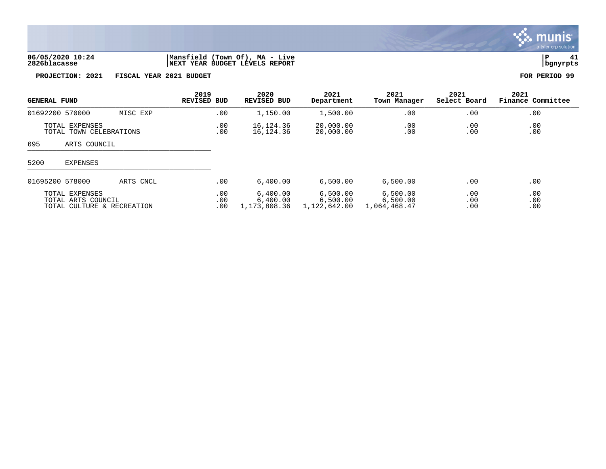| 06/05/2020 10:24 | Mansfield (Town Of), MA - Live | 41            |
|------------------|--------------------------------|---------------|
| 2826blacasse     | NEXT YEAR BUDGET LEVELS REPORT | bgnyrpts      |
| PROJECTION: 2021 | FISCAL YEAR 2021 BUDGET        | FOR PERIOD 99 |

| <b>GENERAL FUND</b>                                                |           | 2019<br>REVISED BUD | 2020<br><b>REVISED BUD</b>           | 2021<br>Department                   | 2021<br>Town Manager                 | 2021<br>Select Board | 2021<br>Finance Committee |  |
|--------------------------------------------------------------------|-----------|---------------------|--------------------------------------|--------------------------------------|--------------------------------------|----------------------|---------------------------|--|
| 01692200 570000                                                    | MISC EXP  | .00                 | 1,150.00                             | 1,500.00                             | .00                                  | .00                  | .00                       |  |
| TOTAL EXPENSES<br>TOTAL TOWN CELEBRATIONS                          |           | .00<br>.00          | 16,124.36<br>16,124.36               | 20,000.00<br>20,000.00               | .00<br>.00                           | .00<br>.00           | .00<br>.00                |  |
| 695<br>ARTS COUNCIL                                                |           |                     |                                      |                                      |                                      |                      |                           |  |
| 5200<br>EXPENSES                                                   |           |                     |                                      |                                      |                                      |                      |                           |  |
| 01695200 578000                                                    | ARTS CNCL | .00                 | 6,400.00                             | 6,500.00                             | 6,500.00                             | .00                  | .00                       |  |
| TOTAL EXPENSES<br>TOTAL ARTS COUNCIL<br>TOTAL CULTURE & RECREATION |           | .00<br>.00<br>.00   | 6,400.00<br>6,400.00<br>1,173,808.36 | 6,500.00<br>6,500.00<br>1,122,642.00 | 6,500.00<br>6,500.00<br>1,064,468.47 | .00<br>.00<br>.00    | .00<br>.00<br>.00         |  |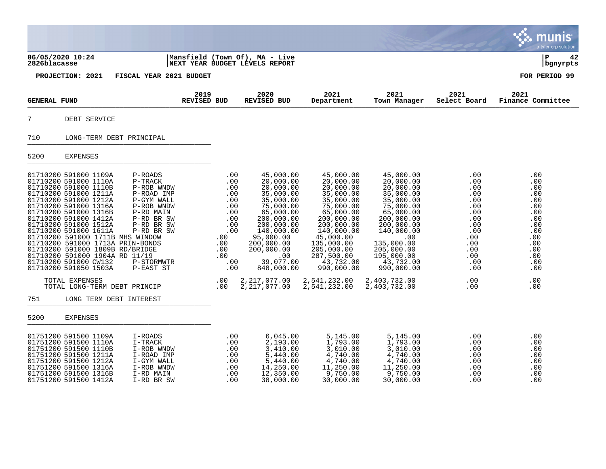|                     |                                                                                                                                                                                                                                                                                                                                                                                                                                                                                                                                                                                                                       |                                                                                                              |                                                                                                                                                                                                              |                                                                                                                                                                                                                     |                                                                                                                                                                                                               |                                                                                                                         | nıs<br>a tyler erp solution                                                                                  |
|---------------------|-----------------------------------------------------------------------------------------------------------------------------------------------------------------------------------------------------------------------------------------------------------------------------------------------------------------------------------------------------------------------------------------------------------------------------------------------------------------------------------------------------------------------------------------------------------------------------------------------------------------------|--------------------------------------------------------------------------------------------------------------|--------------------------------------------------------------------------------------------------------------------------------------------------------------------------------------------------------------|---------------------------------------------------------------------------------------------------------------------------------------------------------------------------------------------------------------------|---------------------------------------------------------------------------------------------------------------------------------------------------------------------------------------------------------------|-------------------------------------------------------------------------------------------------------------------------|--------------------------------------------------------------------------------------------------------------|
| 2826blacasse        | 06/05/2020 10:24                                                                                                                                                                                                                                                                                                                                                                                                                                                                                                                                                                                                      |                                                                                                              | Mansfield (Town Of), MA - Live<br>NEXT YEAR BUDGET LEVELS REPORT                                                                                                                                             |                                                                                                                                                                                                                     |                                                                                                                                                                                                               |                                                                                                                         | ∣P<br>42<br>bgnyrpts                                                                                         |
|                     | FISCAL YEAR 2021 BUDGET<br>PROJECTION: 2021                                                                                                                                                                                                                                                                                                                                                                                                                                                                                                                                                                           |                                                                                                              |                                                                                                                                                                                                              |                                                                                                                                                                                                                     |                                                                                                                                                                                                               |                                                                                                                         | FOR PERIOD 99                                                                                                |
| <b>GENERAL FUND</b> | 2019<br><b>REVISED BUD</b>                                                                                                                                                                                                                                                                                                                                                                                                                                                                                                                                                                                            |                                                                                                              | 2020<br><b>REVISED BUD</b>                                                                                                                                                                                   | 2021<br>Department                                                                                                                                                                                                  | 2021<br>Town Manager                                                                                                                                                                                          | 2021<br>Select Board                                                                                                    | 2021<br>Finance Committee                                                                                    |
| 7                   | DEBT SERVICE                                                                                                                                                                                                                                                                                                                                                                                                                                                                                                                                                                                                          |                                                                                                              |                                                                                                                                                                                                              |                                                                                                                                                                                                                     |                                                                                                                                                                                                               |                                                                                                                         |                                                                                                              |
| 710                 | LONG-TERM DEBT PRINCIPAL                                                                                                                                                                                                                                                                                                                                                                                                                                                                                                                                                                                              |                                                                                                              |                                                                                                                                                                                                              |                                                                                                                                                                                                                     |                                                                                                                                                                                                               |                                                                                                                         |                                                                                                              |
| 5200                | <b>EXPENSES</b>                                                                                                                                                                                                                                                                                                                                                                                                                                                                                                                                                                                                       |                                                                                                              |                                                                                                                                                                                                              |                                                                                                                                                                                                                     |                                                                                                                                                                                                               |                                                                                                                         |                                                                                                              |
|                     | 01710200 591000 1109A<br>P-ROADS<br>01710200 591000 1110A<br>P-TRACK<br>01710200 591000 1110B<br>P-ROB WNDW<br>01710200 591000 1211A<br>P-ROAD IMP<br>01710200 591000 1212A<br>P-GYM WALL<br>01710200 591000 1316A<br>P-ROB WNDW<br>01710200 591000 1316B<br>P-RD MAIN<br>01710200 591000 1412A<br>P-RD BR SW<br>01710200 591000 1512A<br>P-RD BR SW<br>01710200 591000 1611A<br>P-RD BR SW<br>01710200 591000 1711B MHS WINDOW<br>01710200 591000 1713A PRIN-BONDS<br>01710200 591000 1809B RD/BRIDGE<br>01710200 591000 1904A RD 11/19<br>01710200 591000 CW132<br>P-STORMWTR<br>01710200 591050 1503A<br>P-EAST ST | .00<br>.00<br>.00<br>.00<br>.00<br>.00<br>.00<br>.00<br>.00<br>.00<br>.00<br>.00<br>.00<br>.00<br>.00<br>.00 | 45,000.00<br>20,000.00<br>20,000.00<br>35,000.00<br>35,000.00<br>75,000.00<br>65,000.00<br>200,000.00<br>200,000.00<br>140,000.00<br>95,000.00<br>200,000.00<br>200,000.00<br>.00<br>39,077.00<br>848,000.00 | 45,000.00<br>20,000.00<br>20,000.00<br>35,000.00<br>35,000.00<br>75,000.00<br>65,000.00<br>200,000.00<br>200,000.00<br>140,000.00<br>45,000.00<br>135,000.00<br>205,000.00<br>287,500.00<br>43,732.00<br>990,000.00 | 45,000.00<br>20,000.00<br>20,000.00<br>35,000.00<br>35,000.00<br>75,000.00<br>65,000.00<br>200,000.00<br>200,000.00<br>140,000.00<br>.00<br>135,000.00<br>205,000.00<br>195,000.00<br>43,732.00<br>990,000.00 | .00<br>.00<br>.00<br>.00<br>.00<br>.00<br>.00<br>.00<br>.00<br>.00<br>$.00 \,$<br>.00.<br>$.00 \,$<br>.00<br>.00<br>.00 | .00<br>.00<br>.00<br>.00<br>.00<br>.00<br>.00<br>.00<br>.00<br>.00<br>.00<br>.00<br>.00<br>.00<br>.00<br>.00 |
|                     | TOTAL EXPENSES<br>TOTAL LONG-TERM DEBT PRINCIP                                                                                                                                                                                                                                                                                                                                                                                                                                                                                                                                                                        | .00<br>.00                                                                                                   | 2, 217, 077.00<br>2, 217, 077.00                                                                                                                                                                             | 2,541,232.00<br>2,541,232.00                                                                                                                                                                                        | 2,403,732.00<br>2,403,732.00                                                                                                                                                                                  | .00<br>$.00 \,$                                                                                                         | .00<br>.00                                                                                                   |
| 751                 | LONG TERM DEBT INTEREST                                                                                                                                                                                                                                                                                                                                                                                                                                                                                                                                                                                               |                                                                                                              |                                                                                                                                                                                                              |                                                                                                                                                                                                                     |                                                                                                                                                                                                               |                                                                                                                         |                                                                                                              |
| 5200                | <b>EXPENSES</b>                                                                                                                                                                                                                                                                                                                                                                                                                                                                                                                                                                                                       |                                                                                                              |                                                                                                                                                                                                              |                                                                                                                                                                                                                     |                                                                                                                                                                                                               |                                                                                                                         |                                                                                                              |
|                     | 01751200 591500 1109A<br>I-ROADS<br>01751200 591500 1110A<br>I-TRACK<br>01751200 591500 1110B<br>I-ROB WNDW<br>01751200 591500 1211A<br>I-ROAD IMP<br>01751200 591500 1212A<br>I-GYM WALL<br>01751200 591500 1316A<br>I-ROB WNDW<br>01751200 591500 1316B<br>I-RD MAIN<br>01751200 591500 1412A<br>I-RD BR SW                                                                                                                                                                                                                                                                                                         | .00<br>.00<br>.00<br>.00<br>.00<br>.00<br>.00<br>.00                                                         | 6,045.00<br>2,193.00<br>3,410.00<br>5,440.00<br>5,440.00<br>14,250.00<br>12,350.00<br>38,000.00                                                                                                              | 5,145.00<br>1,793.00<br>3,010.00<br>4,740.00<br>4,740.00<br>11,250.00<br>9,750.00<br>30,000.00                                                                                                                      | 5,145.00<br>1,793.00<br>3,010.00<br>4,740.00<br>4,740.00<br>11,250.00<br>9,750.00<br>30,000.00                                                                                                                | .00<br>.00<br>.00<br>.00<br>.00<br>.00<br>.00<br>.00                                                                    | .00<br>.00<br>.00<br>.00<br>.00<br>.00<br>.00<br>.00                                                         |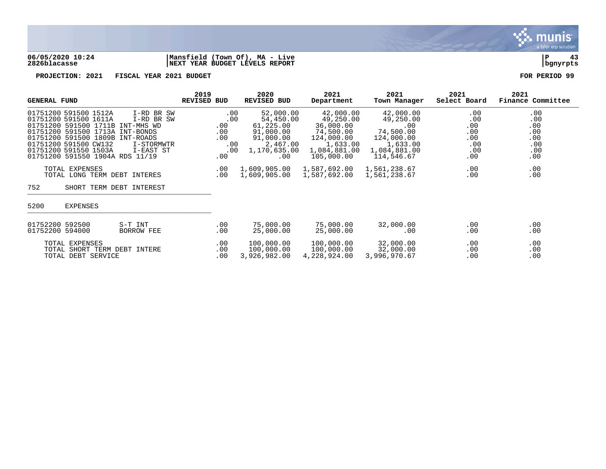

## **06/05/2020 10:24 |Mansfield (Town Of), MA - Live |P 43 2826blacasse |NEXT YEAR BUDGET LEVELS REPORT |bgnyrpts**

| <b>GENERAL FUND</b>                                                                                                                                                                                                                                                                                     | 2019<br><b>REVISED BUD</b>                           | 2020<br>REVISED BUD                                                                                   | 2021<br>Department                                                                                       | 2021<br>Town Manager                                                                               | 2021<br>Select Board                                 | 2021<br>Finance Committee                            |
|---------------------------------------------------------------------------------------------------------------------------------------------------------------------------------------------------------------------------------------------------------------------------------------------------------|------------------------------------------------------|-------------------------------------------------------------------------------------------------------|----------------------------------------------------------------------------------------------------------|----------------------------------------------------------------------------------------------------|------------------------------------------------------|------------------------------------------------------|
| 01751200 591500 1512A<br>I-RD BR SW<br>01751200 591500 1611A<br>I-RD BR SW<br>01751200 591500 1711B INT-MHS WD<br>01751200 591500 1713A INT-BONDS<br>01751200 591500 1809B<br>INT-ROADS<br>01751200 591500 CW132<br>I-STORMWTR<br>01751200 591550 1503A<br>I-EAST ST<br>01751200 591550 1904A RDS 11/19 | .00<br>.00<br>.00<br>.00<br>.00<br>.00<br>.00<br>.00 | 52,000.00<br>54,450.00<br>61,225.00<br>91,000.00<br>91,000.00<br>2,467.00<br>1,170,635.00<br>$.00 \,$ | 42,000.00<br>49,250.00<br>36,000.00<br>74,500.00<br>124,000.00<br>1,633.00<br>1,084,881.00<br>105,000.00 | 42,000.00<br>49,250.00<br>.00<br>74,500.00<br>124,000.00<br>1,633.00<br>1,084,881.00<br>114,546.67 | .00<br>.00<br>.00<br>.00<br>.00<br>.00<br>.00<br>.00 | .00<br>.00<br>.00<br>.00<br>.00<br>.00<br>.00<br>.00 |
| TOTAL EXPENSES<br>TOTAL LONG TERM DEBT INTERES                                                                                                                                                                                                                                                          | .00<br>.00                                           | 1,609,905.00<br>1,609,905.00                                                                          | 1,587,692.00<br>1,587,692.00                                                                             | 1,561,238.67<br>1,561,238.67                                                                       | .00<br>.00                                           | .00<br>.00                                           |
| 752<br>SHORT TERM DEBT INTEREST                                                                                                                                                                                                                                                                         |                                                      |                                                                                                       |                                                                                                          |                                                                                                    |                                                      |                                                      |
| 5200<br><b>EXPENSES</b>                                                                                                                                                                                                                                                                                 |                                                      |                                                                                                       |                                                                                                          |                                                                                                    |                                                      |                                                      |
| 01752200 592500<br>S-T INT<br>01752200 594000<br><b>BORROW FEE</b>                                                                                                                                                                                                                                      | .00<br>.00                                           | 75,000.00<br>25,000.00                                                                                | 75,000.00<br>25,000.00                                                                                   | 32,000.00<br>.00                                                                                   | .00<br>.00                                           | .00<br>.00                                           |
| TOTAL EXPENSES<br>TOTAL SHORT TERM DEBT INTERE<br>TOTAL DEBT SERVICE                                                                                                                                                                                                                                    | .00<br>.00<br>.00                                    | 100,000.00<br>100,000.00<br>3,926,982.00                                                              | 100,000.00<br>100,000.00<br>4,228,924.00                                                                 | 32,000.00<br>32,000.00<br>3,996,970.67                                                             | .00<br>.00<br>.00                                    | .00<br>.00<br>.00                                    |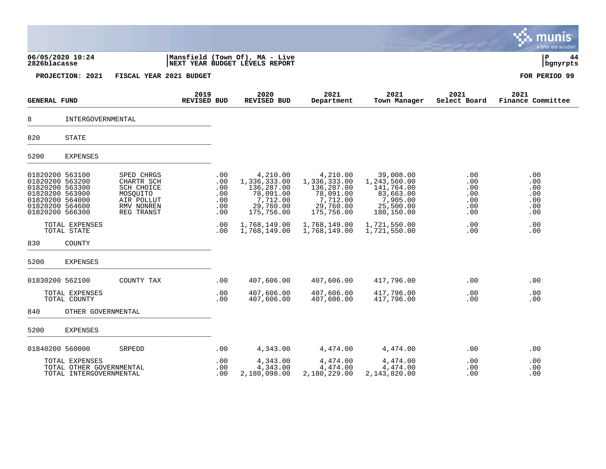|                                                                                                                                   |                                                                       |                                                                                                     |                            |                                               |                                                                                            |                                                                                            |                                                                                             |                                               | munis<br>a tyler erp solution                 |
|-----------------------------------------------------------------------------------------------------------------------------------|-----------------------------------------------------------------------|-----------------------------------------------------------------------------------------------------|----------------------------|-----------------------------------------------|--------------------------------------------------------------------------------------------|--------------------------------------------------------------------------------------------|---------------------------------------------------------------------------------------------|-----------------------------------------------|-----------------------------------------------|
| 06/05/2020 10:24<br>2826blacasse                                                                                                  |                                                                       |                                                                                                     |                            |                                               | Mansfield (Town Of), MA - Live<br><b> NEXT YEAR BUDGET LEVELS REPORT</b>                   |                                                                                            |                                                                                             |                                               | lР<br>44<br>  bgnyrpts                        |
|                                                                                                                                   | PROJECTION: 2021                                                      | FISCAL YEAR 2021 BUDGET                                                                             |                            |                                               |                                                                                            |                                                                                            |                                                                                             |                                               | FOR PERIOD 99                                 |
| <b>GENERAL FUND</b>                                                                                                               |                                                                       |                                                                                                     | 2019<br><b>REVISED BUD</b> |                                               | 2020<br><b>REVISED BUD</b>                                                                 | 2021<br>Department                                                                         | 2021<br>Town Manager                                                                        | 2021<br>Select Board                          | 2021<br>Finance Committee                     |
| 8                                                                                                                                 | INTERGOVERNMENTAL                                                     |                                                                                                     |                            |                                               |                                                                                            |                                                                                            |                                                                                             |                                               |                                               |
| 820                                                                                                                               | STATE                                                                 |                                                                                                     |                            |                                               |                                                                                            |                                                                                            |                                                                                             |                                               |                                               |
| 5200                                                                                                                              | <b>EXPENSES</b>                                                       |                                                                                                     |                            |                                               |                                                                                            |                                                                                            |                                                                                             |                                               |                                               |
| 01820200 563100<br>01820200 563200<br>01820200 563300<br>01820200 563900<br>01820200 564000<br>01820200 564600<br>01820200 566300 |                                                                       | SPED CHRGS<br>CHARTR SCH<br><b>SCH CHOICE</b><br>MOSQUITO<br>AIR POLLUT<br>RMV NONREN<br>REG TRANST |                            | .00<br>.00<br>.00<br>.00<br>.00<br>.00<br>.00 | 4,210.00<br>1,336,333.00<br>136,287.00<br>78,091.00<br>7,712.00<br>29,760.00<br>175,756.00 | 4,210.00<br>1,336,333.00<br>136,287.00<br>78,091.00<br>7,712.00<br>29,760.00<br>175,756.00 | 39,008.00<br>1,243,560.00<br>141,764.00<br>83,663.00<br>7,905.00<br>25,500.00<br>180,150.00 | .00<br>.00<br>.00<br>.00<br>.00<br>.00<br>.00 | .00<br>.00<br>.00<br>.00<br>.00<br>.00<br>.00 |
|                                                                                                                                   | TOTAL EXPENSES<br>TOTAL STATE                                         |                                                                                                     |                            | .00<br>.00                                    | 1,768,149.00<br>1,768,149.00                                                               | 1,768,149.00<br>1,768,149.00                                                               | 1,721,550.00<br>1,721,550.00                                                                | .00<br>.00                                    | .00<br>.00                                    |
| 830                                                                                                                               | COUNTY                                                                |                                                                                                     |                            |                                               |                                                                                            |                                                                                            |                                                                                             |                                               |                                               |
| 5200                                                                                                                              | <b>EXPENSES</b>                                                       |                                                                                                     |                            |                                               |                                                                                            |                                                                                            |                                                                                             |                                               |                                               |
| 01830200 562100                                                                                                                   |                                                                       | COUNTY TAX                                                                                          |                            | .00                                           | 407,606.00                                                                                 | 407,606.00                                                                                 | 417,796.00                                                                                  | .00                                           | .00                                           |
|                                                                                                                                   | TOTAL EXPENSES<br>TOTAL COUNTY                                        |                                                                                                     |                            | .00<br>.00                                    | 407,606.00<br>407,606.00                                                                   | 407,606.00<br>407,606.00                                                                   | 417,796.00<br>417,796.00                                                                    | .00<br>.00                                    | .00<br>.00                                    |
| 840                                                                                                                               | OTHER GOVERNMENTAL                                                    |                                                                                                     |                            |                                               |                                                                                            |                                                                                            |                                                                                             |                                               |                                               |
| 5200                                                                                                                              | EXPENSES                                                              |                                                                                                     |                            |                                               |                                                                                            |                                                                                            |                                                                                             |                                               |                                               |
| 01840200 560000                                                                                                                   |                                                                       | SRPEDD                                                                                              |                            | .00                                           | 4,343.00                                                                                   | 4,474.00                                                                                   | 4,474.00                                                                                    | .00                                           | .00                                           |
|                                                                                                                                   | TOTAL EXPENSES<br>TOTAL OTHER GOVERNMENTAL<br>TOTAL INTERGOVERNMENTAL |                                                                                                     |                            | .00<br>.00<br>.00                             | 4,343.00<br>4,343.00<br>2,180,098.00                                                       | 4,474.00<br>4,474.00<br>2,180,229.00                                                       | 4,474.00<br>4,474.00<br>2,143,820.00                                                        | .00<br>.00<br>.00                             | .00<br>.00<br>.00                             |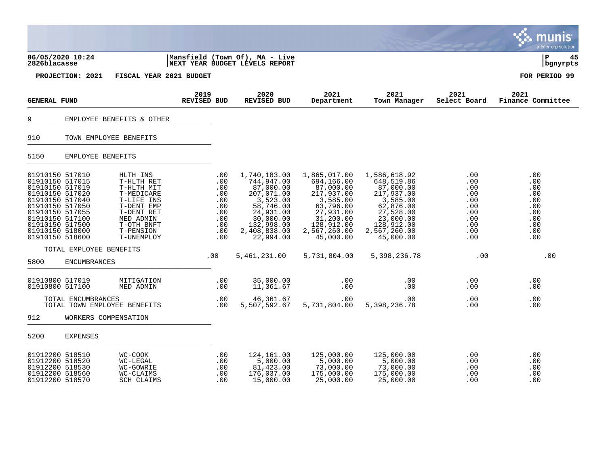|                                                                                                                                                                                                               |                         |                                                                                                                                                    |                            |                                                                           |                                                                                                                                                     |                                                                                                                                                     |                                                                                                                                                     |                                                                            | nıs<br>a tyler erp solution                                               |
|---------------------------------------------------------------------------------------------------------------------------------------------------------------------------------------------------------------|-------------------------|----------------------------------------------------------------------------------------------------------------------------------------------------|----------------------------|---------------------------------------------------------------------------|-----------------------------------------------------------------------------------------------------------------------------------------------------|-----------------------------------------------------------------------------------------------------------------------------------------------------|-----------------------------------------------------------------------------------------------------------------------------------------------------|----------------------------------------------------------------------------|---------------------------------------------------------------------------|
| 06/05/2020 10:24<br>2826blacasse                                                                                                                                                                              |                         |                                                                                                                                                    |                            |                                                                           | Mansfield (Town Of), MA - Live<br><b>NEXT YEAR BUDGET LEVELS REPORT</b>                                                                             |                                                                                                                                                     |                                                                                                                                                     |                                                                            | ΙP<br>45<br>bgnyrpts                                                      |
|                                                                                                                                                                                                               | PROJECTION: 2021        | FISCAL YEAR 2021 BUDGET                                                                                                                            |                            |                                                                           |                                                                                                                                                     |                                                                                                                                                     |                                                                                                                                                     |                                                                            | FOR PERIOD 99                                                             |
| <b>GENERAL FUND</b>                                                                                                                                                                                           |                         |                                                                                                                                                    | 2019<br><b>REVISED BUD</b> |                                                                           | 2020<br><b>REVISED BUD</b>                                                                                                                          | 2021<br>Department                                                                                                                                  | 2021<br>Town Manager                                                                                                                                | 2021<br>Select Board                                                       | 2021<br>Finance Committee                                                 |
| 9                                                                                                                                                                                                             |                         | EMPLOYEE BENEFITS & OTHER                                                                                                                          |                            |                                                                           |                                                                                                                                                     |                                                                                                                                                     |                                                                                                                                                     |                                                                            |                                                                           |
| 910                                                                                                                                                                                                           |                         | TOWN EMPLOYEE BENEFITS                                                                                                                             |                            |                                                                           |                                                                                                                                                     |                                                                                                                                                     |                                                                                                                                                     |                                                                            |                                                                           |
| 5150                                                                                                                                                                                                          | EMPLOYEE BENEFITS       |                                                                                                                                                    |                            |                                                                           |                                                                                                                                                     |                                                                                                                                                     |                                                                                                                                                     |                                                                            |                                                                           |
| 01910150 517010<br>01910150 517015<br>01910150 517019<br>01910150 517020<br>01910150 517040<br>01910150 517050<br>01910150 517055<br>01910150 517100<br>01910150 517500<br>01910150 518000<br>01910150 518600 |                         | HLTH INS<br>T-HLTH RET<br>T-HLTH MIT<br>T-MEDICARE<br>T-LIFE INS<br>T-DENT EMP<br>T-DENT RET<br>MED ADMIN<br>T-OTH BNFT<br>T-PENSION<br>T-UNEMPLOY |                            | .00<br>.00<br>.00<br>.00<br>.00<br>.00<br>.00<br>.00<br>.00<br>.00<br>.00 | 1,740,183.00<br>744,947.00<br>87,000.00<br>207,071.00<br>3,523.00<br>58,746.00<br>24,931.00<br>30,000.00<br>132,998.00<br>2,408,838.00<br>22,994.00 | 1,865,017.00<br>694,166.00<br>87,000.00<br>217,937.00<br>3,585.00<br>63,796.00<br>27,931.00<br>31,200.00<br>128,912.00<br>2,567,260.00<br>45,000.00 | 1,586,618.92<br>648,519.86<br>87,000.00<br>217,937.00<br>3,585.00<br>62,876.00<br>27,528.00<br>23,000.00<br>128,912.00<br>2,567,260.00<br>45,000.00 | .00<br>.00<br>.00<br>.00<br>.00<br>.00<br>.00.<br>.00<br>.00<br>.00<br>.00 | .00<br>.00<br>.00<br>.00<br>.00<br>.00<br>.00<br>.00<br>.00<br>.00<br>.00 |
|                                                                                                                                                                                                               | TOTAL EMPLOYEE BENEFITS |                                                                                                                                                    |                            | .00                                                                       | 5,461,231.00                                                                                                                                        | 5,731,804.00                                                                                                                                        | 5,398,236.78                                                                                                                                        | .00                                                                        | .00                                                                       |
| 5800<br>01910800 517019<br>01910800 517100                                                                                                                                                                    | <b>ENCUMBRANCES</b>     | MITIGATION<br>MED ADMIN                                                                                                                            |                            | .00<br>.00.                                                               | 35,000.00<br>11,361.67                                                                                                                              | .00<br>.00                                                                                                                                          | .00<br>.00                                                                                                                                          | .00<br>.00                                                                 | .00<br>.00                                                                |
|                                                                                                                                                                                                               | TOTAL ENCUMBRANCES      | TOTAL TOWN EMPLOYEE BENEFITS                                                                                                                       |                            | .00<br>.00                                                                | 46,361.67<br>5,507,592.67                                                                                                                           | .00<br>5,731,804.00                                                                                                                                 | .00<br>5,398,236.78                                                                                                                                 | .00<br>.00                                                                 | .00<br>.00                                                                |
| 912                                                                                                                                                                                                           | WORKERS COMPENSATION    |                                                                                                                                                    |                            |                                                                           |                                                                                                                                                     |                                                                                                                                                     |                                                                                                                                                     |                                                                            |                                                                           |
| 5200                                                                                                                                                                                                          | EXPENSES                |                                                                                                                                                    |                            |                                                                           |                                                                                                                                                     |                                                                                                                                                     |                                                                                                                                                     |                                                                            |                                                                           |
| 01912200 518510<br>01912200 518520<br>01912200 518530<br>01912200 518560<br>01912200 518570                                                                                                                   |                         | WC-COOK<br>WC-LEGAL<br>WC-GOWRIE<br>WC-CLAIMS<br>SCH CLAIMS                                                                                        |                            | .00<br>.00<br>.00<br>.00<br>.00                                           | 124,161.00<br>5,000.00<br>81,423.00<br>176,037.00<br>15,000.00                                                                                      | 125,000.00<br>5,000.00<br>73,000.00<br>175,000.00<br>25,000.00                                                                                      | 125,000.00<br>5,000.00<br>73,000.00<br>175,000.00<br>25,000.00                                                                                      | .00<br>.00<br>.00<br>.00<br>.00                                            | .00<br>.00<br>.00<br>.00<br>.00                                           |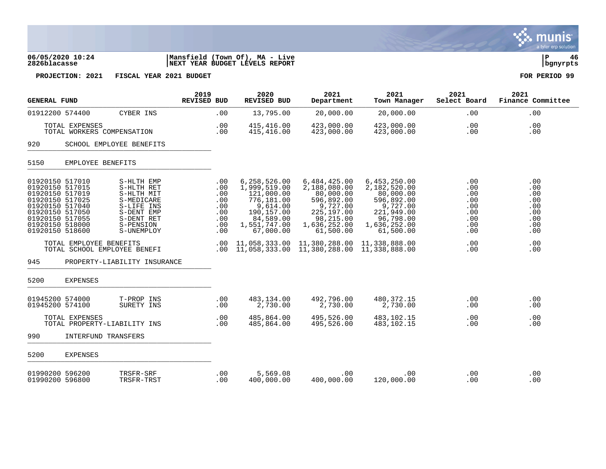| 06/05/2020 10:24<br>2826blacasse | Mansfield (Town Of), MA - Live<br>INEXT YEAR BUDGET LEVELS REPORT | bgnyrpts      |
|----------------------------------|-------------------------------------------------------------------|---------------|
| PROJECTION: 2021                 | FISCAL YEAR 2021 BUDGET                                           | FOR PERIOD 99 |

 **2020 2021 2021 2021 2021 GENERAL FUND REVISED BUD REVISED BUD Department Town Manager Select Board Finance Committee** ARVISED BOD REVISED BOD DEPARTMENT TOWN MANAGEL SELECT BOALD FINANCE COMMITTEE 574400 CYBER INS .00 13,795.00 20,000.00 20,000.00 .00 .00 TOTAL EXPENSES .00 415,416.00 423,000.00 423,000.00 .00 .00 TOTAL WORKERS COMPENSATION .00 415,416.00 423,000.00 423,000.00 .00 .00 .00 SCHOOL EMPLOYEE BENEFITS \_\_\_\_\_\_\_\_\_\_\_\_\_\_\_\_\_\_\_\_\_\_\_\_\_\_\_\_\_\_\_\_\_\_\_\_\_\_\_\_\_\_\_\_ 5150 EMPLOYEE BENEFITS \_\_\_\_\_\_\_\_\_\_\_\_\_\_\_\_\_\_\_\_\_\_\_\_\_\_\_\_\_\_\_\_\_\_\_\_\_\_\_\_\_\_\_\_ 517010 S-HLTH EMP .00 6,258,526.00 6,484,425.00 6,453,250.00 .00 .00 517015 S-HLTH RET .00 1,999,519.00 2,188,080.00 2,182,520.00 .00 .00 517019 S-HLTH MIT .00 121,000.00 80,000.00 80,000.00 .00 .00 517025 S-MEDICARE .00 776,181.00 596,892.00 596,892.00 .00 .00 517040 S-LIFE INS .00 9,614.00 9,727.00 9,727.00 .00 .00 517050 S-DENT EMP .00 190,157.00 225,197.00 221,949.00 .00 .00 517055 S-DENT RET .00 84,589.00 98,215.00 96,798.00 .00 .00 518000 S-PENSION .00 1,551,747.00 1,636,252.00 1,636,252.00 .00 .00 518600 S-UNEMPLOY .00 67,000.00 61,500.00 61,500.00 .00 .00 TOTAL EMPLOYEE BENEFITS .00 11,058,333.00 11,380,288.00 11,338,888.00 .00 .00 TOTAL SCHOOL EMPLOYEE BENEFI .00 11,058,333.00 11,380,288.00 11,338,888.00 .00 .00 PROPERTY-LIABILITY INSURANCE \_\_\_\_\_\_\_\_\_\_\_\_\_\_\_\_\_\_\_\_\_\_\_\_\_\_\_\_\_\_\_\_\_\_\_\_\_\_\_\_\_\_\_\_ EXPENSES \_\_\_\_\_\_\_\_\_\_\_\_\_\_\_\_\_\_\_\_\_\_\_\_\_\_\_\_\_\_\_\_\_\_\_\_\_\_\_\_\_\_\_\_ 574000 T-PROP INS .00 483,134.00 492,796.00 480,372.15 .00 .00 574100 SURETY INS .00 2,730.00 2,730.00 2,730.00 .00 .00 TOTAL EXPENSES .00 485,864.00 495,526.00 483,102.15 .00 .00 00. 00 183,102.15 TOTAL PROPERTY-LIABILITY INS .00 485,864.00 495,526.00 483,102.15 INTERFUND TRANSFERS \_\_\_\_\_\_\_\_\_\_\_\_\_\_\_\_\_\_\_\_\_\_\_\_\_\_\_\_\_\_\_\_\_\_\_\_\_\_\_\_\_\_\_\_ EXPENSES \_\_\_\_\_\_\_\_\_\_\_\_\_\_\_\_\_\_\_\_\_\_\_\_\_\_\_\_\_\_\_\_\_\_\_\_\_\_\_\_\_\_\_\_ 596200 TRSFR-SRF .00 5,569.08 .00 .00 .00 .00 596800 TRSFR-TRST .00 400,000.00 400,000.00 120,000.00 .00 .00

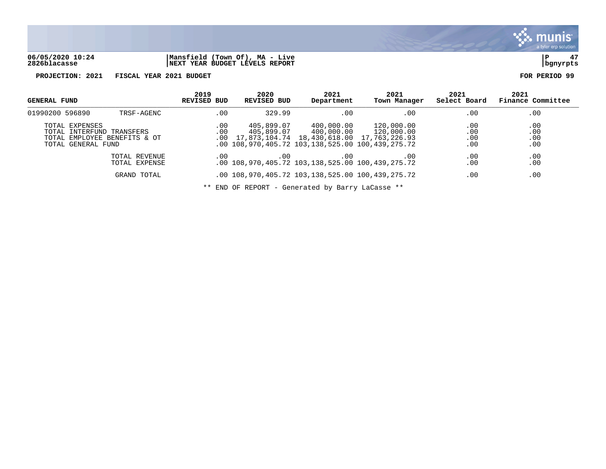

## **06/05/2020 10:24 |Mansfield (Town Of), MA - Live |P 47 2826blacasse |NEXT YEAR BUDGET LEVELS REPORT |bgnyrpts**

|           | 47 |
|-----------|----|
| hanvrnt s |    |

| <b>GENERAL FUND</b>                                                                               |                                | 2019<br><b>REVISED BUD</b> | 2020<br>REVISED BUD                                                                                  | 2021<br>Department | 2021<br>Town Manager                      | 2021<br>Select Board     | 2021<br>Finance Committee |
|---------------------------------------------------------------------------------------------------|--------------------------------|----------------------------|------------------------------------------------------------------------------------------------------|--------------------|-------------------------------------------|--------------------------|---------------------------|
| 01990200 596890                                                                                   | TRSF-AGENC                     | .00                        | 329.99                                                                                               | .00                | .00                                       | .00                      | .00                       |
| TOTAL EXPENSES<br>TOTAL INTERFUND TRANSFERS<br>TOTAL EMPLOYEE BENEFITS & OT<br>TOTAL GENERAL FUND |                                | .00<br>.00<br>.00          | 405,899.07<br>405,899.07<br>17,873,104.74<br>.00 108,970,405.72 103,138,525.00 100,439,275.72        | 400,000.00         | 120,000.00<br>18,430,618.00 17,763,226.93 | .00<br>.00<br>.00<br>.00 | .00<br>.00<br>.00<br>.00  |
|                                                                                                   | TOTAL REVENUE<br>TOTAL EXPENSE | $.00 \,$                   | $.00 \,$<br>.00 108,970,405.72 103,138,525.00 100,439,275.72                                         | .00                | .00                                       | .00<br>.00               | .00<br>.00                |
|                                                                                                   | GRAND TOTAL                    |                            | .00 108,970,405.72 103,138,525.00 100,439,275.72<br>** END OF REPORT - Generated by Barry LaCasse ** |                    |                                           | .00                      | .00                       |